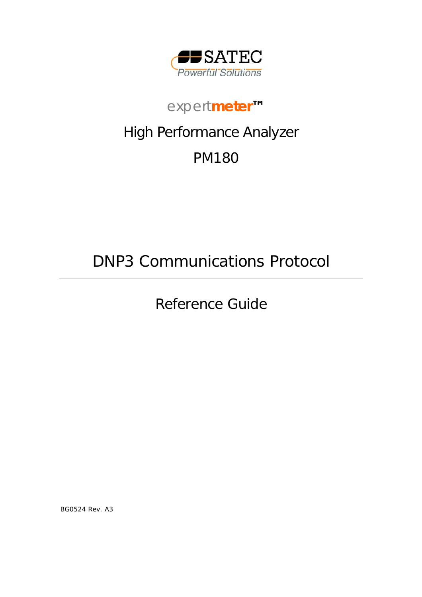

# *expert***meter***™*

# High Performance Analyzer

# PM180

# DNP3 Communications Protocol

Reference Guide

BG0524 Rev. A3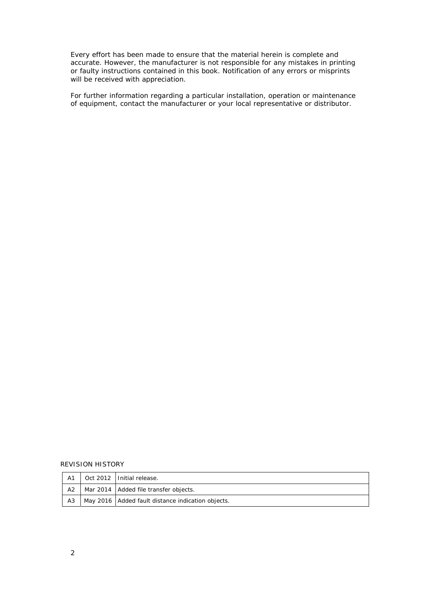Every effort has been made to ensure that the material herein is complete and accurate. However, the manufacturer is not responsible for any mistakes in printing or faulty instructions contained in this book. Notification of any errors or misprints will be received with appreciation.

For further information regarding a particular installation, operation or maintenance of equipment, contact the manufacturer or your local representative or distributor.

#### REVISION HISTORY

| A1 | Oct 2012   Initial release.                         |
|----|-----------------------------------------------------|
| A2 | Mar 2014   Added file transfer objects.             |
| A3 | May 2016   Added fault distance indication objects. |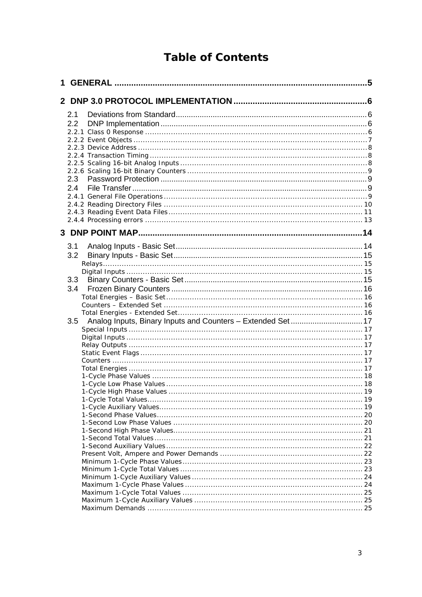# **Table of Contents**

| 1 |     |  |
|---|-----|--|
|   |     |  |
|   | 2.1 |  |
|   | 2.2 |  |
|   |     |  |
|   |     |  |
|   |     |  |
|   |     |  |
|   |     |  |
|   |     |  |
|   | 2.3 |  |
|   |     |  |
|   | 2.4 |  |
|   |     |  |
|   |     |  |
|   |     |  |
|   |     |  |
|   |     |  |
|   | 3.1 |  |
|   |     |  |
|   | 3.2 |  |
|   |     |  |
|   |     |  |
|   | 3.3 |  |
|   | 3.4 |  |
|   |     |  |
|   |     |  |
|   |     |  |
|   | 3.5 |  |
|   |     |  |
|   |     |  |
|   |     |  |
|   |     |  |
|   |     |  |
|   |     |  |
|   |     |  |
|   |     |  |
|   |     |  |
|   |     |  |
|   |     |  |
|   |     |  |
|   |     |  |
|   |     |  |
|   |     |  |
|   |     |  |
|   |     |  |
|   |     |  |
|   |     |  |
|   |     |  |
|   |     |  |
|   |     |  |
|   |     |  |
|   |     |  |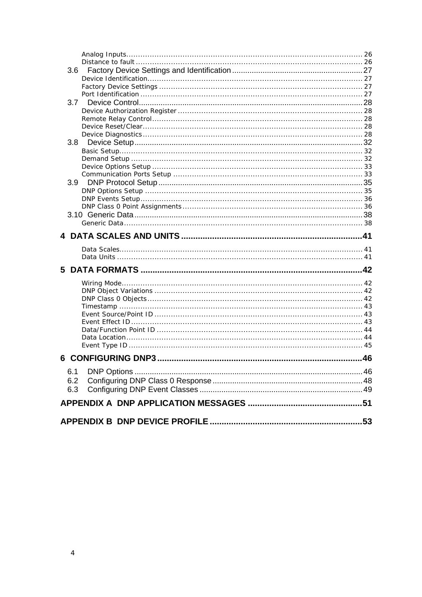| 3.7        |  |
|------------|--|
|            |  |
|            |  |
|            |  |
|            |  |
| 3.8        |  |
|            |  |
|            |  |
|            |  |
|            |  |
|            |  |
|            |  |
|            |  |
|            |  |
|            |  |
|            |  |
|            |  |
|            |  |
|            |  |
|            |  |
|            |  |
|            |  |
|            |  |
|            |  |
|            |  |
|            |  |
|            |  |
|            |  |
|            |  |
|            |  |
|            |  |
|            |  |
| 6.1<br>6.2 |  |
|            |  |
| 6.3        |  |
|            |  |
|            |  |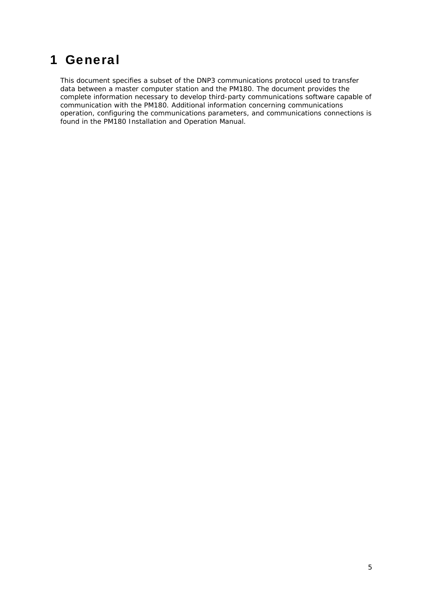# <span id="page-4-0"></span>1 General

This document specifies a subset of the DNP3 communications protocol used to transfer data between a master computer station and the PM180. The document provides the complete information necessary to develop third-party communications software capable of communication with the PM180. Additional information concerning communications operation, configuring the communications parameters, and communications connections is found in the PM180 Installation and Operation Manual.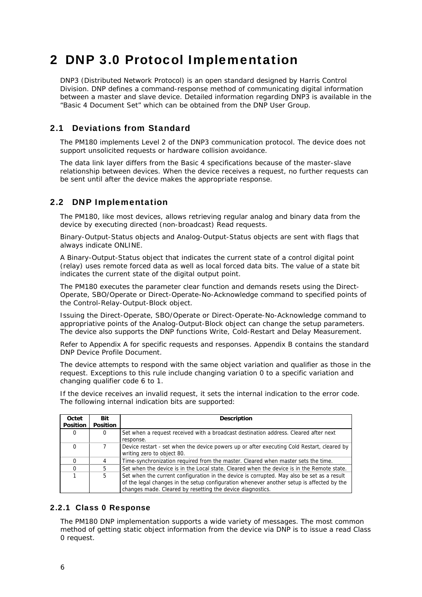# <span id="page-5-0"></span>2 DNP 3.0 Protocol Implementation

DNP3 (Distributed Network Protocol) is an open standard designed by Harris Control Division. DNP defines a command-response method of communicating digital information between a master and slave device. Detailed information regarding DNP3 is available in the "Basic 4 Document Set" which can be obtained from the DNP User Group.

## 2.1 Deviations from Standard

<span id="page-5-1"></span>The PM180 implements Level 2 of the DNP3 communication protocol. The device does not support unsolicited requests or hardware collision avoidance.

The data link layer differs from the Basic 4 specifications because of the master-slave relationship between devices. When the device receives a request, no further requests can be sent until after the device makes the appropriate response.

## 2.2 DNP Implementation

<span id="page-5-2"></span>The PM180, like most devices, allows retrieving regular analog and binary data from the device by executing directed (non-broadcast) Read requests.

Binary-Output-Status objects and Analog-Output-Status objects are sent with flags that always indicate ONLINE.

A Binary-Output-Status object that indicates the current state of a control digital point (relay) uses remote forced data as well as local forced data bits. The value of a state bit indicates the current state of the digital output point.

The PM180 executes the parameter clear function and demands resets using the Direct-Operate, SBO/Operate or Direct-Operate-No-Acknowledge command to specified points of the Control-Relay-Output-Block object.

Issuing the Direct-Operate, SBO/Operate or Direct-Operate-No-Acknowledge command to appropriative points of the Analog-Output-Block object can change the setup parameters. The device also supports the DNP functions Write, Cold-Restart and Delay Measurement.

Refer to Appendix A for specific requests and responses. Appendix B contains the standard DNP Device Profile Document.

The device attempts to respond with the same object variation and qualifier as those in the request. Exceptions to this rule include changing variation 0 to a specific variation and changing qualifier code 6 to 1.

If the device receives an invalid request, it sets the internal indication to the error code. The following internal indication bits are supported:

| Octet           | Bit             | <b>Description</b>                                                                         |
|-----------------|-----------------|--------------------------------------------------------------------------------------------|
| <b>Position</b> | <b>Position</b> |                                                                                            |
| 0               | O               | Set when a request received with a broadcast destination address. Cleared after next       |
|                 |                 | response.                                                                                  |
|                 |                 | Device restart - set when the device powers up or after executing Cold Restart, cleared by |
|                 |                 | writing zero to object 80.                                                                 |
|                 | 4               | Time-synchronization required from the master. Cleared when master sets the time.          |
|                 | 5               | Set when the device is in the Local state. Cleared when the device is in the Remote state. |
|                 | 5               | Set when the current configuration in the device is corrupted. May also be set as a result |
|                 |                 | of the legal changes in the setup configuration whenever another setup is affected by the  |
|                 |                 | changes made. Cleared by resetting the device diagnostics.                                 |

### 2.2.1 Class 0 Response

<span id="page-5-3"></span>The PM180 DNP implementation supports a wide variety of messages. The most common method of getting static object information from the device via DNP is to issue a read Class 0 request.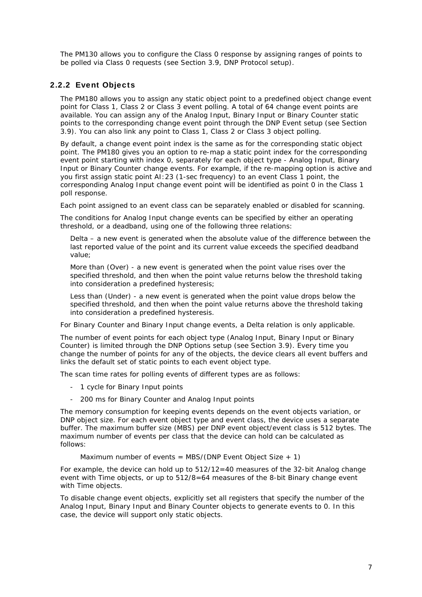The PM130 allows you to configure the Class 0 response by assigning ranges of points to be polled via Class 0 requests (see Section 3.9, DNP Protocol setup).

### 2.2.2 Event Objects

<span id="page-6-0"></span>The PM180 allows you to assign any static object point to a predefined object change event point for Class 1, Class 2 or Class 3 event polling. A total of 64 change event points are available. You can assign any of the Analog Input, Binary Input or Binary Counter static points to the corresponding change event point through the DNP Event setup (see Section 3.9). You can also link any point to Class 1, Class 2 or Class 3 object polling.

By default, a change event point index is the same as for the corresponding static object point. The PM180 gives you an option to re-map a static point index for the corresponding event point starting with index 0, separately for each object type - Analog Input, Binary Input or Binary Counter change events. For example, if the re-mapping option is active and you first assign static point AI:23 (1-sec frequency) to an event Class 1 point, the corresponding Analog Input change event point will be identified as point 0 in the Class 1 poll response.

Each point assigned to an event class can be separately enabled or disabled for scanning.

The conditions for Analog Input change events can be specified by either an operating threshold, or a deadband, using one of the following three relations:

Delta – a new event is generated when the absolute value of the difference between the last reported value of the point and its current value exceeds the specified deadband value;

More than (Over) - a new event is generated when the point value rises over the specified threshold, and then when the point value returns below the threshold taking into consideration a predefined hysteresis;

Less than (Under) - a new event is generated when the point value drops below the specified threshold, and then when the point value returns above the threshold taking into consideration a predefined hysteresis.

For Binary Counter and Binary Input change events, a Delta relation is only applicable.

The number of event points for each object type (Analog Input, Binary Input or Binary Counter) is limited through the DNP Options setup (see Section 3.9). Every time you change the number of points for any of the objects, the device clears all event buffers and links the default set of static points to each event object type.

The scan time rates for polling events of different types are as follows:

- 1 cycle for Binary Input points
- 200 ms for Binary Counter and Analog Input points

The memory consumption for keeping events depends on the event objects variation, or DNP object size. For each event object type and event class, the device uses a separate buffer. The maximum buffer size (MBS) per DNP event object/event class is 512 bytes. The maximum number of events per class that the device can hold can be calculated as follows:

Maximum number of events = MBS/(DNP Event Object Size  $+1$ )

For example, the device can hold up to 512/12=40 measures of the 32-bit Analog change event with Time objects, or up to 512/8=64 measures of the 8-bit Binary change event with Time objects.

To disable change event objects, explicitly set all registers that specify the number of the Analog Input, Binary Input and Binary Counter objects to generate events to 0. In this case, the device will support only static objects.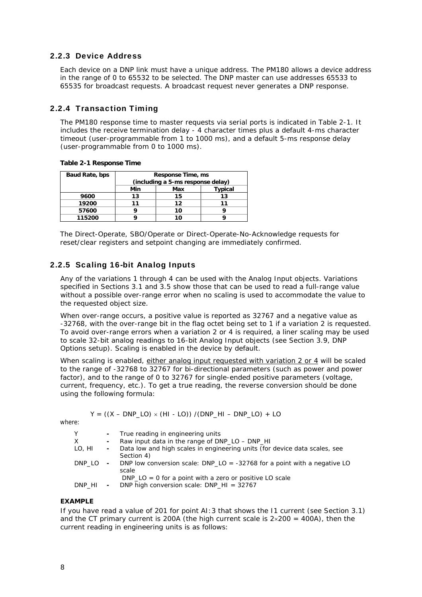### 2.2.3 Device Address

<span id="page-7-0"></span>Each device on a DNP link must have a unique address. The PM180 allows a device address in the range of 0 to 65532 to be selected. The DNP master can use addresses 65533 to 65535 for broadcast requests. A broadcast request never generates a DNP response.

### 2.2.4 Transaction Timing

<span id="page-7-1"></span>The PM180 response time to master requests via serial ports is indicated in Table 2-1. It includes the receive termination delay - 4 character times plus a default 4-ms character timeout (user-programmable from 1 to 1000 ms), and a default 5-ms response delay (user-programmable from 0 to 1000 ms).

**Table 2-1 Response Time** 

| Baud Rate, bps |                       | Response Time, ms<br>(including a 5-ms response delay) |    |  |  |  |
|----------------|-----------------------|--------------------------------------------------------|----|--|--|--|
|                | Typical<br>Min<br>Max |                                                        |    |  |  |  |
| 9600           | 13                    | 15                                                     | 13 |  |  |  |
| 19200          |                       | 12                                                     |    |  |  |  |
| 57600          |                       | 10                                                     |    |  |  |  |
| 115200         |                       | 10                                                     |    |  |  |  |

The Direct-Operate, SBO/Operate or Direct-Operate-No-Acknowledge requests for reset/clear registers and setpoint changing are immediately confirmed.

### 2.2.5 Scaling 16-bit Analog Inputs

<span id="page-7-2"></span>Any of the variations 1 through 4 can be used with the Analog Input objects. Variations specified in Sections 3.1 and 3.5 show those that can be used to read a full-range value without a possible over-range error when no scaling is used to accommodate the value to the requested object size.

When over-range occurs, a positive value is reported as 32767 and a negative value as -32768, with the over-range bit in the flag octet being set to 1 if a variation 2 is requested. To avoid over-range errors when a variation 2 or 4 is required, a liner scaling may be used to scale 32-bit analog readings to 16-bit Analog Input objects (see Section 3.9, DNP Options setup). Scaling is enabled in the device by default.

When scaling is enabled, either analog input requested with variation 2 or 4 will be scaled to the range of -32768 to 32767 for bi-directional parameters (such as power and power factor), and to the range of 0 to 32767 for single-ended positive parameters (voltage, current, frequency, etc.). To get a true reading, the reverse conversion should be done using the following formula:

$$
Y = ((X - DNP\_LO) \times (HI - LO)) / (DNP\_HI - DNP\_LO) + LO
$$

where:

| Υ      |            | - True reading in engineering units                                                                       |
|--------|------------|-----------------------------------------------------------------------------------------------------------|
| X.     |            | Raw input data in the range of DNP LO - DNP HI                                                            |
| LO, HI | $\sim 100$ | Data low and high scales in engineering units (for device data scales, see<br>Section 4)                  |
| DNP LO |            | - DNP low conversion scale: $DNP\_LO = -32768$ for a point with a negative LO<br>scale                    |
| DNP HI | $\sim$     | $DNP\_LO = 0$ for a point with a zero or positive LO scale<br>DNP high conversion scale: DNP $HI = 32767$ |

### **EXAMPLE**

If you have read a value of 201 for point AI:3 that shows the I1 current (see Section 3.1) and the CT primary current is 200A (the high current scale is  $2 \times 200 = 400$ A), then the current reading in engineering units is as follows: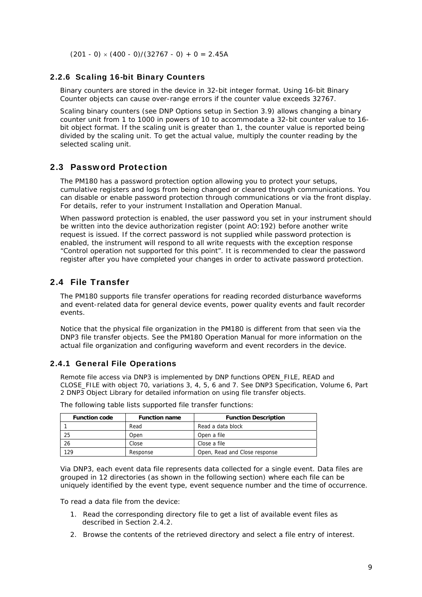<span id="page-8-0"></span> $(201 - 0) \times (400 - 0)/(32767 - 0) + 0 = 2.45A$ 

### 2.2.6 Scaling 16-bit Binary Counters

Binary counters are stored in the device in 32-bit integer format. Using 16-bit Binary Counter objects can cause over-range errors if the counter value exceeds 32767.

Scaling binary counters (see DNP Options setup in Section 3.9) allows changing a binary counter unit from 1 to 1000 in powers of 10 to accommodate a 32-bit counter value to 16 bit object format. If the scaling unit is greater than 1, the counter value is reported being divided by the scaling unit. To get the actual value, multiply the counter reading by the selected scaling unit.

## 2.3 Password Protection

<span id="page-8-1"></span>The PM180 has a password protection option allowing you to protect your setups, cumulative registers and logs from being changed or cleared through communications. You can disable or enable password protection through communications or via the front display. For details, refer to your instrument Installation and Operation Manual.

When password protection is enabled, the user password you set in your instrument should be written into the device authorization register (point AO:192) before another write request is issued. If the correct password is not supplied while password protection is enabled, the instrument will respond to all write requests with the exception response "Control operation not supported for this point". It is recommended to clear the password register after you have completed your changes in order to activate password protection.

## 2.4 File Transfer

<span id="page-8-2"></span>The PM180 supports file transfer operations for reading recorded disturbance waveforms and event-related data for general device events, power quality events and fault recorder events.

Notice that the physical file organization in the PM180 is different from that seen via the DNP3 file transfer objects. See the PM180 Operation Manual for more information on the actual file organization and configuring waveform and event recorders in the device.

### 2.4.1 General File Operations

<span id="page-8-3"></span>Remote file access via DNP3 is implemented by DNP functions OPEN\_FILE, READ and CLOSE\_FILE with object 70, variations 3, 4, 5, 6 and 7. See DNP3 Specification, Volume 6, Part 2 DNP3 Object Library for detailed information on using file transfer objects.

| <b>Function code</b> | <b>Function name</b> | <b>Function Description</b>   |
|----------------------|----------------------|-------------------------------|
|                      | Read                 | Read a data block             |
| 25                   | Open                 | Open a file                   |
| 26                   | Close                | Close a file                  |
| 129                  | Response             | Open, Read and Close response |

The following table lists supported file transfer functions:

Via DNP3, each event data file represents data collected for a single event. Data files are grouped in 12 directories (as shown in the following section) where each file can be uniquely identified by the event type, event sequence number and the time of occurrence.

To read a data file from the device:

- 1. Read the corresponding directory file to get a list of available event files as described in Section 2.4.2.
- 2. Browse the contents of the retrieved directory and select a file entry of interest.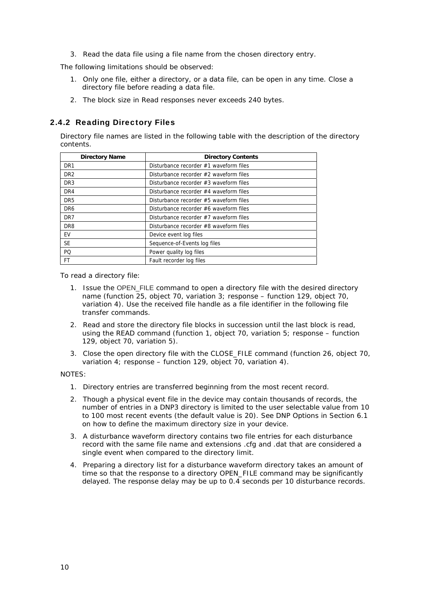3. Read the data file using a file name from the chosen directory entry.

The following limitations should be observed:

- 1. Only one file, either a directory, or a data file, can be open in any time. Close a directory file before reading a data file.
- <span id="page-9-0"></span>2. The block size in Read responses never exceeds 240 bytes.

### 2.4.2 Reading Directory Files

Directory file names are listed in the following table with the description of the directory contents.

| <b>Directory Name</b> | <b>Directory Contents</b>              |
|-----------------------|----------------------------------------|
| DR <sub>1</sub>       | Disturbance recorder #1 waveform files |
| DR <sub>2</sub>       | Disturbance recorder #2 waveform files |
| DR <sub>3</sub>       | Disturbance recorder #3 waveform files |
| DR <sub>4</sub>       | Disturbance recorder #4 waveform files |
| DR <sub>5</sub>       | Disturbance recorder #5 waveform files |
| DR6                   | Disturbance recorder #6 waveform files |
| DR <sub>7</sub>       | Disturbance recorder #7 waveform files |
| DR <sub>8</sub>       | Disturbance recorder #8 waveform files |
| EV                    | Device event log files                 |
| <b>SE</b>             | Sequence-of-Events log files           |
| PO                    | Power quality log files                |
| FT                    | Fault recorder log files               |

To read a directory file:

- 1. Issue the OPEN\_FILE command to open a directory file with the desired directory name (function 25, object 70, variation 3; response – function 129, object 70, variation 4). Use the received file handle as a file identifier in the following file transfer commands.
- 2. Read and store the directory file blocks in succession until the last block is read, using the READ command (function 1, object 70, variation 5; response – function 129, object 70, variation 5).
- 3. Close the open directory file with the CLOSE\_FILE command (function 26, object 70, variation 4; response – function 129, object 70, variation 4).

NOTES:

- 1. Directory entries are transferred beginning from the most recent record.
- 2. Though a physical event file in the device may contain thousands of records, the number of entries in a DNP3 directory is limited to the user selectable value from 10 to 100 most recent events (the default value is 20). See DNP Options in Section 6.1 on how to define the maximum directory size in your device.
- 3. A disturbance waveform directory contains two file entries for each disturbance record with the same file name and extensions .cfg and .dat that are considered a single event when compared to the directory limit.
- 4. Preparing a directory list for a disturbance waveform directory takes an amount of time so that the response to a directory OPEN\_FILE command may be significantly delayed. The response delay may be up to 0.4 seconds per 10 disturbance records.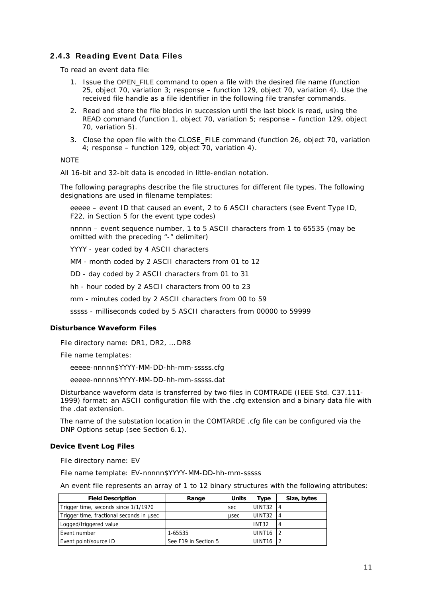### 2.4.3 Reading Event Data Files

<span id="page-10-0"></span>To read an event data file:

- 1. Issue the OPEN FILE command to open a file with the desired file name (function 25, object 70, variation 3; response – function 129, object 70, variation 4). Use the received file handle as a file identifier in the following file transfer commands.
- 2. Read and store the file blocks in succession until the last block is read, using the READ command (function 1, object 70, variation 5; response – function 129, object 70, variation 5).
- 3. Close the open file with the CLOSE\_FILE command (function 26, object 70, variation 4; response – function 129, object 70, variation 4).

**NOTE** 

All 16-bit and 32-bit data is encoded in little-endian notation.

The following paragraphs describe the file structures for different file types. The following designations are used in filename templates:

eeeee – event ID that caused an event, 2 to 6 ASCII characters (see Event Type ID, F22, in Section 5 for the event type codes)

nnnnn – event sequence number, 1 to 5 ASCII characters from 1 to 65535 (may be omitted with the preceding "-" delimiter)

YYYY - year coded by 4 ASCII characters

MM - month coded by 2 ASCII characters from 01 to 12

DD - day coded by 2 ASCII characters from 01 to 31

hh - hour coded by 2 ASCII characters from 00 to 23

mm - minutes coded by 2 ASCII characters from 00 to 59

sssss - milliseconds coded by 5 ASCII characters from 00000 to 59999

#### **Disturbance Waveform Files**

File directory name: DR1, DR2, … DR8

File name templates:

eeeee-nnnnn\$YYYY-MM-DD-hh-mm-sssss.cfg

eeeee-nnnnn\$YYYY-MM-DD-hh-mm-sssss.dat

Disturbance waveform data is transferred by two files in COMTRADE (IEEE Std. C37.111- 1999) format: an ASCII configuration file with the .cfg extension and a binary data file with the .dat extension.

The name of the substation location in the COMTARDE .cfg file can be configured via the DNP Options setup (see Section 6.1).

#### **Device Event Log Files**

File directory name: EV

File name template: EV-nnnnn\$YYYY-MM-DD-hh-mm-sssss

An event file represents an array of 1 to 12 binary structures with the following attributes:

| <b>Field Description</b>                 | Range                | Units | туре               | Size, bytes    |
|------------------------------------------|----------------------|-------|--------------------|----------------|
| Trigger time, seconds since 1/1/1970     |                      | sec   | UINT32             |                |
| Trigger time, fractional seconds in usec |                      | usec  | UINT32             | $\overline{4}$ |
| Logged/triggered value                   |                      |       | INT <sub>32</sub>  |                |
| Event number                             | 1-65535              |       | UINT <sub>16</sub> |                |
| Event point/source ID                    | See F19 in Section 5 |       | UINT <sub>16</sub> |                |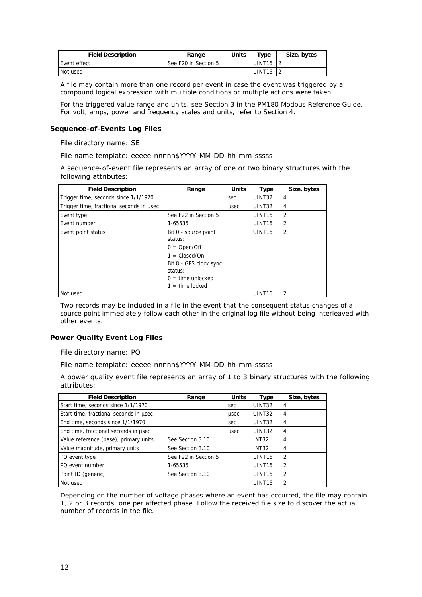| <b>Field Description</b> | Range                | Units | $T$ ype            | Size, bytes |
|--------------------------|----------------------|-------|--------------------|-------------|
| Event effect             | See F20 in Section 5 |       | UINT <sub>16</sub> |             |
| Not used                 |                      |       | UINT <sub>16</sub> |             |

A file may contain more than one record per event in case the event was triggered by a compound logical expression with multiple conditions or multiple actions were taken.

For the triggered value range and units, see Section 3 in the PM180 Modbus Reference Guide. For volt, amps, power and frequency scales and units, refer to Section 4.

### **Sequence-of-Events Log Files**

File directory name: SE

File name template: eeeee-nnnnn\$YYYY-MM-DD-hh-mm-sssss

A sequence-of-event file represents an array of one or two binary structures with the following attributes:

| <b>Field Description</b>                 | Range                                                                                                                                                               | <b>Units</b> | <b>Type</b>        | Size, bytes    |
|------------------------------------------|---------------------------------------------------------------------------------------------------------------------------------------------------------------------|--------------|--------------------|----------------|
| Trigger time, seconds since 1/1/1970     |                                                                                                                                                                     | sec          | UINT32             | 4              |
| Trigger time, fractional seconds in usec |                                                                                                                                                                     | usec         | UINT32             | 4              |
| Event type                               | See F22 in Section 5                                                                                                                                                |              | UINT <sub>16</sub> | 2              |
| Event number                             | 1-65535                                                                                                                                                             |              | UINT <sub>16</sub> | $\overline{2}$ |
| Event point status                       | Bit 0 - source point<br>status:<br>$0 = Open/Off$<br>$1 = \text{Closed}/\text{On}$<br>Bit 8 - GPS clock sync<br>status:<br>$0 =$ time unlocked<br>$1 =$ time locked |              | UINT <sub>16</sub> | 2              |
| Not used                                 |                                                                                                                                                                     |              | UINT <sub>16</sub> | $\overline{2}$ |

Two records may be included in a file in the event that the consequent status changes of a source point immediately follow each other in the original log file without being interleaved with other events.

### **Power Quality Event Log Files**

File directory name: PQ

File name template: eeeee-nnnnn\$YYYY-MM-DD-hh-mm-sssss

A power quality event file represents an array of 1 to 3 binary structures with the following attributes:

| <b>Field Description</b>               | Range                | <b>Units</b> | <b>Type</b>        | Size, bytes    |
|----------------------------------------|----------------------|--------------|--------------------|----------------|
| Start time, seconds since 1/1/1970     |                      | sec          | UINT32             | 4              |
| Start time, fractional seconds in usec |                      | usec         | UINT32             | 4              |
| End time, seconds since 1/1/1970       |                      | sec          | UINT32             | 4              |
| End time, fractional seconds in usec   |                      | usec         | UINT <sub>32</sub> | 4              |
| Value reference (base), primary units  | See Section 3.10     |              | <b>INT32</b>       | 4              |
| Value magnitude, primary units         | See Section 3.10     |              | <b>INT32</b>       | 4              |
| PQ event type                          | See F22 in Section 5 |              | UINT <sub>16</sub> | 2              |
| PQ event number                        | 1-65535              |              | UINT <sub>16</sub> | $\overline{2}$ |
| Point ID (generic)                     | See Section 3.10     |              | UINT <sub>16</sub> | $\overline{2}$ |
| Not used                               |                      |              | UINT <sub>16</sub> | 2              |

Depending on the number of voltage phases where an event has occurred, the file may contain 1, 2 or 3 records, one per affected phase. Follow the received file size to discover the actual number of records in the file.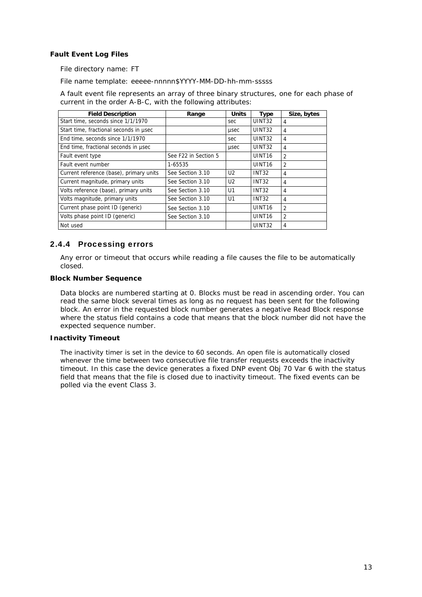### **Fault Event Log Files**

File directory name: FT

File name template: eeeee-nnnnn\$YYYY-MM-DD-hh-mm-sssss

A fault event file represents an array of three binary structures, one for each phase of current in the order A-B-C, with the following attributes:

| <b>Field Description</b>                | Range                | <b>Units</b>   | <b>Type</b>        | Size, bytes    |
|-----------------------------------------|----------------------|----------------|--------------------|----------------|
| Start time, seconds since 1/1/1970      |                      | sec            | UINT32             | 4              |
| Start time, fractional seconds in usec  |                      | usec           | <b>UINT32</b>      | 4              |
| End time, seconds since 1/1/1970        |                      | sec            | UINT <sub>32</sub> | 4              |
| End time, fractional seconds in usec    |                      | usec           | UINT32             | 4              |
| Fault event type                        | See F22 in Section 5 |                | UINT <sub>16</sub> | $\overline{2}$ |
| Fault event number                      | 1-65535              |                | UINT <sub>16</sub> | $\overline{2}$ |
| Current reference (base), primary units | See Section 3.10     | U <sub>2</sub> | <b>INT32</b>       | 4              |
| Current magnitude, primary units        | See Section 3.10     | U <sub>2</sub> | <b>INT32</b>       | 4              |
| Volts reference (base), primary units   | See Section 3.10     | U1             | <b>INT32</b>       | 4              |
| Volts magnitude, primary units          | See Section 3.10     | U1             | <b>INT32</b>       | 4              |
| Current phase point ID (generic)        | See Section 3.10     |                | UINT <sub>16</sub> | $\overline{2}$ |
| Volts phase point ID (generic)          | See Section 3.10     |                | UINT <sub>16</sub> | $\overline{2}$ |
| Not used                                |                      |                | UINT32             | 4              |

### 2.4.4 Processing errors

<span id="page-12-0"></span>Any error or timeout that occurs while reading a file causes the file to be automatically closed.

#### **Block Number Sequence**

Data blocks are numbered starting at 0. Blocks must be read in ascending order. You can read the same block several times as long as no request has been sent for the following block. An error in the requested block number generates a negative Read Block response where the status field contains a code that means that the block number did not have the expected sequence number.

#### **Inactivity Timeout**

The inactivity timer is set in the device to 60 seconds. An open file is automatically closed whenever the time between two consecutive file transfer requests exceeds the inactivity timeout. In this case the device generates a fixed DNP event Obj 70 Var 6 with the status field that means that the file is closed due to inactivity timeout. The fixed events can be polled via the event Class 3.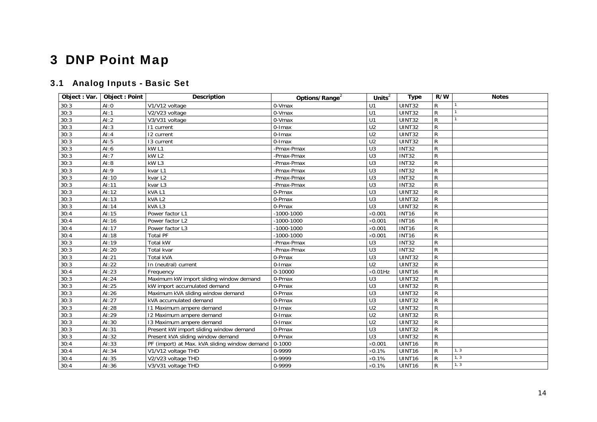# 3 DNP Point Map

# 3.1 Analog Inputs - Basic Set

<span id="page-13-1"></span><span id="page-13-0"></span>

| Object: Var. | <b>Object: Point</b> | <b>Description</b>                            | Options/Range <sup>2</sup> | $Units2$         | <b>Type</b>   | R/W            | <b>Notes</b>   |
|--------------|----------------------|-----------------------------------------------|----------------------------|------------------|---------------|----------------|----------------|
| 30:3         | AI:0                 | V1/V12 voltage                                | 0-Vmax                     | U1               | UINT32        | R              |                |
| 30:3         | AI:1                 | V2/V23 voltage                                | 0-Vmax                     | U1               | UINT32        | ${\sf R}$      | $\overline{1}$ |
| 30:3         | AI:2                 | $\sqrt{V3}/V31$ voltage                       | 0-Vmax                     | U1               | UINT32        | ${\sf R}$      |                |
| 30:3         | AI:3                 | 11 current                                    | 0-Imax                     | U <sub>2</sub>   | UINT32        | $\mathsf{R}$   |                |
| 30:3         | AI:4                 | 12 current                                    | $0$ -Imax                  | U <sub>2</sub>   | <b>UINT32</b> | $\mathsf{R}$   |                |
| 30:3         | AI:5                 | 13 current                                    | 0-Imax                     | U <sub>2</sub>   | UINT32        | $\mathsf{R}$   |                |
| 30:3         | AI:6                 | kW <sub>L1</sub>                              | -Pmax-Pmax                 | $\overline{U}$ 3 | <b>INT32</b>  | $\mathsf{R}$   |                |
| 30:3         | AI:7                 | kW <sub>L2</sub>                              | -Pmax-Pmax                 | U <sub>3</sub>   | <b>INT32</b>  | ${\sf R}$      |                |
| 30:3         | AI:8                 | kW <sub>L3</sub>                              | -Pmax-Pmax                 | $\overline{U}$ 3 | <b>INT32</b>  | ${\sf R}$      |                |
| 30:3         | AI:9                 | kvar L1                                       | -Pmax-Pmax                 | $\overline{U}$ 3 | <b>INT32</b>  | $\mathsf{R}$   |                |
| 30:3         | AI:10                | kvar L2                                       | -Pmax-Pmax                 | $\overline{U}$ 3 | <b>INT32</b>  | ${\sf R}$      |                |
| 30:3         | AI:11                | kvar L3                                       | -Pmax-Pmax                 | U3               | <b>INT32</b>  | ${\sf R}$      |                |
| 30:3         | AI:12                | kVAL1                                         | 0-Pmax                     | U3               | UINT32        | ${\sf R}$      |                |
| 30:3         | AI:13                | kVAL2                                         | 0-Pmax                     | U <sub>3</sub>   | UINT32        | ${\sf R}$      |                |
| 30:3         | AI:14                | kVAL3                                         | 0-Pmax                     | U3               | UINT32        | ${\sf R}$      |                |
| 30:4         | AI:15                | Power factor L1                               | $-1000 - 1000$             | $\times$ 0.001   | <b>INT16</b>  | $\mathsf R$    |                |
| 30:4         | Al:16                | Power factor L2                               | $-1000 - 1000$             | $\times$ 0.001   | <b>INT16</b>  | $\overline{R}$ |                |
| 30:4         | AI:17                | Power factor L3                               | $-1000 - 1000$             | $\times$ 0.001   | <b>INT16</b>  | $\mathsf{R}$   |                |
| 30:4         | AI:18                | <b>Total PF</b>                               | $-1000 - 1000$             | $\times$ 0.001   | <b>INT16</b>  | $\mathsf{R}$   |                |
| 30:3         | AI:19                | <b>Total kW</b>                               | -Pmax-Pmax                 | U <sub>3</sub>   | <b>INT32</b>  | $\mathsf{R}$   |                |
| 30:3         | AI:20                | Total kvar                                    | -Pmax-Pmax                 | $\overline{U}$ 3 | <b>INT32</b>  | $\mathsf{R}$   |                |
| 30:3         | AI:21                | <b>Total kVA</b>                              | 0-Pmax                     | U <sub>3</sub>   | UINT32        | ${\sf R}$      |                |
| 30:3         | AI:22                | In (neutral) current                          | $0$ -Imax                  | U <sub>2</sub>   | <b>UINT32</b> | $\mathsf{R}$   |                |
| 30:4         | AI:23                | Frequency                                     | 0-10000                    | $\times$ 0.01Hz  | UINT16        | $\overline{R}$ |                |
| 30:3         | Al:24                | Maximum kW import sliding window demand       | 0-Pmax                     | U <sub>3</sub>   | UINT32        | $\overline{R}$ |                |
| 30:3         | AI:25                | kW import accumulated demand                  | 0-Pmax                     | U3               | UINT32        | $\mathsf{R}$   |                |
| 30:3         | Al:26                | Maximum kVA sliding window demand             | 0-Pmax                     | U3               | UINT32        | ${\sf R}$      |                |
| 30:3         | AI:27                | kVA accumulated demand                        | 0-Pmax                     | U3               | UINT32        | $\mathsf{R}$   |                |
| 30:3         | AI:28                | 11 Maximum ampere demand                      | 0-Imax                     | $\overline{U2}$  | UINT32        | $\mathsf{R}$   |                |
| 30:3         | AI:29                | 12 Maximum ampere demand                      | 0-Imax                     | U <sub>2</sub>   | UINT32        | ${\sf R}$      |                |
| 30:3         | AI:30                | 13 Maximum ampere demand                      | $0$ -Imax                  | U <sub>2</sub>   | UINT32        | $\mathsf{R}$   |                |
| 30:3         | AI:31                | Present kW import sliding window demand       | 0-Pmax                     | U3               | UINT32        | $\overline{R}$ |                |
| 30:3         | AI:32                | Present kVA sliding window demand             | 0-Pmax                     | U3               | UINT32        | $\mathsf{R}$   |                |
| 30:4         | AI:33                | PF (import) at Max. kVA sliding window demand | $0 - 1000$                 | $\times$ 0.001   | UINT16        | $\overline{R}$ |                |
| 30:4         | AI:34                | V1/V12 voltage THD                            | 0-9999                     | $\times 0.1\%$   | UINT16        | $\mathsf{R}$   | 1, 3           |
| 30:4         | AI:35                | V2/V23 voltage THD                            | 0-9999                     | $\times 0.1\%$   | UINT16        | $\mathsf{R}$   | 1, 3           |
| 30:4         | AI:36                | V3/V31 voltage THD                            | 0-9999                     | $\times 0.1\%$   | UINT16        | $\mathsf{R}$   | 1, 3           |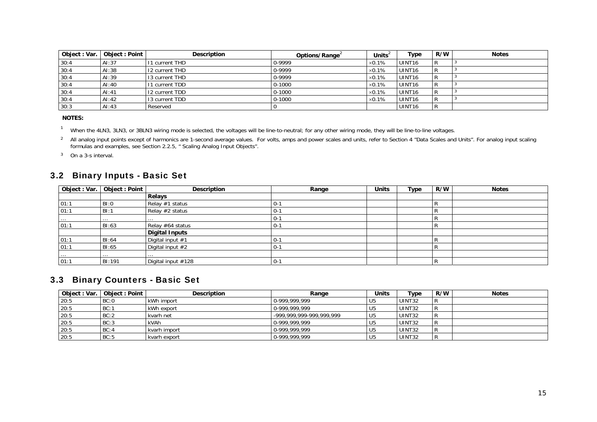| Object: Var. | <b>Object: Point</b> | <b>Description</b> | Options/Range | Unitsʻ         | Type               | R/W | <b>Notes</b> |
|--------------|----------------------|--------------------|---------------|----------------|--------------------|-----|--------------|
| 30:4         | AI:37                | 11 current THD     | 0-9999        | $\times$ 0.1%  | UINT <sub>16</sub> |     |              |
| 30:4         | AI:38                | 12 current THD     | 0-9999        | $\times 0.1\%$ | UINT <sub>16</sub> | R   |              |
| 30:4         | AI:39                | 13 current THD     | 0-9999        | $\times 0.1\%$ | UINT <sub>16</sub> | R   |              |
| 30:4         | AI:40                | 11 current TDD     | $0 - 1000$    | $\times 0.1\%$ | UINT <sub>16</sub> | R   |              |
| 30:4         | AI:41                | 12 current TDD     | $0 - 1000$    | $\times$ 0.1%  | UINT <sub>16</sub> |     |              |
| 30:4         | AI:42                | 13 current TDD     | $0 - 1000$    | $\times$ 0.1%  | UINT <sub>16</sub> |     |              |
| 30:3         | AI:43                | Reserved           |               |                | UINT <sub>16</sub> | R   |              |

 **NOTES:** 

<sup>1</sup> When the 4LN3, 3LN3, or 3BLN3 wiring mode is selected, the voltages will be line-to-neutral; for any other wiring mode, they will be line-to-line voltages.

<sup>2</sup> All analog input points except of harmonics are 1-second average values. For volts, amps and power scales and units, refer to Section 4 "Data Scales and Units". For analog input scaling formulas and examples, see Section 2.2.5, " Scaling Analog Input Objects".

3 On a 3-s interval.

## 3.2 Binary Inputs - Basic Set

| Object: Var. | Object : Point | <b>Description</b>    | Range   | <b>Units</b> | Type | R/W    | <b>Notes</b> |
|--------------|----------------|-----------------------|---------|--------------|------|--------|--------------|
|              |                | Relays                |         |              |      |        |              |
| 01:1         | BI:0           | Relay #1 status       | $0 - 1$ |              |      |        |              |
| 01:1         | BI:1           | Relay #2 status       | $0 - 1$ |              |      |        |              |
| $\cdots$     | $\cdots$       | $\cdots$              | $0 - 1$ |              |      |        |              |
| 01:1         | BI:63          | Relay #64 status      | $0 - 1$ |              |      | n      |              |
|              |                | <b>Digital Inputs</b> |         |              |      |        |              |
| 01:1         | BI:64          | Digital input #1      | $0 - 1$ |              |      | R      |              |
| 01:1         | BI:65          | Digital input #2      | $0 - 1$ |              |      |        |              |
| $\cdots$     | $\cdots$       | $\cdots$              |         |              |      |        |              |
| 01:1         | BI:191         | Digital input #128    | $0 - 1$ |              |      | с<br>n |              |

### 3.3 Binary Counters - Basic Set

<span id="page-14-3"></span><span id="page-14-2"></span><span id="page-14-1"></span><span id="page-14-0"></span>

| Object: Var. | Object: Point | <b>Description</b> | Range                    | Units | Type   | R/W | <b>Notes</b> |
|--------------|---------------|--------------------|--------------------------|-------|--------|-----|--------------|
| 20:5         | BC:0          | kWh import         | 0-999.999.999            | U5    | UINT32 |     |              |
| 20:5         | BC:1          | kWh export         | 0-999.999.999            | U5    | UINT32 |     |              |
| 20:5         | BC:2          | kvarh net          | -999.999.999-999.999.999 | U5    | UINT32 |     |              |
| 20:5         | BC:3          | kVAh               | 0-999.999.999            | U5    | UINT32 |     |              |
| 20:5         | BC:4          | kvarh import       | 0-999.999.999            | U5    | UINT32 |     |              |
| 20:5         | BC:5          | kvarh export       | 0-999,999,999            | l U5  | UINT32 |     |              |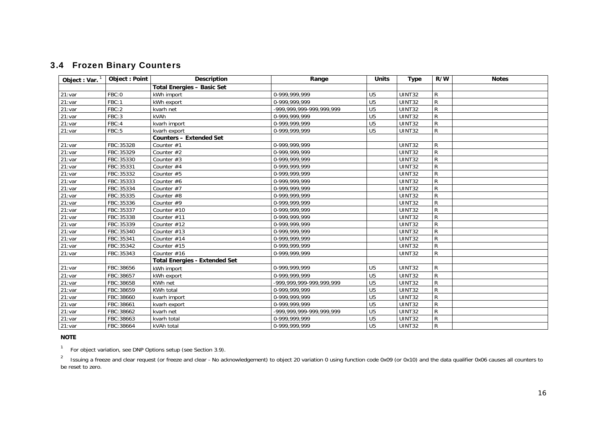## 3.4 Frozen Binary Counters

| Object: Var. | <b>Object: Point</b> | <b>Description</b>                   | Range                        | <b>Units</b>    | <b>Type</b>   | R/W          | <b>Notes</b> |
|--------------|----------------------|--------------------------------------|------------------------------|-----------------|---------------|--------------|--------------|
|              |                      | <b>Total Energies - Basic Set</b>    |                              |                 |               |              |              |
| 21:var       | FBC:0                | kWh import                           | 0-999,999,999                | U <sub>5</sub>  | <b>UINT32</b> | R            |              |
| 21:var       | FBC:1                | kWh export                           | 0-999,999,999                | U <sub>5</sub>  | UINT32        | ${\sf R}$    |              |
| 21:var       | FBC:2                | kvarh net                            | -999.999.999-999.999.999     | $\overline{U5}$ | UINT32        | ${\sf R}$    |              |
| 21:var       | FBC:3                | kVAh                                 | 0-999,999,999                | U <sub>5</sub>  | <b>UINT32</b> | R            |              |
| 21:var       | FBC:4                | kvarh import                         | 0-999,999,999                | U <sub>5</sub>  | UINT32        | ${\sf R}$    |              |
| 21:var       | FBC:5                | kvarh export                         | 0-999,999,999                | U <sub>5</sub>  | <b>UINT32</b> | $\mathsf{R}$ |              |
|              |                      | <b>Counters - Extended Set</b>       |                              |                 |               |              |              |
| 21:var       | FBC:35328            | Counter $#1$                         | 0-999,999,999                |                 | <b>UINT32</b> | R            |              |
| 21:var       | FBC:35329            | Counter $#2$                         | 0-999.999.999                |                 | <b>UINT32</b> | R            |              |
| 21:var       | FBC:35330            | Counter $#3$                         | 0-999,999,999                |                 | UINT32        | ${\sf R}$    |              |
| 21:var       | FBC:35331            | Counter #4                           | 0-999,999,999                |                 | <b>UINT32</b> | R            |              |
| 21:var       | FBC:35332            | Counter #5                           | 0-999,999,999                |                 | UINT32        | ${\sf R}$    |              |
| 21:var       | FBC:35333            | Counter $#6$                         | 0-999,999,999                |                 | UINT32        | ${\sf R}$    |              |
| 21:var       | FBC:35334            | Counter #7                           | 0-999,999,999                |                 | <b>UINT32</b> | R            |              |
| 21:var       | FBC:35335            | Counter #8                           | 0-999,999,999                |                 | <b>UINT32</b> | ${\sf R}$    |              |
| 21:var       | FBC:35336            | Counter $#9$                         | 0-999.999.999                |                 | <b>UINT32</b> | ${\sf R}$    |              |
| 21:var       | FBC:35337            | Counter #10                          | 0-999,999,999                |                 | UINT32        | ${\sf R}$    |              |
| 21:var       | FBC:35338            | Counter #11                          | 0-999,999,999                |                 | UINT32        | R            |              |
| 21:var       | FBC:35339            | Counter #12                          | 0-999,999,999                |                 | UINT32        | $\mathsf{R}$ |              |
| 21:var       | FBC:35340            | Counter #13                          | 0-999,999,999                |                 | UINT32        | R            |              |
| 21:var       | FBC:35341            | Counter #14                          | 0-999,999,999                |                 | UINT32        | ${\sf R}$    |              |
| 21:var       | FBC:35342            | Counter #15                          | 0-999,999,999                |                 | UINT32        | R            |              |
| 21:var       | FBC:35343            | Counter $#16$                        | 0-999,999,999                |                 | UINT32        | R            |              |
|              |                      | <b>Total Energies - Extended Set</b> |                              |                 |               |              |              |
| 21:var       | FBC:38656            | kWh import                           | 0-999,999,999                | U <sub>5</sub>  | <b>UINT32</b> | ${\sf R}$    |              |
| 21:var       | FBC:38657            | kWh export                           | 0-999.999.999                | U <sub>5</sub>  | <b>UINT32</b> | ${\sf R}$    |              |
| 21:var       | FBC:38658            | KWh net                              | -999, 999, 999-999, 999, 999 | U <sub>5</sub>  | UINT32        | ${\sf R}$    |              |
| 21:var       | FBC:38659            | KWh total                            | 0-999,999,999                | $\overline{U5}$ | <b>UINT32</b> | ${\sf R}$    |              |
| 21:var       | FBC:38660            | kvarh import                         | 0-999,999,999                | U <sub>5</sub>  | UINT32        | R            |              |
| 21:var       | FBC:38661            | kvarh export                         | 0-999,999,999                | $\overline{U5}$ | <b>UINT32</b> | ${\sf R}$    |              |
| 21:var       | FBC:38662            | kvarh net                            | -999, 999, 999-999, 999, 999 | U <sub>5</sub>  | <b>UINT32</b> | ${\sf R}$    |              |
| 21:var       | FBC:38663            | kvarh total                          | 0-999,999,999                | U <sub>5</sub>  | UINT32        | ${\sf R}$    |              |
| 21:var       | FBC:38664            | kVAh total                           | 0-999.999.999                | U <sub>5</sub>  | <b>UINT32</b> | R            |              |

#### **NOTE**

<span id="page-15-3"></span><sup>1</sup> For object variation, see DNP Options setup (see Section 3.9).

<span id="page-15-2"></span><span id="page-15-1"></span><span id="page-15-0"></span><sup>2</sup> Issuing a freeze and clear request (or freeze and clear - No acknowledgement) to object 20 variation 0 using function code 0x09 (or 0x10) and the data qualifier 0x06 causes all counters to be reset to zero.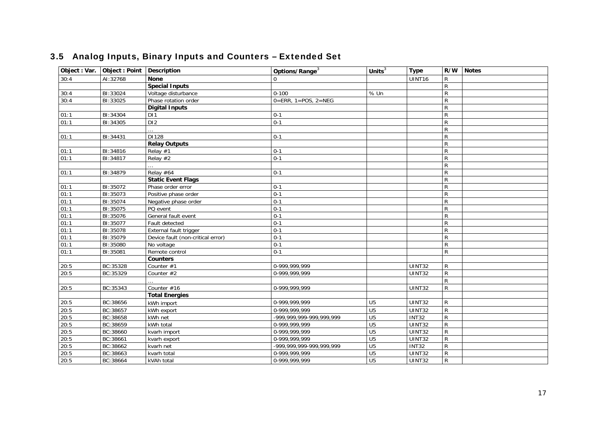<span id="page-16-6"></span><span id="page-16-5"></span><span id="page-16-4"></span><span id="page-16-3"></span><span id="page-16-2"></span><span id="page-16-1"></span><span id="page-16-0"></span>

| Object : Var. | Object: Point   Description |                                   | Options/Range <sup>3</sup>        | Units $3$       | <b>Type</b>   |                | R/W Notes |
|---------------|-----------------------------|-----------------------------------|-----------------------------------|-----------------|---------------|----------------|-----------|
| 30:4          | AI:32768                    | <b>None</b>                       | $\Omega$                          |                 | UINT16        | R              |           |
|               |                             | <b>Special Inputs</b>             |                                   |                 |               | R              |           |
| 30:4          | BI:33024                    | Voltage disturbance               | $0 - 100$                         | % Un            |               | ${\sf R}$      |           |
| 30:4          | BI:33025                    | Phase rotation order              | $0 = ERR$ , $1 = POS$ , $2 = NEG$ |                 |               | R              |           |
|               |                             | <b>Digital Inputs</b>             |                                   |                 |               | R.             |           |
| 01:1          | BI:34304                    | D <sub>11</sub>                   | $0 - 1$                           |                 |               | ${\sf R}$      |           |
| 01:1          | BI:34305                    | D <sub>12</sub>                   | $0 - 1$                           |                 |               | ${\sf R}$      |           |
|               |                             |                                   |                                   |                 |               | R              |           |
| 01:1          | BI:34431                    | DI128                             | $0 - 1$                           |                 |               | ${\sf R}$      |           |
|               |                             | <b>Relay Outputs</b>              |                                   |                 |               | R              |           |
| 01:1          | BI:34816                    | Relay #1                          | $0 - 1$                           |                 |               | R              |           |
| 01:1          | BI:34817                    | Relay #2                          | $0-1$                             |                 |               | $\overline{R}$ |           |
|               |                             |                                   |                                   |                 |               | R              |           |
| 01:1          | BI:34879                    | Relay #64                         | $0 - 1$                           |                 |               | $\overline{R}$ |           |
|               |                             | <b>Static Event Flags</b>         |                                   |                 |               | R              |           |
| 01:1          | BI:35072                    | Phase order error                 | $0 - 1$                           |                 |               | R              |           |
| 01:1          | BI:35073                    | Positive phase order              | $0 - 1$                           |                 |               | $\overline{R}$ |           |
| 01:1          | BI:35074                    | Negative phase order              | $0-1$                             |                 |               | ${\sf R}$      |           |
| 01:1          | BI:35075                    | PQ event                          | $0 - 1$                           |                 |               | $\overline{R}$ |           |
| 01:1          | BI:35076                    | General fault event               | $0 - 1$                           |                 |               | ${\sf R}$      |           |
| 01:1          | BI:35077                    | Fault detected                    | $0 - 1$                           |                 |               | R              |           |
| 01:1          | BI:35078                    | External fault trigger            | $0 - 1$                           |                 |               | ${\sf R}$      |           |
| 01:1          | BI:35079                    | Device fault (non-critical error) | $0 - 1$                           |                 |               | R              |           |
| 01:1          | BI:35080                    | No voltage                        | $0-1$                             |                 |               | $\mathsf R$    |           |
| 01:1          | BI:35081                    | Remote control                    | $0 - 1$                           |                 |               | R              |           |
|               |                             | <b>Counters</b>                   |                                   |                 |               |                |           |
| 20:5          | BC:35328                    | Counter #1                        | 0-999,999,999                     |                 | <b>UINT32</b> | R              |           |
| 20:5          | BC:35329                    | Counter $#2$                      | 0-999.999.999                     |                 | <b>UINT32</b> | ${\sf R}$      |           |
|               |                             |                                   |                                   |                 |               | R              |           |
| 20:5          | BC:35343                    | Counter #16                       | 0-999.999.999                     |                 | <b>UINT32</b> | R              |           |
|               |                             | <b>Total Energies</b>             |                                   |                 |               |                |           |
| 20:5          | BC:38656                    | kWh import                        | 0-999,999,999                     | U <sub>5</sub>  | <b>UINT32</b> | R              |           |
| 20:5          | BC:38657                    | kWh export                        | 0-999.999.999                     | $\overline{U5}$ | UINT32        | R              |           |
| 20:5          | BC:38658                    | kWh net                           | -999, 999, 999-999, 999, 999      | $\overline{U5}$ | <b>INT32</b>  | ${\sf R}$      |           |
| 20:5          | BC:38659                    | kWh total                         | 0-999,999,999                     | $\overline{U5}$ | UINT32        | ${\sf R}$      |           |
| 20:5          | BC:38660                    | kvarh import                      | 0-999,999,999                     | $\overline{U5}$ | UINT32        | ${\sf R}$      |           |
| 20:5          | BC:38661                    | kvarh export                      | 0-999,999,999                     | $\overline{U5}$ | UINT32        | R              |           |
| 20:5          | BC:38662                    | kvarh net                         | -999.999.999-999.999.999          | $\overline{U5}$ | <b>INT32</b>  | R              |           |
| 20:5          | BC:38663                    | kvarh total                       | 0-999,999,999                     | U <sub>5</sub>  | UINT32        | R              |           |
| 20:5          | BC:38664                    | kVAh total                        | 0-999, 999, 999                   | U <sub>5</sub>  | UINT32        | $\overline{R}$ |           |

# 3.5 Analog Inputs, Binary Inputs and Counters – Extended Set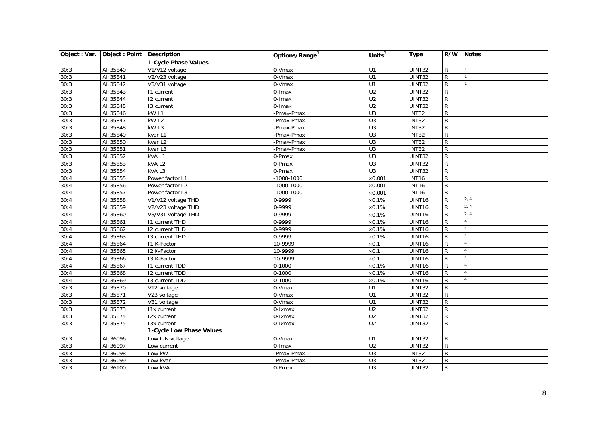<span id="page-17-1"></span><span id="page-17-0"></span>

| Object : Var. | Object : Point   Description |                          | Options/Range <sup>3</sup> | Units $3$        | <b>Type</b>        | R/W          | <b>Notes</b>   |
|---------------|------------------------------|--------------------------|----------------------------|------------------|--------------------|--------------|----------------|
|               |                              | 1-Cycle Phase Values     |                            |                  |                    |              |                |
| 30:3          | AI:35840                     | V1/V12 voltage           | 0-Vmax                     | U1               | UINT32             | $\mathsf{R}$ | $\mathbf{1}$   |
| 30:3          | AI:35841                     | V2/V23 voltage           | 0-Vmax                     | U1               | <b>UINT32</b>      | $\mathsf{R}$ | $\mathbf{1}$   |
| 30:3          | AI:35842                     | V3/V31 voltage           | 0-Vmax                     | U1               | UINT32             | $\mathsf{R}$ | $\mathbf{1}$   |
| 30:3          | AI:35843                     | 11 current               | 0-Imax                     | $\overline{U2}$  | UINT32             | $\mathsf{R}$ |                |
| 30:3          | AI:35844                     | 12 current               | 0-Imax                     | U <sub>2</sub>   | UINT32             | $\mathsf{R}$ |                |
| 30:3          | AI:35845                     | 13 current               | 0-Imax                     | U <sub>2</sub>   | UINT32             | $\mathsf{R}$ |                |
| 30:3          | AI:35846                     | kW L1                    | -Pmax-Pmax                 | U3               | <b>INT32</b>       | $\mathsf R$  |                |
| 30:3          | AI:35847                     | kW <sub>L2</sub>         | -Pmax-Pmax                 | U3               | $\overline{INT32}$ | $\mathsf R$  |                |
| 30:3          | AI:35848                     | kW <sub>L3</sub>         | -Pmax-Pmax                 | $\overline{U}3$  | <b>INT32</b>       | R            |                |
| 30:3          | AI:35849                     | kvar L1                  | -Pmax-Pmax                 | U3               | <b>INT32</b>       | $\mathsf{R}$ |                |
| 30:3          | AI:35850                     | kvar L2                  | -Pmax-Pmax                 | U3               | <b>INT32</b>       | $\mathsf R$  |                |
| 30:3          | AI:35851                     | kvar L3                  | -Pmax-Pmax                 | $\overline{U}$   | <b>INT32</b>       | $\mathsf R$  |                |
| 30:3          | AI:35852                     | kVAL1                    | $\overline{0}$ -Pmax       | U3               | <b>UINT32</b>      | $\mathsf{R}$ |                |
| 30:3          | AI:35853                     | kVAL <sub>2</sub>        | 0-Pmax                     | U3               | UINT32             | $\mathsf{R}$ |                |
| 30:3          | AI:35854                     | kVAL3                    | 0-Pmax                     | $\overline{U}$ 3 | UINT32             | R            |                |
| 30:4          | AI:35855                     | Power factor L1          | $-1000 - 1000$             | $\times$ 0.001   | <b>INT16</b>       | R            |                |
| 30:4          | AI:35856                     | Power factor L2          | $-1000 - 1000$             | $\times$ 0.001   | <b>INT16</b>       | R            |                |
| 30:4          | AI:35857                     | Power factor L3          | $-1000 - 1000$             | $\times$ 0.001   | <b>INT16</b>       | $\mathsf{R}$ |                |
| 30:4          | AI:35858                     | V1/V12 voltage THD       | 0-9999                     | $\times 0.1\%$   | UINT16             | R            | 2, 4           |
| 30:4          | AI:35859                     | V2/V23 voltage THD       | 0-9999                     | $\times 0.1\%$   | UINT16             | R            | 2, 4           |
| 30:4          | AI:35860                     | V3/V31 voltage THD       | 0-9999                     | $\times$ 0.1%    | UINT16             | R            | 2, 4           |
| 30:4          | AI:35861                     | <b>11 current THD</b>    | 0-9999                     | $\times 0.1\%$   | UINT16             | R            | $\overline{4}$ |
| 30:4          | AI:35862                     | 12 current THD           | 0-9999                     | $\times 0.1\%$   | UINT16             | R            | $\overline{4}$ |
| 30:4          | AI:35863                     | 13 current THD           | 0-9999                     | $\times 0.1\%$   | UINT16             | $\mathsf R$  | $\overline{4}$ |
| 30:4          | AI:35864                     | I1 K-Factor              | 10-9999                    | $\times 0.1$     | UINT16             | R            | $\overline{4}$ |
| 30:4          | AI:35865                     | I2 K-Factor              | 10-9999                    | $\times 0.1$     | UINT16             | R            | $\overline{4}$ |
| 30:4          | AI:35866                     | 13 K-Factor              | 10-9999                    | $\times 0.1$     | UINT16             | R            | $\overline{4}$ |
| 30:4          | AI:35867                     | <b>11 current TDD</b>    | $0 - 1000$                 | $\times 0.1\%$   | UINT16             | R            | $\overline{4}$ |
| 30:4          | AI:35868                     | 12 current TDD           | $0 - 1000$                 | $\times 0.1\%$   | UINT16             | R            | $\overline{4}$ |
| 30:4          | AI:35869                     | 13 current TDD           | $0 - 1000$                 | $\times 0.1\%$   | UINT16             | R            | $\overline{4}$ |
| 30:3          | AI:35870                     | V12 voltage              | $0-Vmax$                   | U1               | UINT32             | R            |                |
| 30:3          | AI:35871                     | V23 voltage              | 0-Vmax                     | U1               | UINT32             | $\mathsf{R}$ |                |
| 30:3          | AI:35872                     | V31 voltage              | 0-Vmax                     | U1               | UINT32             | $\mathsf{R}$ |                |
| 30:3          | AI:35873                     | I1x current              | 0-Ixmax                    | U <sub>2</sub>   | UINT32             | R            |                |
| 30:3          | AI:35874                     | 12x current              | 0-Ixmax                    | U <sub>2</sub>   | UINT32             | R            |                |
| 30:3          | AI:35875                     | 13x current              | 0-Ixmax                    | $\overline{U2}$  | UINT32             | R            |                |
|               |                              | 1-Cycle Low Phase Values |                            |                  |                    |              |                |
| 30:3          | AI:36096                     | Low L-N voltage          | 0-Vmax                     | U1               | UINT32             | R            |                |
| 30:3          | AI:36097                     | Low current              | 0-Imax                     | U <sub>2</sub>   | UINT32             | R            |                |
| 30:3          | AI:36098                     | Low kW                   | -Pmax-Pmax                 | U3               | <b>INT32</b>       | R            |                |
| 30:3          | AI:36099                     | Low kvar                 | -Pmax-Pmax                 | U <sub>3</sub>   | INT32              | $\mathsf{R}$ |                |
| 30:3          | AI:36100                     | Low kVA                  | 0-Pmax                     | U3               | <b>UINT32</b>      | $\mathsf{R}$ |                |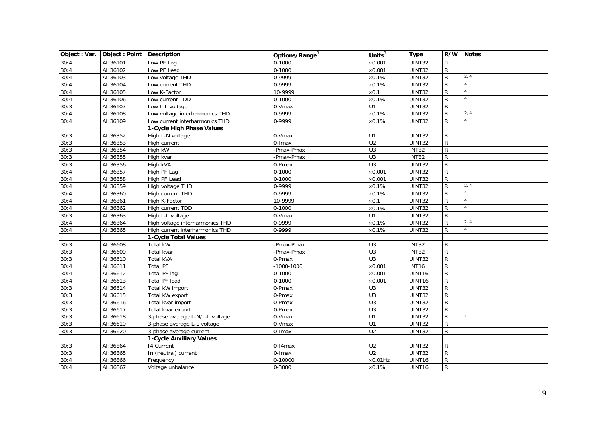<span id="page-18-2"></span><span id="page-18-1"></span><span id="page-18-0"></span>

| Object : Var. | Object: Point   Description |                                 | Options/Range <sup>3</sup> | Units $3$        | <b>Type</b>   | R/W          | <b>Notes</b>   |
|---------------|-----------------------------|---------------------------------|----------------------------|------------------|---------------|--------------|----------------|
| 30:4          | AI:36101                    | Low PF Lag                      | $0 - 1000$                 | $\times$ 0.001   | <b>UINT32</b> | R            |                |
| 30:4          | AI:36102                    | Low PF Lead                     | $0 - 1000$                 | $\times$ 0.001   | <b>UINT32</b> | $\mathsf{R}$ |                |
| 30:4          | AI:36103                    | Low voltage THD                 | 0-9999                     | $\times 0.1\%$   | <b>UINT32</b> | $\mathsf{R}$ | 2, 4           |
| 30:4          | AI:36104                    | Low current THD                 | 0-9999                     | $\times 0.1\%$   | <b>UINT32</b> | R            | $\overline{4}$ |
| 30:4          | AI:36105                    | Low K-Factor                    | 10-9999                    | $\times$ 0.1     | <b>UINT32</b> | R            | $\overline{4}$ |
| 30:4          | AI:36106                    | Low current TDD                 | $0 - 1000$                 | $\times 0.1\%$   | UINT32        | R            | $\overline{4}$ |
| 30:3          | AI:36107                    | Low L-L voltage                 | 0-Vmax                     | U1               | UINT32        | R            |                |
| 30:4          | AI:36108                    | Low voltage interharmonics THD  | 0-9999                     | $\times 0.1\%$   | <b>UINT32</b> | R            | 2, 4           |
| 30:4          | AI:36109                    | Low current interharmonics THD  | 0-9999                     | $\times 0.1\%$   | <b>UINT32</b> | R            | $\overline{4}$ |
|               |                             | 1-Cycle High Phase Values       |                            |                  |               |              |                |
| 30:3          | AI:36352                    | High L-N voltage                | 0-Vmax                     | U1               | UINT32        | R            |                |
| 30:3          | AI:36353                    | High current                    | 0-Imax                     | U <sub>2</sub>   | UINT32        | $\mathsf{R}$ |                |
| 30:3          | AI:36354                    | High kW                         | -Pmax-Pmax                 | $\overline{U}$ 3 | <b>INT32</b>  | $\mathsf{R}$ |                |
| 30:3          | AI:36355                    | High kvar                       | -Pmax-Pmax                 | U3               | <b>INT32</b>  | $\mathsf{R}$ |                |
| 30:3          | AI:36356                    | High kVA                        | 0-Pmax                     | U3               | UINT32        | $\mathsf R$  |                |
| 30:4          | AI:36357                    | High PF Lag                     | $0 - 1000$                 | $\times$ 0.001   | <b>UINT32</b> | R            |                |
| 30:4          | AI:36358                    | High PF Lead                    | $0 - 1000$                 | $\times$ 0.001   | UINT32        | R            |                |
| 30:4          | AI:36359                    | High voltage THD                | 0-9999                     | $\times 0.1\%$   | <b>UINT32</b> | R            | 2, 4           |
| 30:4          | AI:36360                    | High current THD                | 0-9999                     | $\times 0.1\%$   | UINT32        | $\mathsf R$  | $\overline{4}$ |
| 30:4          | AI:36361                    | High K-Factor                   | 10-9999                    | $\times 0.1$     | UINT32        | R            | $\overline{4}$ |
| 30:4          | AI:36362                    | High current TDD                | $0 - 1000$                 | $\times 0.1\%$   | UINT32        | R            | $\overline{4}$ |
| 30:3          | AI:36363                    | High L-L voltage                | 0-Vmax                     | U1               | <b>UINT32</b> | $\mathsf{R}$ |                |
| 30:4          | AI:36364                    | High voltage interharmonics THD | 0-9999                     | $\times 0.1\%$   | UINT32        | R            | 2, 4           |
| 30:4          | AI:36365                    | High current interharmonics THD | 0-9999                     | $\times 0.1\%$   | UINT32        | R            | $\overline{4}$ |
|               |                             | 1-Cycle Total Values            |                            |                  |               |              |                |
| 30:3          | AI:36608                    | Total kW                        | -Pmax-Pmax                 | U3               | <b>INT32</b>  | R            |                |
| 30:3          | AI:36609                    | Total kvar                      | -Pmax-Pmax                 | $\overline{U}$ 3 | <b>INT32</b>  | $\mathsf{R}$ |                |
| 30:3          | AI:36610                    | Total kVA                       | 0-Pmax                     | U3               | UINT32        | $\mathsf{R}$ |                |
| 30:4          | AI:36611                    | <b>Total PF</b>                 | $-1000 - 1000$             | $\times$ 0.001   | <b>INT16</b>  | $\mathsf R$  |                |
| 30:4          | AI:36612                    | Total PF lag                    | $0 - 1000$                 | $\times$ 0.001   | UINT16        | R            |                |
| 30:4          | AI:36613                    | Total PF lead                   | $0 - 1000$                 | $\times 0.001$   | UINT16        | $\mathsf{R}$ |                |
| 30:3          | AI:36614                    | Total kW import                 | 0-Pmax                     | $\overline{U}$ 3 | UINT32        | $\mathsf{R}$ |                |
| 30:3          | AI:36615                    | Total kW export                 | 0-Pmax                     | $\overline{U}$ 3 | UINT32        | $\mathsf{R}$ |                |
| 30:3          | AI:36616                    | Total kvar import               | 0-Pmax                     | U3               | UINT32        | ${\sf R}$    |                |
| 30:3          | AI:36617                    | Total kvar export               | 0-Pmax                     | U3               | UINT32        | R            |                |
| 30:3          | AI:36618                    | 3-phase average L-N/L-L voltage | 0-Vmax                     | $\overline{U}$ 1 | UINT32        | R            | $\mathbf{1}$   |
| 30:3          | AI:36619                    | 3-phase average L-L voltage     | 0-Vmax                     | U1               | <b>UINT32</b> | $\mathsf{R}$ |                |
| 30:3          | AI:36620                    | 3-phase average current         | 0-Imax                     | U <sub>2</sub>   | <b>UINT32</b> | R            |                |
|               |                             | 1-Cycle Auxiliary Values        |                            |                  |               |              |                |
| 30:3          | AI:36864                    | 14 Current                      | 0-14max                    | U <sub>2</sub>   | UINT32        | R            |                |
| 30:3          | AI:36865                    | In (neutral) current            | 0-Imax                     | U <sub>2</sub>   | UINT32        | R            |                |
| 30:4          | AI:36866                    | Frequency                       | 0-10000                    | $\times$ 0.01Hz  | UINT16        | $\mathsf{R}$ |                |
| 30:4          | AI:36867                    | Voltage unbalance               | 0-3000                     | $\times 0.1\%$   | UINT16        | $\mathsf{R}$ |                |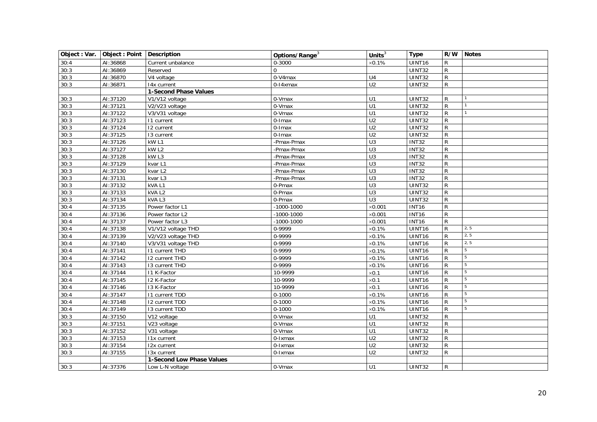<span id="page-19-1"></span><span id="page-19-0"></span>

| Object : Var. | Object: Point   Description |                              | Options/Range <sup>3</sup> | Units $3$        | <b>Type</b>        |              | R/W Notes      |
|---------------|-----------------------------|------------------------------|----------------------------|------------------|--------------------|--------------|----------------|
| 30:4          | AI:36868                    | Current unbalance            | 0-3000                     | $\times 0.1\%$   | UINT16             | R            |                |
| 30:3          | AI:36869                    | Reserved                     | $\Omega$                   |                  | UINT32             | $\mathsf R$  |                |
| 30:3          | AI:36870                    | V4 voltage                   | 0-V4max                    | U4               | <b>UINT32</b>      | $\mathsf{R}$ |                |
| 30:3          | AI:36871                    | 14x current                  | 0-14xmax                   | $\overline{U2}$  | <b>UINT32</b>      | R            |                |
|               |                             | <b>1-Second Phase Values</b> |                            |                  |                    |              |                |
| 30:3          | AI:37120                    | V1/V12 voltage               | 0-Vmax                     | U1               | UINT32             | R            |                |
| 30:3          | AI:37121                    | V2/V23 voltage               | 0-Vmax                     | U1               | UINT32             | R            | $\overline{1}$ |
| 30:3          | AI:37122                    | V3/V31 voltage               | 0-Vmax                     | $\overline{U}$ 1 | <b>UINT32</b>      | $\mathsf{R}$ | $\mathbf{1}$   |
| 30:3          | AI:37123                    | 11 current                   | 0-Imax                     | $\overline{U2}$  | UINT32             | $\mathsf R$  |                |
| 30:3          | AI:37124                    | 12 current                   | 0-Imax                     | $\overline{U2}$  | UINT32             | R            |                |
| 30:3          | AI:37125                    | $\overline{13}$ current      | 0-Imax                     | U <sub>2</sub>   | <b>UINT32</b>      | $\mathsf{R}$ |                |
| 30:3          | AI:37126                    | kW <sub>L1</sub>             | -Pmax-Pmax                 | U3               | <b>INT32</b>       | R            |                |
| 30:3          | AI:37127                    | kW L2                        | -Pmax-Pmax                 | $\overline{U}$ 3 | INT32              | $\mathsf{R}$ |                |
| 30:3          | AI:37128                    | kW <sub>L3</sub>             | -Pmax-Pmax                 | U3               | <b>INT32</b>       | $\mathsf R$  |                |
| 30:3          | AI:37129                    | kvar L1                      | -Pmax-Pmax                 | $\overline{U}$   | <b>INT32</b>       | R            |                |
| 30:3          | AI:37130                    | kvar L2                      | -Pmax-Pmax                 | $\overline{U}$   | <b>INT32</b>       | R            |                |
| 30:3          | AI:37131                    | kvar L3                      | -Pmax-Pmax                 | U3               | <b>INT32</b>       | $\mathsf R$  |                |
| 30:3          | AI:37132                    | kVAL1                        | 0-Pmax                     | $\overline{U}3$  | UINT32             | $\mathsf{R}$ |                |
| 30:3          | AI:37133                    | kVAL <sub>2</sub>            | 0-Pmax                     | $\overline{U}$ 3 | <b>UINT32</b>      | $\mathsf{R}$ |                |
| 30:3          | AI:37134                    | kVAL3                        | 0-Pmax                     | U3               | UINT32             | $\mathsf{R}$ |                |
| 30:4          | AI:37135                    | Power factor L1              | $-1000 - 1000$             | $\times$ 0.001   | <b>INT16</b>       | R            |                |
| 30:4          | AI:37136                    | Power factor L2              | $-1000 - 1000$             | $\times$ 0.001   | <b>INT16</b>       | R            |                |
| 30:4          | AI:37137                    | Power factor L3              | $-1000 - 1000$             | $\times$ 0.001   | <b>INT16</b>       | R            |                |
| 30:4          | AI:37138                    | V1/V12 voltage THD           | 0-9999                     | $\times 0.1\%$   | UINT16             |              | 2, 5           |
| 30:4          | AI:37139                    | V2/V23 voltage THD           | 0-9999                     | $\times 0.1\%$   | UINT <sub>16</sub> | R            | 2, 5           |
| 30:4          | AI:37140                    | V3/V31 voltage THD           | 0-9999                     | $\times 0.1\%$   | UINT16             | R            | 2, 5           |
| 30:4          | AI:37141                    | <b>11 current THD</b>        | 0-9999                     | $\times 0.1\%$   | UINT16             | R            | $\overline{5}$ |
| 30:4          | AI:37142                    | 12 current THD               | 0-9999                     | $\times 0.1\%$   | UINT16             | R            | $\overline{5}$ |
| 30:4          | AI:37143                    | 13 current THD               | 0-9999                     | $\times 0.1\%$   | UINT16             | R            | $\overline{5}$ |
| 30:4          | AI:37144                    | I1 K-Factor                  | 10-9999                    | $\times 0.1$     | UINT16             | R            | 5              |
| 30:4          | AI:37145                    | 12 K-Factor                  | 10-9999                    | $\times 0.1$     | UINT16             | R            | 5              |
| 30:4          | AI:37146                    | 13 K-Factor                  | 10-9999                    | $\times 0.1$     | UINT16             | R            | 5              |
| 30:4          | AI:37147                    | <b>11 current TDD</b>        | $0 - 1000$                 | $\times 0.1\%$   | UINT16             | R            | $\overline{5}$ |
| 30:4          | AI:37148                    | 12 current TDD               | $0 - 1000$                 | $\times$ 0.1%    | UINT16             | R            | $\overline{5}$ |
| 30:4          | AI:37149                    | 13 current TDD               | $0 - 1000$                 | $\times$ 0.1%    | UINT16             | R            | 5              |
| 30:3          | AI:37150                    | V12 voltage                  | 0-Vmax                     | U1               | UINT32             | $\mathsf{R}$ |                |
| 30:3          | AI:37151                    | V23 voltage                  | 0-Vmax                     | U1               | UINT32             | R            |                |
| 30:3          | AI:37152                    | V31 voltage                  | 0-Vmax                     | U1               | UINT32             | $\mathsf{R}$ |                |
| 30:3          | AI:37153                    | I1x current                  | 0-Ixmax                    | U <sub>2</sub>   | UINT32             | R            |                |
| 30:3          | AI:37154                    | I2x current                  | 0-Ixmax                    | $\overline{U2}$  | UINT32             | R            |                |
| 30:3          | AI:37155                    | 13x current                  | 0-Ixmax                    | $\overline{U2}$  | UINT32             | R            |                |
|               |                             | 1-Second Low Phase Values    |                            |                  |                    |              |                |
| 30:3          | AI:37376                    | Low L-N voltage              | 0-Vmax                     | U1               | <b>UINT32</b>      | $\mathsf{R}$ |                |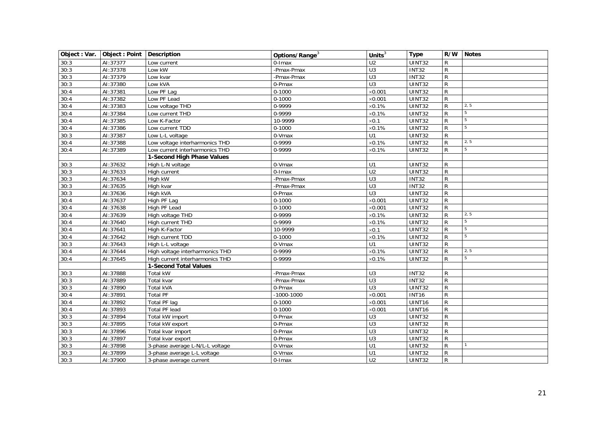<span id="page-20-1"></span><span id="page-20-0"></span>

| Object : Var. | Object: Point   Description |                                 | Options/Range <sup>3</sup> | Units $3$        | <b>Type</b>        | R/W          | Notes           |
|---------------|-----------------------------|---------------------------------|----------------------------|------------------|--------------------|--------------|-----------------|
| 30:3          | AI:37377                    | Low current                     | 0-Imax                     | $\overline{U2}$  | UINT32             | R            |                 |
| 30:3          | AI:37378                    | Low kW                          | -Pmax-Pmax                 | U3               | <b>INT32</b>       | $\mathsf{R}$ |                 |
| 30:3          | AI:37379                    | Low kvar                        | -Pmax-Pmax                 | U3               | <b>INT32</b>       | $\mathsf R$  |                 |
| 30:3          | AI:37380                    | Low kVA                         | 0-Pmax                     | $\overline{U}$ 3 | <b>UINT32</b>      | R            |                 |
| 30:4          | AI:37381                    | Low PF Lag                      | $0 - 1000$                 | $\times$ 0.001   | UINT32             | $\mathsf{R}$ |                 |
| 30:4          | AI:37382                    | Low PF Lead                     | $0 - 1000$                 | $\times$ 0.001   | UINT32             | R            |                 |
| 30:4          | AI:37383                    | Low voltage THD                 | 0-9999                     | $\times 0.1\%$   | UINT32             | R            | 2, 5            |
| 30:4          | AI:37384                    | Low current THD                 | 0-9999                     | $\times 0.1\%$   | UINT32             | R            | $5\phantom{.0}$ |
| 30:4          | AI:37385                    | Low K-Factor                    | 10-9999                    | $\times 0.1$     | UINT32             | R            | $\overline{5}$  |
| 30:4          | AI:37386                    | Low current TDD                 | $0 - 1000$                 | $\times 0.1\%$   | UINT32             | R            | $\overline{5}$  |
| 30:3          | AI:37387                    | Low L-L voltage                 | 0-Vmax                     | U1               | UINT32             | $\mathsf{R}$ |                 |
| 30:4          | AI:37388                    | Low voltage interharmonics THD  | 0-9999                     | $\times 0.1\%$   | UINT32             | R            | 2, 5            |
| 30:4          | AI:37389                    | Low current interharmonics THD  | 0-9999                     | $\times$ 0.1%    | UINT32             | R            | $\overline{5}$  |
|               |                             | 1-Second High Phase Values      |                            |                  |                    |              |                 |
| 30:3          | AI:37632                    | High L-N voltage                | 0-Vmax                     | U1               | UINT32             | R            |                 |
| 30:3          | AI:37633                    | High current                    | 0-Imax                     | $\overline{U2}$  | UINT32             | R            |                 |
| 30:3          | AI:37634                    | High kW                         | -Pmax-Pmax                 | $\overline{U}$ 3 | <b>INT32</b>       | $\mathsf R$  |                 |
| 30:3          | AI:37635                    | High kvar                       | -Pmax-Pmax                 | U3               | <b>INT32</b>       | $\mathsf{R}$ |                 |
| 30:3          | AI:37636                    | High kVA                        | 0-Pmax                     | $\overline{U}$ 3 | UINT32             | $\mathsf{R}$ |                 |
| 30:4          | AI:37637                    | High PF Lag                     | $0 - 1000$                 | $\times$ 0.001   | UINT32             | R            |                 |
| 30:4          | AI:37638                    | High PF Lead                    | $0 - 1000$                 | $\times$ 0.001   | UINT32             | R            |                 |
| 30:4          | AI:37639                    | High voltage THD                | 0-9999                     | $\times 0.1\%$   | UINT32             | R            | 2, 5            |
| 30:4          | AI:37640                    | High current THD                | 0-9999                     | $\times 0.1\%$   | UINT32             | R            | $\overline{5}$  |
| 30:4          | AI:37641                    | High K-Factor                   | 10-9999                    | $\times$ 0.1     | UINT32             | R            | $\overline{5}$  |
| 30:4          | AI:37642                    | High current TDD                | $0 - 1000$                 | $\times 0.1\%$   | UINT32             | R            | $\overline{5}$  |
| 30:3          | AI:37643                    | High L-L voltage                | 0-Vmax                     | $\overline{U}$ 1 | UINT32             | R            |                 |
| 30:4          | AI:37644                    | High voltage interharmonics THD | 0-9999                     | $\times 0.1\%$   | UINT32             | R            | 2, 5            |
| 30:4          | AI:37645                    | High current interharmonics THD | 0-9999                     | $\times$ 0.1%    | <b>UINT32</b>      | R            | $\overline{5}$  |
|               |                             | <b>1-Second Total Values</b>    |                            |                  |                    |              |                 |
| 30:3          | AI:37888                    | Total kW                        | -Pmax-Pmax                 | U3               | INT32              | R            |                 |
| 30:3          | AI:37889                    | <b>Total kvar</b>               | -Pmax-Pmax                 | $\overline{U}$ 3 | <b>INT32</b>       | $\mathsf{R}$ |                 |
| 30:3          | AI:37890                    | <b>Total kVA</b>                | 0-Pmax                     | U3               | <b>UINT32</b>      | $\mathsf{R}$ |                 |
| 30:4          | AI:37891                    | <b>Total PF</b>                 | $-1000 - 1000$             | $\times$ 0.001   | $\overline{INT16}$ | $\mathsf{R}$ |                 |
| 30:4          | AI:37892                    | Total PF lag                    | $0 - 1000$                 | $\times$ 0.001   | UINT16             | $\mathsf{R}$ |                 |
| 30:4          | AI:37893                    | <b>Total PF lead</b>            | $0 - 1000$                 | $\times$ 0.001   | UINT16             | R            |                 |
| 30:3          | AI:37894                    | Total kW import                 | 0-Pmax                     | U <sub>3</sub>   | UINT32             | $\mathsf{R}$ |                 |
| 30:3          | AI:37895                    | Total kW export                 | 0-Pmax                     | $\overline{U}$   | UINT32             | $\mathsf R$  |                 |
| 30:3          | AI:37896                    | Total kvar import               | 0-Pmax                     | $\overline{U}$ 3 | UINT32             | R            |                 |
| 30:3          | AI:37897                    | Total kvar export               | 0-Pmax                     | U3               | UINT32             | $\mathsf{R}$ |                 |
| 30:3          | AI:37898                    | 3-phase average L-N/L-L voltage | 0-Vmax                     | U1               | UINT32             | $\mathsf{R}$ | $\mathbf{1}$    |
| 30:3          | AI:37899                    | 3-phase average L-L voltage     | 0-Vmax                     | U1               | UINT32             | $\mathsf R$  |                 |
| 30:3          | AI:37900                    | 3-phase average current         | 0-Imax                     | U <sub>2</sub>   | UINT32             | R            |                 |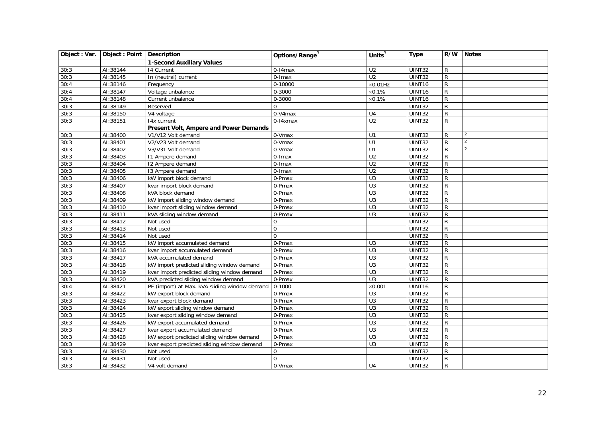<span id="page-21-1"></span><span id="page-21-0"></span>

| Object : Var. | Object : Point   Description |                                               | Options/Range <sup>3</sup> | Units $3$        | <b>Type</b>   | R/W          | <b>Notes</b>   |
|---------------|------------------------------|-----------------------------------------------|----------------------------|------------------|---------------|--------------|----------------|
|               |                              | <b>1-Second Auxiliary Values</b>              |                            |                  |               |              |                |
| 30:3          | AI:38144                     | 14 Current                                    | 0-14max                    | $\overline{U2}$  | UINT32        | R            |                |
| 30:3          | AI:38145                     | In (neutral) current                          | $\overline{0}$ -Imax       | $\overline{U2}$  | UINT32        | R            |                |
| 30:4          | AI:38146                     | Frequency                                     | 0-10000                    | $\times 0.01$ Hz | UINT16        | R            |                |
| 30:4          | AI:38147                     | Voltage unbalance                             | 0-3000                     | $\times 0.1\%$   | UINT16        | R            |                |
| 30:4          | AI:38148                     | Current unbalance                             | 0-3000                     | $\times 0.1\%$   | UINT16        | $\mathsf{R}$ |                |
| 30:3          | AI:38149                     | Reserved                                      | $\Omega$                   |                  | UINT32        | $\mathsf{R}$ |                |
| 30:3          | AI:38150                     | V4 voltage                                    | 0-V4max                    | U <sub>4</sub>   | <b>UINT32</b> | R            |                |
| 30:3          | AI:38151                     | $\overline{14}x$ current                      | 0-14xmax                   | U <sub>2</sub>   | UINT32        | $\mathsf{R}$ |                |
|               |                              | Present Volt, Ampere and Power Demands        |                            |                  |               |              |                |
| 30:3          | AI:38400                     | V1/V12 Volt demand                            | 0-Vmax                     | U1               | UINT32        | $\mathsf{R}$ | $\overline{2}$ |
| 30:3          | AI:38401                     | V2/V23 Volt demand                            | 0-Vmax                     | U1               | UINT32        | $\mathsf{R}$ | $\overline{2}$ |
| 30:3          | AI:38402                     | V3/V31 Volt demand                            | 0-Vmax                     | U1               | <b>UINT32</b> | $\mathsf{R}$ | $\overline{2}$ |
| 30:3          | AI:38403                     | 11 Ampere demand                              | $0$ -Imax                  | U <sub>2</sub>   | UINT32        | $\mathsf R$  |                |
| 30:3          | AI:38404                     | 12 Ampere demand                              | 0-Imax                     | $\overline{U2}$  | UINT32        | R            |                |
| 30:3          | AI:38405                     | 13 Ampere demand                              | 0-Imax                     | U <sub>2</sub>   | UINT32        | R            |                |
| 30:3          | AI:38406                     | kW import block demand                        | 0-Pmax                     | U3               | UINT32        | $\mathsf R$  |                |
| 30:3          | AI:38407                     | kvar import block demand                      | 0-Pmax                     | $\overline{U}$ 3 | UINT32        | R            |                |
| 30:3          | AI:38408                     | kVA block demand                              | 0-Pmax                     | $\overline{U}$ 3 | <b>UINT32</b> | R            |                |
| 30:3          | AI:38409                     | kW import sliding window demand               | 0-Pmax                     | $\overline{U}$ 3 | UINT32        | R            |                |
| 30:3          | AI:38410                     | kvar import sliding window demand             | 0-Pmax                     | $\overline{U}$ 3 | UINT32        | R            |                |
| 30:3          | AI:38411                     | kVA sliding window demand                     | 0-Pmax                     | $\overline{U}$ 3 | UINT32        | $\mathsf{R}$ |                |
| 30:3          | AI:38412                     | Not used                                      | $\mathbf 0$                |                  | UINT32        | $\mathsf{R}$ |                |
| 30:3          | AI:38413                     | Not used                                      | $\mathbf{0}$               |                  | <b>UINT32</b> | $\mathsf{R}$ |                |
| 30:3          | AI:38414                     | Not used                                      | $\Omega$                   |                  | UINT32        | R            |                |
| 30:3          | AI:38415                     | kW import accumulated demand                  | 0-Pmax                     | U <sub>3</sub>   | UINT32        | $\mathsf{R}$ |                |
| 30:3          | AI:38416                     | kvar import accumulated demand                | 0-Pmax                     | U3               | <b>UINT32</b> | $\mathsf{R}$ |                |
| 30:3          | AI:38417                     | kVA accumulated demand                        | 0-Pmax                     | U3               | UINT32        | $\mathsf{R}$ |                |
| 30:3          | AI:38418                     | kW import predicted sliding window demand     | $\overline{0}$ -Pmax       | $\overline{U}$   | UINT32        | $\mathsf{R}$ |                |
| 30:3          | AI:38419                     | kvar import predicted sliding window demand   | 0-Pmax                     | $\overline{U}$ 3 | UINT32        | R            |                |
| 30:3          | AI:38420                     | kVA predicted sliding window demand           | 0-Pmax                     | U3               | UINT32        | R            |                |
| 30:4          | AI:38421                     | PF (import) at Max. kVA sliding window demand | $0 - 1000$                 | $\times$ 0.001   | UINT16        | R            |                |
| 30:3          | AI:38422                     | kW export block demand                        | 0-Pmax                     | U3               | UINT32        | R            |                |
| 30:3          | AI:38423                     | kvar export block demand                      | 0-Pmax                     | $\overline{U}$ 3 | UINT32        | $\mathsf{R}$ |                |
| 30:3          | AI:38424                     | kW export sliding window demand               | 0-Pmax                     | $\overline{U}$ 3 | UINT32        | R            |                |
| 30:3          | AI:38425                     | kvar export sliding window demand             | 0-Pmax                     | $\overline{U}$ 3 | UINT32        | $\mathsf R$  |                |
| 30:3          | AI:38426                     | kW export accumulated demand                  | 0-Pmax                     | U3               | UINT32        | $\mathsf{R}$ |                |
| 30:3          | AI:38427                     | kvar export accumulated demand                | 0-Pmax                     | U3               | UINT32        | R            |                |
| 30:3          | AI:38428                     | kW export predicted sliding window demand     | 0-Pmax                     | $\overline{U}$ 3 | UINT32        | $\mathsf{R}$ |                |
| 30:3          | AI:38429                     | kvar export predicted sliding window demand   | 0-Pmax                     | U <sub>3</sub>   | UINT32        | R            |                |
| 30:3          | AI:38430                     | Not used                                      | $\Omega$                   |                  | <b>UINT32</b> | $\mathsf{R}$ |                |
| 30:3          | AI:38431                     | Not used                                      | $\Omega$                   |                  | UINT32        | $\mathsf{R}$ |                |
| 30:3          | AI:38432                     | V4 volt demand                                | 0-Vmax                     | U <sub>4</sub>   | UINT32        | $\mathsf{R}$ |                |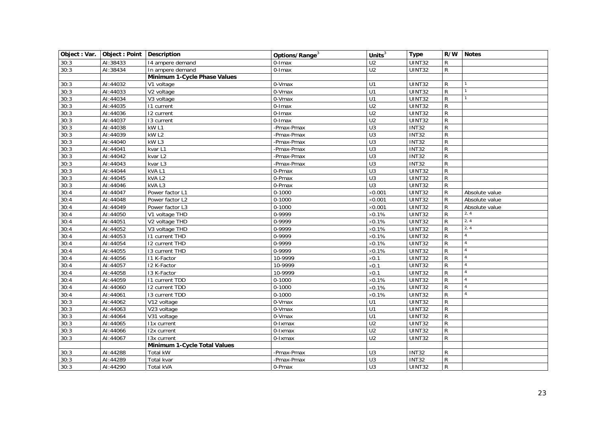<span id="page-22-1"></span><span id="page-22-0"></span>

|      | Object : Var.   Object : Point   Description |                                    | Options/Range <sup>3</sup> | Units $3$        | <b>Type</b>   |              | R/W Notes      |
|------|----------------------------------------------|------------------------------------|----------------------------|------------------|---------------|--------------|----------------|
| 30:3 | AI:38433                                     | 14 ampere demand                   | 0-Imax                     | U <sub>2</sub>   | UINT32        | $\mathsf{R}$ |                |
| 30:3 | AI:38434                                     | In ampere demand                   | 0-Imax                     | U <sub>2</sub>   | UINT32        | $\mathsf{R}$ |                |
|      |                                              | Minimum 1-Cycle Phase Values       |                            |                  |               |              |                |
| 30:3 | AI:44032                                     | V1 voltage                         | 0-Vmax                     | U1               | UINT32        | R            |                |
| 30:3 | AI:44033                                     | V2 voltage                         | 0-Vmax                     | U1               | UINT32        | $\mathsf{R}$ | $\overline{1}$ |
| 30:3 | AI:44034                                     | V3 voltage                         | 0-Vmax                     | U1               | UINT32        | $\mathsf{R}$ | $\mathbf{1}$   |
| 30:3 | AI:44035                                     | 11 current                         | 0-Imax                     | $\overline{U2}$  | UINT32        | $\mathsf{R}$ |                |
| 30:3 | AI:44036                                     | 12 current                         | 0-Imax                     | U <sub>2</sub>   | <b>UINT32</b> | $\mathsf{R}$ |                |
| 30:3 | AI:44037                                     | 13 current                         | $0$ -Imax                  | $\overline{U2}$  | <b>UINT32</b> | $\mathsf{R}$ |                |
| 30:3 | AI:44038                                     | kW <sub>L1</sub>                   | -Pmax-Pmax                 | $\overline{U}3$  | <b>INT32</b>  | R            |                |
| 30:3 | AI:44039                                     | kW <sub>L2</sub>                   | -Pmax-Pmax                 | $\overline{U}$ 3 | <b>INT32</b>  | $\mathsf{R}$ |                |
| 30:3 | AI:44040                                     | kW L3                              | -Pmax-Pmax                 | $\overline{U}$ 3 | <b>INT32</b>  | R            |                |
| 30:3 | AI:44041                                     | kvar L1                            | -Pmax-Pmax                 | U3               | INT32         | R            |                |
| 30:3 | AI:44042                                     | kvar L <sub>2</sub>                | -Pmax-Pmax                 | U3               | <b>INT32</b>  | $\mathsf{R}$ |                |
| 30:3 | AI:44043                                     | kvar L3                            | -Pmax-Pmax                 | U3               | <b>INT32</b>  | $\mathsf{R}$ |                |
| 30:3 | AI:44044                                     | kVAL1                              | 0-Pmax                     | U3               | UINT32        | $\mathsf R$  |                |
| 30:3 | AI:44045                                     | kVAL <sub>2</sub>                  | 0-Pmax                     | $\overline{U}$ 3 | <b>UINT32</b> | $\mathsf{R}$ |                |
| 30:3 | AI:44046                                     | kVAL3                              | 0-Pmax                     | $\overline{U}$ 3 | UINT32        | $\mathsf{R}$ |                |
| 30:4 | AI:44047                                     | Power factor L1                    | $0 - 1000$                 | $\times$ 0.001   | UINT32        | R            | Absolute value |
| 30:4 | AI:44048                                     | Power factor L2                    | $0 - 1000$                 | $\times$ 0.001   | UINT32        | R            | Absolute value |
| 30:4 | AI:44049                                     | Power factor L3                    | $0 - 1000$                 | $\times$ 0.001   | <b>UINT32</b> | R            | Absolute value |
| 30:4 | AI:44050                                     | V1 voltage THD                     | 0-9999                     | $\times 0.1\%$   | UINT32        | R            | 2, 4           |
| 30:4 | AI:44051                                     | V2 voltage THD                     | 0-9999                     | $\times 0.1\%$   | UINT32        | R            | 2, 4           |
| 30:4 | AI:44052                                     | $\overline{\text{V3}}$ voltage THD | 0-9999                     | $\times 0.1\%$   | UINT32        | R            | 2, 4           |
| 30:4 | AI:44053                                     | 11 current THD                     | 0-9999                     | $\times 0.1\%$   | UINT32        | R            | $\overline{4}$ |
| 30:4 | AI:44054                                     | 12 current THD                     | 0-9999                     | $\times 0.1\%$   | UINT32        | R            | $\overline{4}$ |
| 30:4 | AI:44055                                     | 13 current THD                     | 0-9999                     | $\times 0.1\%$   | <b>UINT32</b> | R            | $\overline{4}$ |
| 30:4 | AI:44056                                     | <b>I1 K-Factor</b>                 | 10-9999                    | $\times 0.1$     | UINT32        | R            | $\overline{4}$ |
| 30:4 | AI:44057                                     | 12 K-Factor                        | 10-9999                    | $\times 0.1$     | UINT32        | R            | $\overline{4}$ |
| 30:4 | AI:44058                                     | 13 K-Factor                        | 10-9999                    | $\times 0.1$     | <b>UINT32</b> | R            | $\overline{4}$ |
| 30:4 | AI:44059                                     | 11 current TDD                     | $0 - 1000$                 | $\times$ 0.1%    | UINT32        | R            | $\overline{4}$ |
| 30:4 | AI:44060                                     | 12 current TDD                     | $0 - 1000$                 | $\times 0.1\%$   | <b>UINT32</b> | $\mathsf{R}$ | $\overline{4}$ |
| 30:4 | AI:44061                                     | 13 current TDD                     | $0 - 1000$                 | $\times 0.1\%$   | UINT32        | R            | $\overline{4}$ |
| 30:3 | AI:44062                                     | $\overline{V12}$ voltage           | 0-Vmax                     | U1               | UINT32        | R            |                |
| 30:3 | AI:44063                                     | V23 voltage                        | 0-Vmax                     | $\overline{U}$ 1 | UINT32        | R            |                |
| 30:3 | AI:44064                                     | V31 voltage                        | 0-Vmax                     | U1               | UINT32        | $\mathsf{R}$ |                |
| 30:3 | AI:44065                                     | I1x current                        | 0-Ixmax                    | U <sub>2</sub>   | UINT32        | $\mathsf{R}$ |                |
| 30:3 | AI:44066                                     | I2x current                        | 0-Ixmax                    | U <sub>2</sub>   | UINT32        | R            |                |
| 30:3 | AI:44067                                     | 13x current                        | 0-Ixmax                    | U <sub>2</sub>   | UINT32        | R            |                |
|      |                                              | Minimum 1-Cycle Total Values       |                            |                  |               |              |                |
| 30:3 | AI:44288                                     | Total kW                           | -Pmax-Pmax                 | $\overline{U}$ 3 | <b>INT32</b>  | R            |                |
| 30:3 | AI:44289                                     | Total kvar                         | -Pmax-Pmax                 | $\overline{U}$ 3 | INT32         | R            |                |
| 30:3 | AI:44290                                     | <b>Total kVA</b>                   | 0-Pmax                     | U3               | <b>UINT32</b> | R            |                |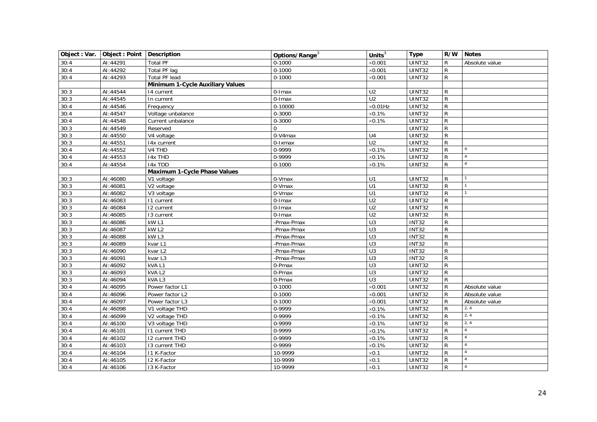<span id="page-23-1"></span><span id="page-23-0"></span>

| Object : Var. | Object: Point   Description |                                  | Options/Range <sup>3</sup> | Units $3$        | <b>Type</b>   | R/W          | <b>Notes</b>   |
|---------------|-----------------------------|----------------------------------|----------------------------|------------------|---------------|--------------|----------------|
| 30:4          | AI:44291                    | <b>Total PF</b>                  | $0 - 1000$                 | $\times$ 0.001   | UINT32        | R            | Absolute value |
| 30:4          | AI:44292                    | <b>Total PF lag</b>              | $0 - 1000$                 | $\times 0.001$   | <b>UINT32</b> | R            |                |
| 30:4          | AI:44293                    | <b>Total PF lead</b>             | $0 - 1000$                 | $\times$ 0.001   | UINT32        | R            |                |
|               |                             | Minimum 1-Cycle Auxiliary Values |                            |                  |               |              |                |
| 30:3          | AI:44544                    | 14 current                       | 0-Imax                     | U <sub>2</sub>   | UINT32        | R            |                |
| 30:3          | AI:44545                    | In current                       | 0-Imax                     | U <sub>2</sub>   | UINT32        | $\mathsf R$  |                |
| 30:4          | AI:44546                    | Frequency                        | 0-10000                    | $\times$ 0.01Hz  | UINT32        | R            |                |
| 30:4          | AI:44547                    | Voltage unbalance                | 0-3000                     | $\times$ 0.1%    | UINT32        | R            |                |
| 30:4          | AI:44548                    | Current unbalance                | 0-3000                     | $\times 0.1\%$   | UINT32        | $\mathsf R$  |                |
| 30:3          | AI:44549                    | Reserved                         | $\mathbf 0$                |                  | UINT32        | R            |                |
| 30:3          | AI:44550                    | V4 voltage                       | 0-V4max                    | U <sub>4</sub>   | UINT32        | $\mathsf{R}$ |                |
| 30:3          | AI:44551                    | 14x current                      | 0-Ixmax                    | U <sub>2</sub>   | <b>UINT32</b> | $\mathsf{R}$ |                |
| 30:4          | AI:44552                    | V4 THD                           | 0-9999                     | $\times 0.1\%$   | <b>UINT32</b> | R            | $\overline{4}$ |
| 30:4          | AI:44553                    | <b>I4x THD</b>                   | 0-9999                     | $\times 0.1\%$   | UINT32        | $\mathsf R$  | $\overline{4}$ |
| 30:4          | AI:44554                    | 14x TDD                          | $0 - 1000$                 | $\times$ 0.1%    | UINT32        | R            | $\overline{4}$ |
|               |                             | Maximum 1-Cycle Phase Values     |                            |                  |               |              |                |
| 30:3          | AI:46080                    | V1 voltage                       | 0-Vmax                     | U1               | <b>UINT32</b> | R            |                |
| 30:3          | AI:46081                    | V2 voltage                       | $0-Vmax$                   | U1               | UINT32        | $\mathsf{R}$ |                |
| 30:3          | AI:46082                    | V3 voltage                       | 0-Vmax                     | $\overline{U}$ 1 | UINT32        | $\mathsf R$  |                |
| 30:3          | AI:46083                    | 11 current                       | 0-Imax                     | U <sub>2</sub>   | UINT32        | R            |                |
| 30:3          | AI:46084                    | 12 current                       | 0-Imax                     | $\overline{U2}$  | UINT32        | R            |                |
| 30:3          | AI:46085                    | 13 current                       | 0-Imax                     | $\overline{U2}$  | UINT32        | R            |                |
| 30:3          | AI:46086                    | kW <sub>L1</sub>                 | -Pmax-Pmax                 | $\overline{U}$ 3 | <b>INT32</b>  | R            |                |
| 30:3          | AI:46087                    | kWL2                             | -Pmax-Pmax                 | $\overline{U}$   | <b>INT32</b>  | ${\sf R}$    |                |
| 30:3          | AI:46088                    | kW <sub>L3</sub>                 | -Pmax-Pmax                 | $\overline{U}$ 3 | <b>INT32</b>  | R            |                |
| 30:3          | AI:46089                    | kvar L1                          | -Pmax-Pmax                 | $\overline{U}$ 3 | <b>INT32</b>  | R            |                |
| 30:3          | AI:46090                    | kvar L2                          | -Pmax-Pmax                 | $\overline{U}$   | <b>INT32</b>  | R            |                |
| 30:3          | AI:46091                    | kvar L3                          | -Pmax-Pmax                 | U3               | <b>INT32</b>  | R            |                |
| 30:3          | AI:46092                    | kVAL1                            | 0-Pmax                     | U3               | UINT32        | R            |                |
| 30:3          | AI:46093                    | kVAL <sub>2</sub>                | 0-Pmax                     | $\overline{U}$   | UINT32        | $\mathsf R$  |                |
| 30:3          | AI:46094                    | kVAL3                            | 0-Pmax                     | U <sub>3</sub>   | UINT32        | R            |                |
| 30:4          | AI:46095                    | Power factor L1                  | $0 - 1000$                 | $\times 0.001$   | UINT32        | R            | Absolute value |
| 30:4          | AI:46096                    | Power factor L2                  | $0 - 1000$                 | $\times$ 0.001   | UINT32        | R            | Absolute value |
| 30:4          | AI:46097                    | Power factor L3                  | $0 - 1000$                 | $\times$ 0.001   | UINT32        | R            | Absolute value |
| 30:4          | AI:46098                    | V1 voltage THD                   | 0-9999                     | $\times 0.1\%$   | UINT32        | R            | 2, 4           |
| 30:4          | AI:46099                    | V2 voltage THD                   | 0-9999                     | $\times$ 0.1%    | UINT32        | R            | 2, 4           |
| 30:4          | AI:46100                    | V3 voltage THD                   | 0-9999                     | $\times 0.1\%$   | <b>UINT32</b> | R            | 2, 4           |
| 30:4          | AI:46101                    | <b>I1 current THD</b>            | 0-9999                     | $\times 0.1\%$   | UINT32        | R            | $\overline{4}$ |
| 30:4          | AI:46102                    | <b>I2 current THD</b>            | 0-9999                     | $\times 0.1\%$   | UINT32        | R            | $\overline{4}$ |
| 30:4          | AI:46103                    | 13 current THD                   | 0-9999                     | $\times$ 0.1%    | UINT32        | R            | $\overline{4}$ |
| 30:4          | AI:46104                    | 11 K-Factor                      | 10-9999                    | $\times$ 0.1     | UINT32        | R            | $\overline{A}$ |
| 30:4          | AI:46105                    | 12 K-Factor                      | 10-9999                    | $\times 0.1$     | <b>UINT32</b> | R            | $\overline{4}$ |
| 30:4          | AI:46106                    | 13 K-Factor                      | 10-9999                    | $\times 0.1$     | UINT32        | $\mathsf{R}$ | $\overline{4}$ |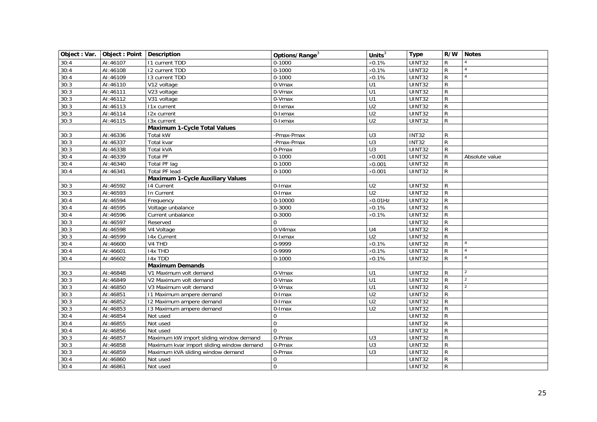<span id="page-24-2"></span><span id="page-24-1"></span><span id="page-24-0"></span>

|      | Object : Var.   Object : Point   Description |                                           | Options/Range <sup>3</sup> | Units $3$        | <b>Type</b>   | R/W Notes    |                     |
|------|----------------------------------------------|-------------------------------------------|----------------------------|------------------|---------------|--------------|---------------------|
| 30:4 | AI:46107                                     | <b>11 current TDD</b>                     | $0 - 1000$                 | $\times 0.1\%$   | <b>UINT32</b> | R            | $\overline{4}$      |
| 30:4 | AI:46108                                     | 12 current TDD                            | $0 - 1000$                 | $\times$ 0.1%    | <b>UINT32</b> | R            |                     |
| 30:4 | AI:46109                                     | 13 current TDD                            | $0 - 1000$                 | $\times 0.1\%$   | <b>UINT32</b> | R            | $\overline{A}$      |
| 30:3 | AI:46110                                     | V12 voltage                               | 0-Vmax                     | U1               | <b>UINT32</b> | $\mathsf{R}$ |                     |
| 30:3 | AI:46111                                     | V23 voltage                               | 0-Vmax                     | U1               | UINT32        | $\mathsf{R}$ |                     |
| 30:3 | AI:46112                                     | V31 voltage                               | 0-Vmax                     | U1               | UINT32        | R            |                     |
| 30:3 | AI:46113                                     | I1x current                               | 0-Ixmax                    | $\overline{U2}$  | UINT32        | R            |                     |
| 30:3 | AI:46114                                     | 12x current                               | 0-Ixmax                    | $\overline{U2}$  | UINT32        | $\mathsf{R}$ |                     |
| 30:3 | AI:46115                                     | 13x current                               | 0-Ixmax                    | U <sub>2</sub>   | UINT32        | R            |                     |
|      |                                              | <b>Maximum 1-Cycle Total Values</b>       |                            |                  |               |              |                     |
| 30:3 | AI:46336                                     | <b>Total kW</b>                           | -Pmax-Pmax                 | U <sub>3</sub>   | <b>INT32</b>  | $\mathsf{R}$ |                     |
| 30:3 | AI:46337                                     | Total kvar                                | -Pmax-Pmax                 | U3               | <b>INT32</b>  | R            |                     |
| 30:3 | AI:46338                                     | Total kVA                                 | 0-Pmax                     | U <sub>3</sub>   | UINT32        | R            |                     |
| 30:4 | AI:46339                                     | <b>Total PF</b>                           | $0 - 1000$                 | $\times$ 0.001   | <b>UINT32</b> | R            | Absolute value      |
| 30:4 | AI:46340                                     | Total PF lag                              | $0 - 1000$                 | $\times 0.001$   | <b>UINT32</b> | R            |                     |
| 30:4 | AI:46341                                     | <b>Total PF lead</b>                      | $0 - 1000$                 | $\times$ 0.001   | UINT32        | R            |                     |
|      |                                              | <b>Maximum 1-Cycle Auxiliary Values</b>   |                            |                  |               |              |                     |
| 30:3 | AI:46592                                     | 14 Current                                | 0-Imax                     | U <sub>2</sub>   | UINT32        | R            |                     |
| 30:3 | AI:46593                                     | In Current                                | $0$ -Imax                  | $\overline{U2}$  | UINT32        | R            |                     |
| 30:4 | AI:46594                                     | Frequency                                 | 0-10000                    | $\times 0.01$ Hz | UINT32        | R            |                     |
| 30:4 | AI:46595                                     | Voltage unbalance                         | 0-3000                     | $\times 0.1\%$   | <b>UINT32</b> | R            |                     |
| 30:4 | AI:46596                                     | Current unbalance                         | 0-3000                     | $\times 0.1\%$   | UINT32        | $\mathsf R$  |                     |
| 30:3 | AI:46597                                     | Reserved                                  | $\Omega$                   |                  | UINT32        | $\mathsf{R}$ |                     |
| 30:3 | AI:46598                                     | V4 Voltage                                | 0-V4max                    | $\overline{U4}$  | UINT32        | $\mathsf{R}$ |                     |
| 30:3 | AI:46599                                     | 14x Current                               | 0-Ixmax                    | U <sub>2</sub>   | UINT32        | R            |                     |
| 30:4 | AI:46600                                     | V4 THD                                    | 0-9999                     | $\times 0.1\%$   | UINT32        | R            | $\overline{4}$      |
| 30:4 | AI:46601                                     | <b>I4x THD</b>                            | 0-9999                     | $\times 0.1\%$   | <b>UINT32</b> | R            | $\overline{4}$      |
| 30:4 | AI:46602                                     | 14x TDD                                   | $0 - 1000$                 | $\times$ 0.1%    | UINT32        | R            | $\pmb{\mathcal{A}}$ |
|      |                                              | <b>Maximum Demands</b>                    |                            |                  |               |              |                     |
| 30:3 | AI:46848                                     | V1 Maximum volt demand                    | 0-Vmax                     | U1               | UINT32        | $\mathsf{R}$ | $\overline{2}$      |
| 30:3 | AI:46849                                     | V2 Maximum volt demand                    | 0-Vmax                     | $\overline{U}$ 1 | UINT32        | $\mathsf{R}$ | $\overline{2}$      |
| 30:3 | AI:46850                                     | V3 Maximum volt demand                    | 0-Vmax                     | U1               | UINT32        | R            | $\overline{2}$      |
| 30:3 | AI:46851                                     | 11 Maximum ampere demand                  | 0-Imax                     | $\overline{U2}$  | UINT32        | R            |                     |
| 30:3 | AI:46852                                     | 12 Maximum ampere demand                  | 0-Imax                     | U <sub>2</sub>   | UINT32        | R            |                     |
| 30:3 | AI:46853                                     | 13 Maximum ampere demand                  | 0-Imax                     | $\overline{U2}$  | UINT32        | $\mathsf{R}$ |                     |
| 30:4 | AI:46854                                     | Not used                                  | $\Omega$                   |                  | UINT32        | $\mathsf{R}$ |                     |
| 30:4 | AI:46855                                     | Not used                                  | $\mathbf{0}$               |                  | UINT32        | $\mathsf R$  |                     |
| 30:4 | AI:46856                                     | Not used                                  | $\Omega$                   |                  | UINT32        | R            |                     |
| 30:3 | AI:46857                                     | Maximum kW import sliding window demand   | 0-Pmax                     | U <sub>3</sub>   | UINT32        | R            |                     |
| 30:3 | AI:46858                                     | Maximum kvar import sliding window demand | 0-Pmax                     | $\overline{U}$ 3 | UINT32        | $\mathsf{R}$ |                     |
| 30:3 | AI:46859                                     | Maximum kVA sliding window demand         | 0-Pmax                     | $\overline{U}$ 3 | UINT32        | $\mathsf{R}$ |                     |
| 30:4 | AI:46860                                     | Not used                                  | $\mathbf 0$                |                  | UINT32        | $\mathsf{R}$ |                     |
| 30:4 | AI:46861                                     | Not used                                  | $\Omega$                   |                  | <b>UINT32</b> | $\mathsf{R}$ |                     |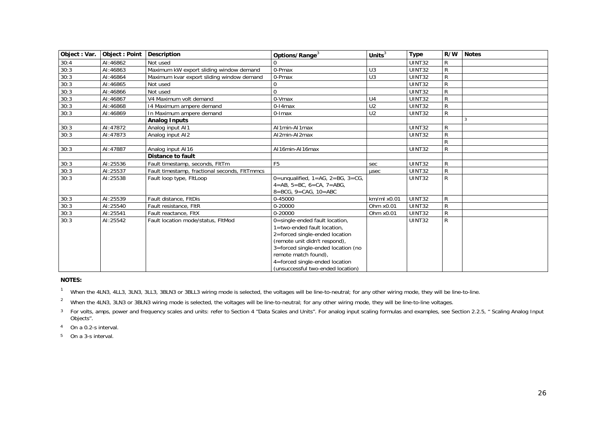| Object: Var. | Object: Point | <b>Description</b>                            | Options/Range <sup>3</sup>                   | Units $3$      | <b>Type</b>   | R/W          | <b>Notes</b>   |
|--------------|---------------|-----------------------------------------------|----------------------------------------------|----------------|---------------|--------------|----------------|
| 30:4         | AI:46862      | Not used                                      |                                              |                | <b>UINT32</b> | $\mathsf{R}$ |                |
| 30:3         | AI:46863      | Maximum kW export sliding window demand       | 0-Pmax                                       | U <sub>3</sub> | UINT32        | $\mathsf{R}$ |                |
| 30:3         | AI:46864      | Maximum kvar export sliding window demand     | 0-Pmax                                       | U <sub>3</sub> | UINT32        | $\mathsf{R}$ |                |
| 30:3         | AI:46865      | Not used                                      |                                              |                | UINT32        | $\mathsf{R}$ |                |
| 30:3         | AI:46866      | Not used                                      |                                              |                | <b>UINT32</b> | $\mathsf{R}$ |                |
| 30:3         | AI:46867      | V4 Maximum volt demand                        | 0-Vmax                                       | U <sub>4</sub> | <b>UINT32</b> | $\mathsf{R}$ |                |
| 30:3         | AI:46868      | 14 Maximum ampere demand                      | $0-14$ max                                   | U <sub>2</sub> | <b>UINT32</b> | $\mathsf{R}$ |                |
| 30:3         | AI:46869      | In Maximum ampere demand                      | $0$ -Imax                                    | U <sub>2</sub> | UINT32        | $\mathsf{R}$ |                |
|              |               | <b>Analog Inputs</b>                          |                                              |                |               |              | $\overline{3}$ |
| 30:3         | AI:47872      | Analog input AI1                              | Al1min-Al1max                                |                | UINT32        | R            |                |
| 30:3         | AI:47873      | Analog input AI2                              | Al2min-Al2max                                |                | UINT32        | $\mathsf{R}$ |                |
|              |               |                                               |                                              |                |               | R            |                |
| 30:3         | AI:47887      | Analog input AI16                             | Al16min-Al16max                              |                | UINT32        | $\mathsf{R}$ |                |
|              |               | <b>Distance to fault</b>                      |                                              |                |               |              |                |
| 30:3         | AI:25536      | Fault timestamp, seconds, FItTm               | F <sub>5</sub>                               | sec            | <b>UINT32</b> | R            |                |
| 30:3         | AI:25537      | Fault timestamp, fractional seconds, FItTmmcs |                                              | usec           | UINT32        | $\mathsf{R}$ |                |
| 30:3         | AI:25538      | Fault loop type, FitLoop                      | 0=unqualified, $1=AG$ , $2=BG$ , $3=CG$ ,    |                | UINT32        | R            |                |
|              |               |                                               | $4 = AB$ , $5 = BC$ , $6 = CA$ , $7 = ABC$ , |                |               |              |                |
|              |               |                                               | $8 = BCG$ , $9 = CAG$ , $10 = ABC$           |                |               |              |                |
| 30:3         | AI:25539      | Fault distance, FltDis                        | 0-45000                                      | km/ml x0.01    | UINT32        | $\mathsf{R}$ |                |
| 30:3         | AI:25540      | Fault resistance, FltR                        | 0-20000                                      | Ohm x0.01      | <b>UINT32</b> | $\mathsf{R}$ |                |
| 30:3         | AI:25541      | Fault reactance, FltX                         | 0-20000                                      | Ohm x0.01      | UINT32        | $\mathsf{R}$ |                |
| 30:3         | AI:25542      | Fault location mode/status, FltMod            | 0=single-ended fault location,               |                | UINT32        | R            |                |
|              |               |                                               | 1=two-ended fault location,                  |                |               |              |                |
|              |               |                                               | 2=forced single-ended location               |                |               |              |                |
|              |               |                                               | (remote unit didn't respond),                |                |               |              |                |
|              |               |                                               | 3=forced single-ended location (no           |                |               |              |                |
|              |               |                                               | remote match found),                         |                |               |              |                |
|              |               |                                               | 4=forced single-ended location               |                |               |              |                |
|              |               |                                               | (unsuccessful two-ended location)            |                |               |              |                |

#### **NOTES:**

<sup>1</sup> When the 4LN3, 4LL3, 3LN3, 3LL3, 3BLN3 or 3BLL3 wiring mode is selected, the voltages will be line-to-neutral; for any other wiring mode, they will be line-to-line.

<sup>2</sup> When the 4LN3, 3LN3 or 3BLN3 wiring mode is selected, the voltages will be line-to-neutral; for any other wiring mode, they will be line-to-line voltages.

<sup>3</sup> For volts, amps, power and frequency scales and units: refer to Section 4 "Data Scales and Units". For analog input scaling formulas and examples, see Section 2.2.5, " Scaling Analog Input Objects".

4 On a 0.2-s interval.

<span id="page-25-1"></span><span id="page-25-0"></span>5 On a 3-s interval.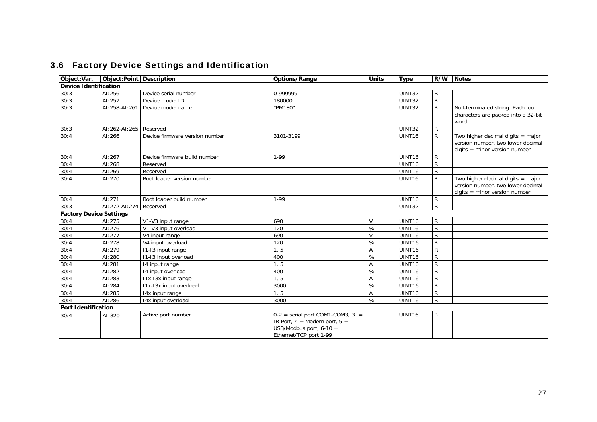<span id="page-26-3"></span><span id="page-26-2"></span><span id="page-26-1"></span><span id="page-26-0"></span>

| Object:Var.                    | Object: Point   Description |                                | Options/Range                                                                                                                 | <b>Units</b> | <b>Type</b>        | R/W            | <b>Notes</b>                                                                                                |
|--------------------------------|-----------------------------|--------------------------------|-------------------------------------------------------------------------------------------------------------------------------|--------------|--------------------|----------------|-------------------------------------------------------------------------------------------------------------|
| <b>Device Identification</b>   |                             |                                |                                                                                                                               |              |                    |                |                                                                                                             |
| 30:3                           | AI:256                      | Device serial number           | 0-999999                                                                                                                      |              | <b>UINT32</b>      | $\mathsf{R}$   |                                                                                                             |
| 30:3                           | AI:257                      | Device model ID                | 180000                                                                                                                        |              | UINT32             | ${\sf R}$      |                                                                                                             |
| 30:3                           | AI:258-AI:261               | Device model name              | "PM180"                                                                                                                       |              | UINT32             | $\mathsf{R}$   | Null-terminated string. Each four<br>characters are packed into a 32-bit<br>word.                           |
| 30:3                           | AI:262-AI:265   Reserved    |                                |                                                                                                                               |              | <b>UINT32</b>      | $\mathsf{R}$   |                                                                                                             |
| 30:4                           | AI:266                      | Device firmware version number | 3101-3199                                                                                                                     |              | UINT <sub>16</sub> | R              | Two higher decimal digits $=$ major<br>version number, two lower decimal<br>$digits = minor version number$ |
| 30:4                           | AI:267                      | Device firmware build number   | $1-99$                                                                                                                        |              | UINT16             | R              |                                                                                                             |
| 30:4                           | AI:268                      | Reserved                       |                                                                                                                               |              | UINT <sub>16</sub> | R              |                                                                                                             |
| 30:4                           | AI:269                      | Reserved                       |                                                                                                                               |              | UINT16             | $\mathsf{R}$   |                                                                                                             |
| 30:4                           | AI:270                      | Boot loader version number     |                                                                                                                               |              | UINT <sub>16</sub> | $\overline{R}$ | Two higher decimal digits $=$ major<br>version number, two lower decimal<br>$digits = minor version number$ |
| 30:4                           | AI:271                      | Boot loader build number       | $1-99$                                                                                                                        |              | UINT <sub>16</sub> | R              |                                                                                                             |
| 30:3                           | AI:272-AI:274               | Reserved                       |                                                                                                                               |              | UINT32             | R              |                                                                                                             |
| <b>Factory Device Settings</b> |                             |                                |                                                                                                                               |              |                    |                |                                                                                                             |
| 30:4                           | AI:275                      | V1-V3 input range              | 690                                                                                                                           | V            | UINT <sub>16</sub> | $\mathsf{R}$   |                                                                                                             |
| 30:4                           | AI:276                      | V1-V3 input overload           | $\overline{120}$                                                                                                              | $\%$         | UINT16             | $\overline{R}$ |                                                                                                             |
| 30:4                           | AI:277                      | V4 input range                 | 690                                                                                                                           | $\mathsf{V}$ | UINT16             | $\mathsf{R}$   |                                                                                                             |
| 30:4                           | AI:278                      | V4 input overload              | 120                                                                                                                           | $\%$         | UINT16             | $\mathsf{R}$   |                                                                                                             |
| 30:4                           | AI:279                      | 11-13 input range              | 1, 5                                                                                                                          | А            | UINT16             | ${\sf R}$      |                                                                                                             |
| 30:4                           | AI:280                      | 11-13 input overload           | 400                                                                                                                           | $\%$         | UINT <sub>16</sub> | ${\sf R}$      |                                                                                                             |
| 30:4                           | AI:281                      | 14 input range                 | 1, 5                                                                                                                          | А            | UINT16             | ${\sf R}$      |                                                                                                             |
| 30:4                           | AI:282                      | 14 input overload              | 400                                                                                                                           | ℅            | UINT16             | $\overline{R}$ |                                                                                                             |
| 30:4                           | AI:283                      | I1x-I3x input range            | $\overline{1, 5}$                                                                                                             | Α            | UINT16             | ${\sf R}$      |                                                                                                             |
| 30:4                           | AI:284                      | I1x-I3x input overload         | 3000                                                                                                                          | ℅            | UINT16             | $\mathsf{R}$   |                                                                                                             |
| 30:4                           | AI:285                      | 14x input range                | 1, 5                                                                                                                          | А            | UINT16             | ${\sf R}$      |                                                                                                             |
| 30:4                           | AI:286                      | 14x input overload             | 3000                                                                                                                          | $\%$         | UINT16             | ${\sf R}$      |                                                                                                             |
| <b>Port Identification</b>     |                             |                                |                                                                                                                               |              |                    |                |                                                                                                             |
| 30:4                           | AI:320                      | Active port number             | $0-2$ = serial port COM1-COM3, 3 =<br>IR Port, $4 =$ Modem port, $5 =$<br>USB/Modbus port, $6-10 =$<br>Ethernet/TCP port 1-99 |              | UINT <sub>16</sub> | R              |                                                                                                             |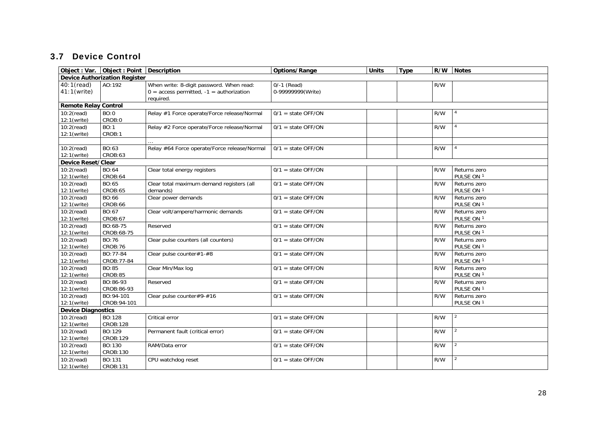### 3.7 Device Control

<span id="page-27-4"></span><span id="page-27-3"></span><span id="page-27-2"></span><span id="page-27-1"></span><span id="page-27-0"></span>

|                             | Object : Var. Object : Point Description |                                              | Options/Range        | <b>Units</b> | <b>Type</b> | R/W | <b>Notes</b> |
|-----------------------------|------------------------------------------|----------------------------------------------|----------------------|--------------|-------------|-----|--------------|
|                             | <b>Device Authorization Register</b>     |                                              |                      |              |             |     |              |
| 40:1(read)                  | AO:192                                   | When write: 8-digit password. When read:     | $0/-1$ (Read)        |              |             | R/W |              |
| $41:1$ (write)              |                                          | $0 =$ access permitted, $-1 =$ authorization | 0-99999999(Write)    |              |             |     |              |
|                             |                                          | required.                                    |                      |              |             |     |              |
| <b>Remote Relay Control</b> |                                          |                                              |                      |              |             |     |              |
| $10:2$ (read)               | BO:0                                     | Relay #1 Force operate/Force release/Normal  | $0/1$ = state OFF/ON |              |             | R/W |              |
| 12:1(write)                 | CROB:0                                   |                                              |                      |              |             |     |              |
| $10:2$ (read)               | <b>BO:1</b>                              | Relay #2 Force operate/Force release/Normal  | $0/1$ = state OFF/ON |              |             | R/W |              |
| 12:1(write)                 | CROB:1                                   |                                              |                      |              |             |     |              |
|                             |                                          |                                              |                      |              |             |     |              |
| $10:2$ (read)               | BO:63                                    | Relay #64 Force operate/Force release/Normal | $0/1$ = state OFF/ON |              |             | R/W |              |
| 12:1(write)                 | CROB:63                                  |                                              |                      |              |             |     |              |
| Device Reset/Clear          |                                          |                                              |                      |              |             |     |              |
| $10:2$ (read)               | BO:64                                    | Clear total energy registers                 | $0/1$ = state OFF/ON |              |             | R/W | Returns zero |
| 12:1(write)                 | CROB:64                                  |                                              |                      |              |             |     | PULSE ON 1   |
| $10:2$ (read)               | BO:65                                    | Clear total maximum demand registers (all    | $0/1$ = state OFF/ON |              |             | R/W | Returns zero |
| 12:1(write)                 | CROB:65                                  | demands)                                     |                      |              |             |     | PULSE ON 1   |
| $10:2$ (read)               | BO:66                                    | Clear power demands                          | $0/1$ = state OFF/ON |              |             | R/W | Returns zero |
| 12:1(write)                 | CROB:66                                  |                                              |                      |              |             |     | PULSE ON 1   |
| $10:2$ (read)               | BO:67                                    | Clear volt/ampere/harmonic demands           | $0/1$ = state OFF/ON |              |             | R/W | Returns zero |
| 12:1(write)                 | CROB:67                                  |                                              |                      |              |             |     | PULSE ON 1   |
| $10:2$ (read)               | BO:68-75                                 | Reserved                                     | $0/1$ = state OFF/ON |              |             | R/W | Returns zero |
| 12:1(write)                 | CROB:68-75                               |                                              |                      |              |             |     | PULSE ON 1   |
| $10:2$ (read)               | BO:76                                    | Clear pulse counters (all counters)          | $0/1$ = state OFF/ON |              |             | R/W | Returns zero |
| 12:1(write)                 | CROB:76                                  |                                              |                      |              |             |     | PULSE ON 1   |
| $10:2$ (read)               | BO:77-84                                 | Clear pulse counter#1-#8                     | $0/1$ = state OFF/ON |              |             | R/W | Returns zero |
| 12:1(write)                 | CROB: 77-84                              |                                              |                      |              |             |     | PULSE ON 1   |
| $10:2$ (read)               | BO:85                                    | Clear Min/Max log                            | $0/1$ = state OFF/ON |              |             | R/W | Returns zero |
| 12:1(write)                 | CROB:85                                  |                                              |                      |              |             |     | PULSE ON 1   |
| $10:2$ (read)               | BO:86-93                                 | Reserved                                     | $0/1$ = state OFF/ON |              |             | R/W | Returns zero |
| 12:1(write)                 | CROB:86-93                               |                                              |                      |              |             |     | PULSE ON 1   |
| $10:2$ (read)               | BO:94-101                                | Clear pulse counter#9-#16                    | $0/1$ = state OFF/ON |              |             | R/W | Returns zero |
| 12:1(write)                 | CROB: 94-101                             |                                              |                      |              |             |     | PULSE ON 1   |
| <b>Device Diagnostics</b>   |                                          |                                              |                      |              |             |     |              |
| $10:2$ (read)               | BO:128                                   | Critical error                               | $0/1$ = state OFF/ON |              |             | R/W | 2            |
| 12:1(write)                 | CROB:128                                 |                                              |                      |              |             |     |              |
| $10:2$ (read)               | BO:129                                   | Permanent fault (critical error)             | $0/1$ = state OFF/ON |              |             | R/W |              |
| 12:1(write)                 | CROB:129                                 |                                              |                      |              |             |     |              |
| $10:2$ (read)               | BO:130                                   | RAM/Data error                               | $0/1$ = state OFF/ON |              |             | R/W |              |
| 12:1(write)                 | CROB:130                                 |                                              |                      |              |             |     |              |
| $10:2$ (read)               | BO:131                                   | CPU watchdog reset                           | $0/1$ = state OFF/ON |              |             | R/W |              |
| 12:1(write)                 | CROB:131                                 |                                              |                      |              |             |     |              |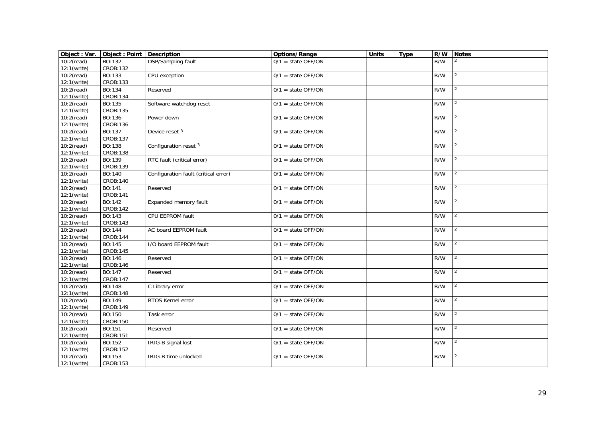| Object: Var.  | Object: Point   Description |                                      | Options/Range        | <b>Units</b> | <b>Type</b> | R/W | <b>Notes</b>   |
|---------------|-----------------------------|--------------------------------------|----------------------|--------------|-------------|-----|----------------|
| $10:2$ (read) | $\overline{BO:132}$         | DSP/Sampling fault                   | $0/1$ = state OFF/ON |              |             | R/W |                |
| 12:1(write)   | CROB:132                    |                                      |                      |              |             |     |                |
| $10:2$ (read) | BO:133                      | CPU exception                        | $0/1$ = state OFF/ON |              |             | R/W | 2              |
| 12:1(write)   | CROB:133                    |                                      |                      |              |             |     |                |
| $10:2$ (read) | BO:134                      | Reserved                             | $0/1$ = state OFF/ON |              |             | R/W | 2              |
| 12:1(write)   | CROB:134                    |                                      |                      |              |             |     |                |
| $10:2$ (read) | BO:135                      | Software watchdog reset              | $0/1$ = state OFF/ON |              |             | R/W | $\mathcal{P}$  |
| 12:1(write)   | CROB:135                    |                                      |                      |              |             |     |                |
| $10:2$ (read) | BO:136                      | Power down                           | $0/1$ = state OFF/ON |              |             | R/W | 2              |
| 12:1(write)   | CROB:136                    |                                      |                      |              |             |     |                |
| $10:2$ (read) | BO:137                      | Device reset 3                       | $0/1$ = state OFF/ON |              |             | R/W | 2              |
| 12:1(write)   | CROB:137                    |                                      |                      |              |             |     |                |
| $10:2$ (read) | BO:138                      | Configuration reset 3                | $0/1$ = state OFF/ON |              |             | R/W |                |
| 12:1(write)   | CROB:138                    |                                      |                      |              |             |     |                |
| $10:2$ (read) | BO:139                      | RTC fault (critical error)           | $0/1$ = state OFF/ON |              |             | R/W |                |
| 12:1(write)   | CROB:139                    |                                      |                      |              |             |     |                |
| $10:2$ (read) | BO:140                      | Configuration fault (critical error) | $0/1$ = state OFF/ON |              |             | R/W | 2              |
| 12:1(write)   | CROB:140                    |                                      |                      |              |             |     |                |
| $10:2$ (read) | BO:141                      | Reserved                             | $0/1$ = state OFF/ON |              |             | R/W | 2              |
| 12:1(write)   | CROB:141                    |                                      |                      |              |             |     |                |
| $10:2$ (read) | BO:142                      | Expanded memory fault                | $0/1$ = state OFF/ON |              |             | R/W | $\mathcal{P}$  |
| 12:1(write)   | CROB:142                    |                                      |                      |              |             |     |                |
| $10:2$ (read) | BO:143                      | CPU EEPROM fault                     | $0/1$ = state OFF/ON |              |             | R/W | $\overline{2}$ |
| 12:1(write)   | CROB:143                    |                                      |                      |              |             |     |                |
| $10:2$ (read) | BO:144                      | AC board EEPROM fault                | $0/1$ = state OFF/ON |              |             | R/W | 2              |
| 12:1(write)   | CROB:144                    |                                      |                      |              |             |     |                |
| $10:2$ (read) | BO:145                      | I/O board EEPROM fault               | $0/1$ = state OFF/ON |              |             | R/W | $\overline{2}$ |
| 12:1(write)   | CROB:145                    |                                      |                      |              |             |     |                |
| $10:2$ (read) | BO:146                      | Reserved                             | $0/1$ = state OFF/ON |              |             | R/W |                |
| 12:1(write)   | CROB:146                    |                                      |                      |              |             |     |                |
| $10:2$ (read) | BO:147                      | Reserved                             | $0/1$ = state OFF/ON |              |             | R/W | 2              |
| 12:1(write)   | CROB:147                    |                                      |                      |              |             |     |                |
| $10:2$ (read) | BO:148                      | C Library error                      | $0/1$ = state OFF/ON |              |             | R/W | $\mathcal{P}$  |
| 12:1(write)   | CROB:148                    |                                      |                      |              |             |     |                |
| $10:2$ (read) | BO:149                      | RTOS Kernel error                    | $0/1$ = state OFF/ON |              |             | R/W | 2              |
| 12:1(write)   | CROB:149                    |                                      |                      |              |             |     |                |
| $10:2$ (read) | BO:150                      | Task error                           | $0/1$ = state OFF/ON |              |             | R/W | 2              |
| 12:1(write)   | CROB:150                    |                                      |                      |              |             |     |                |
| $10:2$ (read) | BO:151                      | Reserved                             | $0/1$ = state OFF/ON |              |             | R/W | $\overline{2}$ |
| 12:1(write)   | CROB:151                    |                                      |                      |              |             |     |                |
| $10:2$ (read) | BO:152                      | IRIG-B signal lost                   | $0/1$ = state OFF/ON |              |             | R/W |                |
| 12:1(write)   | CROB:152                    |                                      |                      |              |             |     |                |
| $10:2$ (read) | BO:153                      | IRIG-B time unlocked                 | $0/1$ = state OFF/ON |              |             | R/W | 2              |
| 12:1(write)   | CROB:153                    |                                      |                      |              |             |     |                |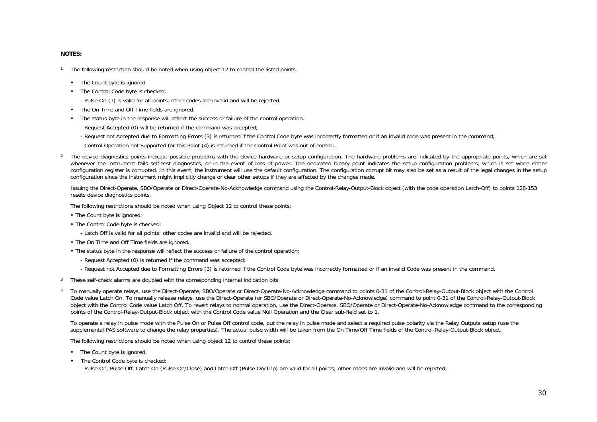#### **NOTES:**

<sup>1</sup> The following restriction should be noted when using object 12 to control the listed points.

- The Count byte is ignored.
- The Control Code byte is checked:

- Pulse On (1) is valid for all points; other codes are invalid and will be rejected.

- The On Time and Off Time fields are ignored.
- The status byte in the response will reflect the success or failure of the control operation:
	- Request Accepted (0) will be returned if the command was accepted;
	- Request not Accepted due to Formatting Errors (3) is returned if the Control Code byte was incorrectly formatted or if an invalid code was present in the command;
	- Control Operation not Supported for this Point (4) is returned if the Control Point was out of control.
- <sup>2</sup> The device diagnostics points indicate possible problems with the device hardware or setup configuration. The hardware problems are indicated by the appropriate points, which are set whenever the instrument fails self-test diagnostics, or in the event of loss of power. The dedicated binary point indicates the setup configuration problems, which is set when either configuration register is corrupted. In this event, the instrument will use the default configuration. The configuration corrupt bit may also be set as a result of the legal changes in the setup configuration since the instrument might implicitly change or clear other setups if they are affected by the changes made.

Issuing the Direct-Operate, SBO/Operate or Direct-Operate-No-Acknowledge command using the Control-Relay-Output-Block object (with the code operation Latch-Off) to points 128-153 resets device diagnostics points.

The following restrictions should be noted when using Object 12 to control these points:

- The Count byte is ignored.
- The Control Code byte is checked:
	- Latch Off is valid for all points; other codes are invalid and will be rejected.
- The On Time and Off Time fields are ignored.
- The status byte in the response will reflect the success or failure of the control operation:
	- Request Accepted (0) is returned if the command was accepted;
	- Request not Accepted due to Formatting Errors (3) is returned if the Control Code byte was incorrectly formatted or if an invalid Code was present in the command.
- 3 These self-check alarms are doubled with the corresponding internal indication bits.
- 4 To manually operate relays, use the Direct-Operate, SBO/Operate or Direct-Operate-No-Acknowledge command to points 0-31 of the Control-Relay-Output-Block object with the Control Code value Latch On. To manually release relays, use the Direct-Operate (or SBO/Operate or Direct-Operate-No-Acknowledge) command to point 0-31 of the Control-Relay-Output-Block object with the Control Code value Latch Off. To revert relays to normal operation, use the Direct-Operate, SBO/Operate or Direct-Operate-No-Acknowledge command to the corresponding points of the Control-Relay-Output-Block object with the Control Code value Null Operation and the Clear sub-field set to 1.

To operate a relay in pulse mode with the Pulse On or Pulse Off control code, put the relay in pulse mode and select a required pulse polarity via the Relay Outputs setup (use the supplemental PAS software to change the relay properties). The actual pulse width will be taken from the On Time/Off Time fields of the Control-Relay-Output-Block object.

The following restrictions should be noted when using object 12 to control these points:

- The Count byte is ignored.
- The Control Code byte is checked:

- Pulse On, Pulse Off, Latch On (Pulse On/Close) and Latch Off (Pulse On/Trip) are valid for all points; other codes are invalid and will be rejected;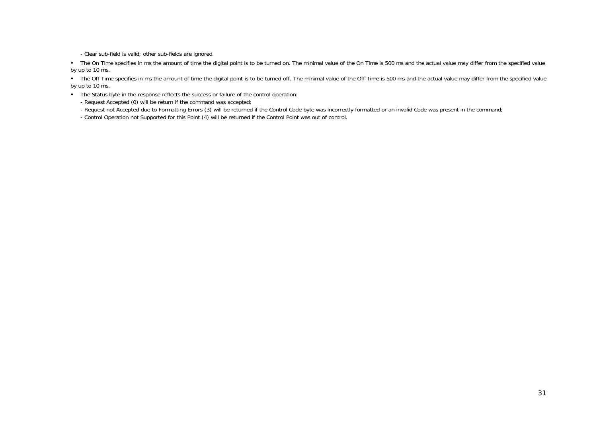- Clear sub-field is valid; other sub-fields are ignored.

• The On Time specifies in ms the amount of time the digital point is to be turned on. The minimal value of the On Time is 500 ms and the actual value may differ from the specified value by up to 10 ms.

• The Off Time specifies in ms the amount of time the digital point is to be turned off. The minimal value of the Off Time is 500 ms and the actual value may differ from the specified value by up to 10 ms.

The Status byte in the response reflects the success or failure of the control operation:

- Request Accepted (0) will be return if the command was accepted;

- Request not Accepted due to Formatting Errors (3) will be returned if the Control Code byte was incorrectly formatted or an invalid Code was present in the command;

- Control Operation not Supported for this Point (4) will be returned if the Control Point was out of control.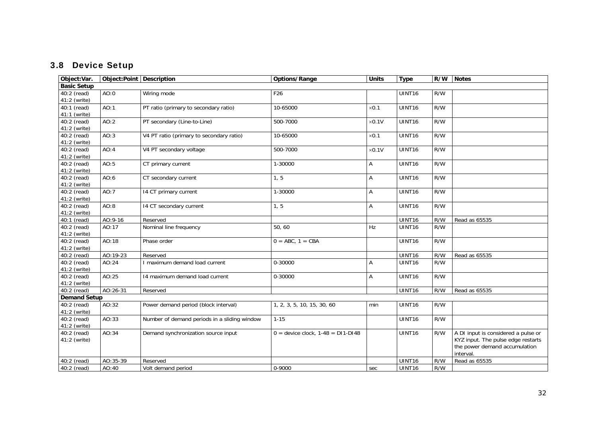# 3.8 Device Setup

<span id="page-31-2"></span><span id="page-31-1"></span><span id="page-31-0"></span>

| Object:Var.         |           | Object:Point   Description                   | Options/Range                         | <b>Units</b>  | <b>Type</b>        | R/W | <b>Notes</b>                        |
|---------------------|-----------|----------------------------------------------|---------------------------------------|---------------|--------------------|-----|-------------------------------------|
| <b>Basic Setup</b>  |           |                                              |                                       |               |                    |     |                                     |
| 40:2 (read)         | AO:0      | Wiring mode                                  | F <sub>26</sub>                       |               | UINT <sub>16</sub> | R/W |                                     |
| 41:2 (write)        |           |                                              |                                       |               |                    |     |                                     |
| 40:1 (read)         | AO:1      | PT ratio (primary to secondary ratio)        | 10-65000                              | $\times$ 0.1  | UINT16             | R/W |                                     |
| 41:1 (write)        |           |                                              |                                       |               |                    |     |                                     |
| 40:2 (read)         | AO:2      | PT secondary (Line-to-Line)                  | 500-7000                              | $\times 0.1V$ | UINT16             | R/W |                                     |
| 41:2 (write)        |           |                                              |                                       |               |                    |     |                                     |
| 40:2 (read)         | AO:3      | V4 PT ratio (primary to secondary ratio)     | 10-65000                              | $\times 0.1$  | UINT <sub>16</sub> | R/W |                                     |
| 41:2 (write)        |           |                                              |                                       |               |                    |     |                                     |
| 40:2 (read)         | AO:4      | V4 PT secondary voltage                      | 500-7000                              | $\times 0.1V$ | UINT <sub>16</sub> | R/W |                                     |
| 41:2 (write)        |           |                                              |                                       |               |                    |     |                                     |
| 40:2 (read)         | AO:5      | CT primary current                           | 1-30000                               | Α             | UINT16             | R/W |                                     |
| 41:2 (write)        |           |                                              |                                       |               |                    |     |                                     |
| 40:2 (read)         | AO:6      | CT secondary current                         | 1, 5                                  | Α             | UINT16             | R/W |                                     |
| 41:2 (write)        |           |                                              |                                       |               |                    |     |                                     |
| 40:2 (read)         | AO:7      | 14 CT primary current                        | 1-30000                               | Α             | UINT16             | R/W |                                     |
| 41:2 (write)        |           |                                              |                                       |               |                    |     |                                     |
| 40:2 (read)         | AO:8      | 14 CT secondary current                      | 1, 5                                  | A             | UINT16             | R/W |                                     |
| 41:2 (write)        |           |                                              |                                       |               |                    |     |                                     |
| 40:1 (read)         | $A0:9-16$ | Reserved                                     |                                       |               | UINT16             | R/W | Read as 65535                       |
| 40:2 (read)         | AO:17     | Nominal line frequency                       | 50,60                                 | Hz            | UINT16             | R/W |                                     |
| 41:2 (write)        |           |                                              |                                       |               |                    |     |                                     |
| 40:2 (read)         | AO:18     | Phase order                                  | $0 = ABC$ , $1 = CBA$                 |               | UINT <sub>16</sub> | R/W |                                     |
| 41:2 (write)        |           |                                              |                                       |               |                    |     |                                     |
| 40:2 (read)         | AO:19-23  | Reserved                                     |                                       |               | UINT16             | R/W | Read as 65535                       |
| 40:2 (read)         | AO:24     | I maximum demand load current                | 0-30000                               | Α             | UINT16             | R/W |                                     |
| 41:2 (write)        |           |                                              |                                       |               |                    |     |                                     |
| 40:2 (read)         | AO:25     | 14 maximum demand load current               | 0-30000                               | Α             | UINT16             | R/W |                                     |
| 41:2 (write)        |           |                                              |                                       |               |                    |     |                                     |
| 40:2 (read)         | AO:26-31  | Reserved                                     |                                       |               | UINT16             | R/W | Read as 65535                       |
| <b>Demand Setup</b> |           |                                              |                                       |               |                    |     |                                     |
| 40:2 (read)         | AO:32     | Power demand period (block interval)         | 1, 2, 3, 5, 10, 15, 30, 60            | min           | UINT16             | R/W |                                     |
| 41:2 (write)        |           |                                              |                                       |               |                    |     |                                     |
| 40:2 (read)         | AO:33     | Number of demand periods in a sliding window | $1 - 15$                              |               | UINT16             | R/W |                                     |
| 41:2 (write)        |           |                                              |                                       |               |                    |     |                                     |
| 40:2 (read)         | AO:34     | Demand synchronization source input          | $0 =$ device clock, $1-48 =$ DI1-DI48 |               | UINT16             | R/W | A DI input is considered a pulse or |
| 41:2 (write)        |           |                                              |                                       |               |                    |     | KYZ input. The pulse edge restarts  |
|                     |           |                                              |                                       |               |                    |     | the power demand accumulation       |
|                     |           |                                              |                                       |               |                    |     | interval.                           |
| 40:2 (read)         | AO:35-39  | Reserved                                     |                                       |               | UINT16             | R/W | Read as 65535                       |
| 40:2 (read)         | AO:40     | Volt demand period                           | 0-9000                                | sec           | UINT16             | R/W |                                     |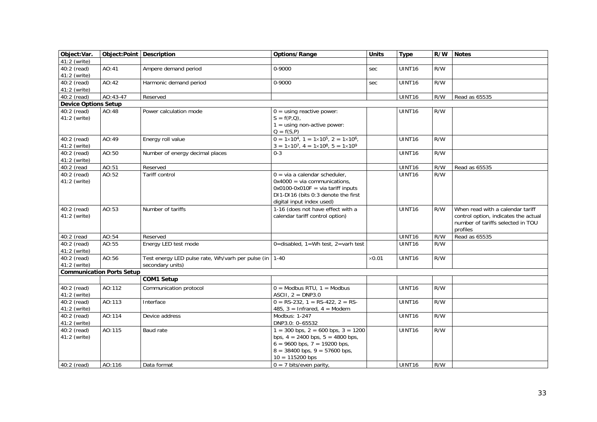<span id="page-32-1"></span><span id="page-32-0"></span>

| Object:Var.                 | Object:Point Description         |                                                        | Options/Range                                                     | <b>Units</b>  | <b>Type</b>        | R/W | <b>Notes</b>                         |
|-----------------------------|----------------------------------|--------------------------------------------------------|-------------------------------------------------------------------|---------------|--------------------|-----|--------------------------------------|
| 41:2 (write)                |                                  |                                                        |                                                                   |               |                    |     |                                      |
| 40:2 (read)                 | AO:41                            | Ampere demand period                                   | 0-9000                                                            | sec           | <b>UINT16</b>      | R/W |                                      |
| 41:2 (write)                |                                  |                                                        |                                                                   |               |                    |     |                                      |
| 40:2 (read)                 | AO:42                            | Harmonic demand period                                 | 0-9000                                                            | sec           | UINT16             | R/W |                                      |
| 41:2 (write)                |                                  |                                                        |                                                                   |               |                    |     |                                      |
| 40:2 (read)                 | AO:43-47                         | Reserved                                               |                                                                   |               | UINT16             | R/W | Read as 65535                        |
| <b>Device Options Setup</b> |                                  |                                                        |                                                                   |               |                    |     |                                      |
| 40:2 (read)                 | AO:48                            | Power calculation mode                                 | $0 =$ using reactive power:                                       |               | UINT16             | R/W |                                      |
| 41:2 (write)                |                                  |                                                        | $S = f(P,Q)$ ,                                                    |               |                    |     |                                      |
|                             |                                  |                                                        | $1 =$ using non-active power:                                     |               |                    |     |                                      |
|                             |                                  |                                                        | $Q = f(S, P)$                                                     |               |                    |     |                                      |
| 40:2 (read)                 | AO:49                            | Energy roll value                                      | $0 = 1 \times 10^4$ , $1 = 1 \times 10^5$ , $2 = 1 \times 10^6$ , |               | UINT16             | R/W |                                      |
| 41:2 (write)                |                                  |                                                        | $3 = 1 \times 10^7$ , $4 = 1 \times 10^8$ , $5 = 1 \times 10^9$   |               |                    |     |                                      |
| 40:2 (read)                 | AO:50                            | Number of energy decimal places                        | $0 - 3$                                                           |               | UINT16             | R/W |                                      |
| 41:2 (write)                |                                  |                                                        |                                                                   |               |                    |     |                                      |
| $40:2$ (read                | AO:51                            | Reserved                                               |                                                                   |               | UINT16             | R/W | Read as 65535                        |
| 40:2 (read)                 | AO:52                            | Tariff control                                         | $0 = via a calendar scheduler,$                                   |               | UINT16             | R/W |                                      |
| 41:2 (write)                |                                  |                                                        | $0x4000 = via communication$                                      |               |                    |     |                                      |
|                             |                                  |                                                        | $0x0100-0x010F = via tariff inputs$                               |               |                    |     |                                      |
|                             |                                  |                                                        | DI1-DI16 (bits 0:3 denote the first                               |               |                    |     |                                      |
|                             |                                  |                                                        | digital input index used)                                         |               |                    |     |                                      |
| 40:2 (read)                 | AO:53                            | Number of tariffs                                      | 1-16 (does not have effect with a                                 |               | <b>UINT16</b>      | R/W | When read with a calendar tariff     |
| 41:2 (write)                |                                  |                                                        | calendar tariff control option)                                   |               |                    |     | control option, indicates the actual |
|                             |                                  |                                                        |                                                                   |               |                    |     | number of tariffs selected in TOU    |
|                             |                                  |                                                        |                                                                   |               |                    |     | profiles                             |
| 40:2 (read                  | AO:54                            | Reserved                                               |                                                                   |               | UINT16             | R/W | Read as 65535                        |
| 40:2 (read)                 | AO:55                            | Energy LED test mode                                   | 0=disabled, $1=Wh$ test, $2=varh$ test                            |               | UINT16             | R/W |                                      |
| 41:2 (write)                |                                  |                                                        |                                                                   |               |                    |     |                                      |
| 40:2 (read)                 | AO:56                            | Test energy LED pulse rate, Wh/varh per pulse (in 1-40 |                                                                   | $\times$ 0.01 | UINT16             | R/W |                                      |
| 41:2 (write)                |                                  | secondary units)                                       |                                                                   |               |                    |     |                                      |
|                             | <b>Communication Ports Setup</b> |                                                        |                                                                   |               |                    |     |                                      |
|                             |                                  | <b>COM1 Setup</b>                                      |                                                                   |               |                    |     |                                      |
| 40:2 (read)                 | AO:112                           | Communication protocol                                 | $0 =$ Modbus RTU, $1 =$ Modbus                                    |               | UINT <sub>16</sub> | R/W |                                      |
| 41:2 (write)                |                                  |                                                        | ASCII, $2 = DNP3.0$                                               |               |                    |     |                                      |
| 40:2 (read)                 | AO:113                           | Interface                                              | $0 = RS-232$ , $1 = RS-422$ , $2 = RS-$                           |               | UINT <sub>16</sub> | R/W |                                      |
| 41:2 (write)                |                                  |                                                        | 485, $3 = Infrared, 4 = Modem$                                    |               |                    |     |                                      |
| 40:2 (read)                 | AO:114                           | Device address                                         | Modbus: 1-247                                                     |               | UINT16             | R/W |                                      |
| 41:2 (write)                |                                  |                                                        | DNP3.0: 0-65532                                                   |               |                    |     |                                      |
| 40:2 (read)                 | AO:115                           | Baud rate                                              | $1 = 300$ bps, $2 = 600$ bps, $3 = 1200$                          |               | UINT16             | R/W |                                      |
| 41:2 (write)                |                                  |                                                        | bps, $4 = 2400$ bps, $5 = 4800$ bps,                              |               |                    |     |                                      |
|                             |                                  |                                                        | $6 = 9600$ bps, $7 = 19200$ bps,                                  |               |                    |     |                                      |
|                             |                                  |                                                        | $8 = 38400$ bps, $9 = 57600$ bps,                                 |               |                    |     |                                      |
|                             |                                  |                                                        | $10 = 115200$ bps                                                 |               |                    |     |                                      |
| 40:2 (read)                 | AO:116                           | Data format                                            | $0 = 7$ bits/even parity,                                         |               | UINT <sub>16</sub> | R/W |                                      |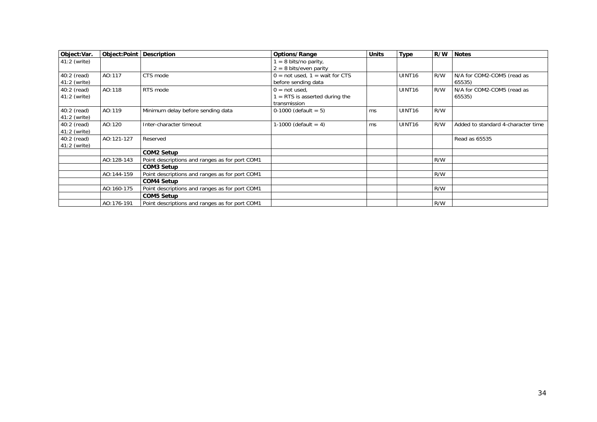| Object:Var.    | Object:Point | <b>Description</b>                             | Options/Range                    | <b>Units</b> | <b>Type</b>        | R/W | <b>Notes</b>                       |
|----------------|--------------|------------------------------------------------|----------------------------------|--------------|--------------------|-----|------------------------------------|
| 41:2 (write)   |              |                                                | = 8 bits/no parity,              |              |                    |     |                                    |
|                |              |                                                | $2 = 8$ bits/even parity         |              |                    |     |                                    |
| 40:2 (read)    | AO:117       | CTS mode                                       | $0 = not used, 1 = wait for CTS$ |              | UINT <sub>16</sub> | R/W | N/A for COM2-COM5 (read as         |
| 41:2 (write)   |              |                                                | before sending data              |              |                    |     | 65535)                             |
| 40:2 (read)    | AO:118       | RTS mode                                       | $0 = not used$                   |              | UINT <sub>16</sub> | R/W | N/A for COM2-COM5 (read as         |
| $41:2$ (write) |              |                                                | $=$ RTS is asserted during the   |              |                    |     | 65535)                             |
|                |              |                                                | transmission                     |              |                    |     |                                    |
| 40:2 (read)    | AO:119       | Minimum delay before sending data              | 0-1000 (default = $5$ )          | ms           | UINT <sub>16</sub> | R/W |                                    |
| 41:2 (write)   |              |                                                |                                  |              |                    |     |                                    |
| 40:2 (read)    | AO:120       | Inter-character timeout                        | 1-1000 (default = 4)             | ms           | UINT <sub>16</sub> | R/W | Added to standard 4-character time |
| 41:2 (write)   |              |                                                |                                  |              |                    |     |                                    |
| $40:2$ (read)  | AO:121-127   | Reserved                                       |                                  |              |                    |     | Read as 65535                      |
| 41:2 (write)   |              |                                                |                                  |              |                    |     |                                    |
|                |              | COM2 Setup                                     |                                  |              |                    |     |                                    |
|                | AO:128-143   | Point descriptions and ranges as for port COM1 |                                  |              |                    | R/W |                                    |
|                |              | COM3 Setup                                     |                                  |              |                    |     |                                    |
|                | AO:144-159   | Point descriptions and ranges as for port COM1 |                                  |              |                    | R/W |                                    |
|                |              | COM4 Setup                                     |                                  |              |                    |     |                                    |
|                | AO:160-175   | Point descriptions and ranges as for port COM1 |                                  |              |                    | R/W |                                    |
|                |              | <b>COM5 Setup</b>                              |                                  |              |                    |     |                                    |
|                | AO:176-191   | Point descriptions and ranges as for port COM1 |                                  |              |                    | R/W |                                    |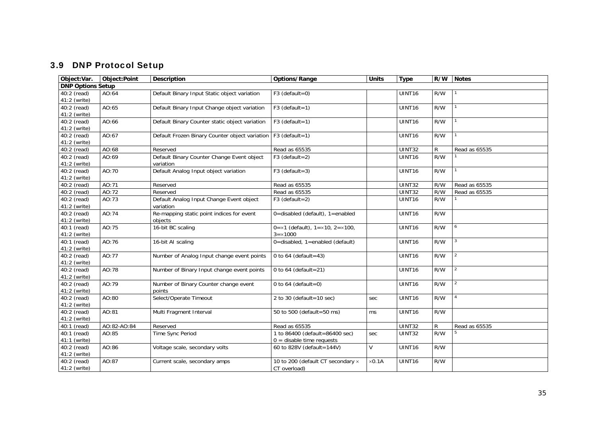# 3.9 DNP Protocol Setup

<span id="page-34-1"></span><span id="page-34-0"></span>

| Object:Var.                 | Object:Point | Description                                    | Options/Range                                | <b>Units</b>  | <b>Type</b>        | R/W          | <b>Notes</b>   |
|-----------------------------|--------------|------------------------------------------------|----------------------------------------------|---------------|--------------------|--------------|----------------|
| <b>DNP Options Setup</b>    |              |                                                |                                              |               |                    |              |                |
| 40:2 (read)                 | AO:64        | Default Binary Input Static object variation   | $F3$ (default=0)                             |               | UINT16             | R/W          |                |
| 41:2 (write)                |              |                                                |                                              |               |                    |              |                |
| 40:2 (read)                 | AO:65        | Default Binary Input Change object variation   | $F3$ (default=1)                             |               | UINT16             | R/W          |                |
| 41:2 (write)                |              |                                                |                                              |               |                    |              |                |
| 40:2 (read)                 | AO:66        | Default Binary Counter static object variation | $F3$ (default=1)                             |               | UINT16             | R/W          |                |
| 41:2 (write)                |              |                                                |                                              |               |                    |              |                |
| 40:2 (read)                 | AO:67        | Default Frozen Binary Counter object variation | $F3$ (default=1)                             |               | UINT16             | R/W          |                |
| 41:2 (write)                |              |                                                |                                              |               |                    |              |                |
| 40:2 (read)                 | AO:68        | Reserved                                       | Read as 65535                                |               | UINT32             | $\mathsf{R}$ | Read as 65535  |
| 40:2 (read)                 | AO:69        | Default Binary Counter Change Event object     | $F3$ (default=2)                             |               | UINT16             | R/W          |                |
| 41:2 (write)                |              | variation                                      |                                              |               |                    |              |                |
| 40:2 (read)                 | AO:70        | Default Analog Input object variation          | $F3$ (default=3)                             |               | UINT16             | R/W          |                |
| 41:2 (write)                |              |                                                |                                              |               |                    |              |                |
| 40:2 (read)                 | AO:71        | Reserved                                       | Read as 65535                                |               | UINT32             | R/W          | Read as 65535  |
| 40:2 (read)                 | AO:72        | Reserved                                       | Read as 65535                                |               | UINT32             | R/W          | Read as 65535  |
| 40:2 (read)                 | AO:73        | Default Analog Input Change Event object       | $F3$ (default=2)                             |               | UINT <sub>16</sub> | R/W          |                |
| 41:2 (write)                |              | variation                                      |                                              |               |                    |              |                |
| 40:2 (read)                 | AO:74        | Re-mapping static point indices for event      | 0=disabled (default), 1=enabled              |               | UINT16             | R/W          |                |
| 41:2 (write)                |              | objects                                        |                                              |               |                    |              |                |
| 40:1 (read)                 | AO:75        | 16-bit BC scaling                              | $0 = x1$ (default), $1 = x10$ , $2 = x100$ , |               | UINT16             | R/W          | 6              |
| 41:2 (write)                |              |                                                | $3 = \times 1000$                            |               |                    |              |                |
| 40:1 (read)                 | AO:76        | 16-bit AI scaling                              | $0 =$ disabled, 1=enabled (default)          |               | UINT16             | R/W          |                |
| 41:2 (write)                |              |                                                |                                              |               |                    |              |                |
| 40:2 (read)                 | AO:77        | Number of Analog Input change event points     | 0 to 64 (default = 43)                       |               | UINT <sub>16</sub> | R/W          | $\overline{a}$ |
| 41:2 (write)                |              |                                                |                                              |               |                    |              |                |
| 40:2 (read)                 | AO:78        | Number of Binary Input change event points     | 0 to 64 (default=21)                         |               | UINT16             | R/W          | $\overline{2}$ |
| 41:2 (write)                |              |                                                |                                              |               |                    |              |                |
| 40:2 (read)                 | AO:79        | Number of Binary Counter change event          | 0 to 64 (default=0)                          |               | UINT16             | R/W          | $\overline{2}$ |
| 41:2 (write)                |              | points                                         |                                              |               |                    |              |                |
| 40:2 (read)                 | AO:80        | Select/Operate Timeout                         | 2 to 30 (default=10 sec)                     | sec           | UINT16             | R/W          |                |
| 41:2 (write)                |              |                                                |                                              |               |                    |              |                |
| 40:2 (read)                 | AO:81        | Multi Fragment Interval                        | 50 to 500 (default=50 ms)                    | ms            | UINT <sub>16</sub> | R/W          |                |
| 41:2 (write)                |              |                                                |                                              |               |                    |              |                |
| 40:1 (read)                 | AO:82-AO:84  | Reserved                                       | Read as 65535                                |               | <b>UINT32</b>      | R.           | Read as 65535  |
| 40:1 (read)                 | AO:85        | Time Sync Period                               | 1 to 86400 (default=86400 sec)               | sec           | <b>UINT32</b>      | R/W          |                |
| 41:1 (write)                |              |                                                | $0 =$ disable time requests                  | V             |                    |              |                |
| 40:2 (read)<br>41:2 (write) | AO:86        | Voltage scale, secondary volts                 | 60 to 828V (default=144V)                    |               | UINT16             | R/W          |                |
|                             | AO:87        |                                                | 10 to 200 (default CT secondary x            | $\times 0.1A$ | UINT16             | R/W          |                |
| 40:2 (read)<br>41:2 (write) |              | Current scale, secondary amps                  | CT overload)                                 |               |                    |              |                |
|                             |              |                                                |                                              |               |                    |              |                |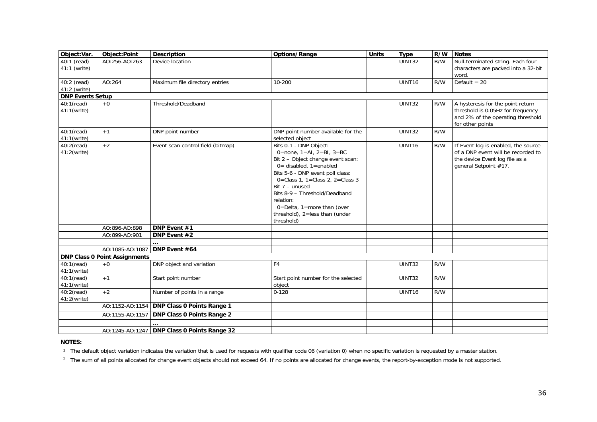| Object:Var.                   | Object:Point                         | <b>Description</b>                            | Options/Range                                                                                                                                                                                                                                                                                                                                                 | <b>Units</b> | <b>Type</b>        | R/W | <b>Notes</b>                                                                                                                         |
|-------------------------------|--------------------------------------|-----------------------------------------------|---------------------------------------------------------------------------------------------------------------------------------------------------------------------------------------------------------------------------------------------------------------------------------------------------------------------------------------------------------------|--------------|--------------------|-----|--------------------------------------------------------------------------------------------------------------------------------------|
| 40:1 (read)<br>41:1 (write)   | AO:256-AO:263                        | Device location                               |                                                                                                                                                                                                                                                                                                                                                               |              | UINT32             | R/W | Null-terminated string. Each four<br>characters are packed into a 32-bit<br>word.                                                    |
| 40:2 (read)<br>$41:2$ (write) | AO:264                               | Maximum file directory entries                | 10-200                                                                                                                                                                                                                                                                                                                                                        |              | UINT16             | R/W | Default = $20$                                                                                                                       |
| <b>DNP Events Setup</b>       |                                      |                                               |                                                                                                                                                                                                                                                                                                                                                               |              |                    |     |                                                                                                                                      |
| 40:1(read)<br>41:1(write)     | $+0$                                 | Threshold/Deadband                            |                                                                                                                                                                                                                                                                                                                                                               |              | <b>UINT32</b>      | R/W | A hysteresis for the point return<br>threshold is 0.05Hz for frequency<br>and 2% of the operating threshold<br>for other points      |
| 40:1(read)<br>41:1(write)     | $+1$                                 | DNP point number                              | DNP point number available for the<br>selected object                                                                                                                                                                                                                                                                                                         |              | <b>UINT32</b>      | R/W |                                                                                                                                      |
| $40:2$ (read)<br>41:2(write)  | $+2$                                 | Event scan control field (bitmap)             | Bits 0-1 - DNP Object:<br>0=none, $1 = AI$ , $2 = BI$ , $3 = BC$<br>Bit 2 - Object change event scan:<br>$0 =$ disabled, 1=enabled<br>Bits 5-6 - DNP event poll class:<br>0=Class 1, 1=Class 2, 2=Class 3<br>Bit $7 -$ unused<br>Bits 8-9 - Threshold/Deadband<br>relation:<br>$0 =$ Delta, 1=more than (over<br>threshold), 2=less than (under<br>threshold) |              | UINT <sub>16</sub> | R/W | If Event log is enabled, the source<br>of a DNP event will be recorded to<br>the device Event log file as a<br>general Setpoint #17. |
|                               | AO:896-AO:898                        | DNP Event #1                                  |                                                                                                                                                                                                                                                                                                                                                               |              |                    |     |                                                                                                                                      |
|                               | AO:899-AO:901                        | DNP Event #2                                  |                                                                                                                                                                                                                                                                                                                                                               |              |                    |     |                                                                                                                                      |
|                               |                                      |                                               |                                                                                                                                                                                                                                                                                                                                                               |              |                    |     |                                                                                                                                      |
|                               | AO:1085-AO:1087                      | DNP Event #64                                 |                                                                                                                                                                                                                                                                                                                                                               |              |                    |     |                                                                                                                                      |
|                               | <b>DNP Class 0 Point Assignments</b> |                                               |                                                                                                                                                                                                                                                                                                                                                               |              |                    |     |                                                                                                                                      |
| 40:1(read)<br>41:1(write)     | $+0$                                 | DNP object and variation                      | F <sub>4</sub>                                                                                                                                                                                                                                                                                                                                                |              | UINT32             | R/W |                                                                                                                                      |
| 40:1(read)<br>41:1(write)     | $+1$                                 | Start point number                            | Start point number for the selected<br>object                                                                                                                                                                                                                                                                                                                 |              | <b>UINT32</b>      | R/W |                                                                                                                                      |
| $40:2$ (read)<br>41:2(write)  | $+2$                                 | Number of points in a range                   | $0 - 128$                                                                                                                                                                                                                                                                                                                                                     |              | UINT <sub>16</sub> | R/W |                                                                                                                                      |
|                               | AO:1152-AO:1154                      | <b>DNP Class 0 Points Range 1</b>             |                                                                                                                                                                                                                                                                                                                                                               |              |                    |     |                                                                                                                                      |
|                               | AO:1155-AO:1157                      | <b>DNP Class 0 Points Range 2</b>             |                                                                                                                                                                                                                                                                                                                                                               |              |                    |     |                                                                                                                                      |
|                               |                                      |                                               |                                                                                                                                                                                                                                                                                                                                                               |              |                    |     |                                                                                                                                      |
|                               |                                      | AO:1245-AO:1247   DNP Class 0 Points Range 32 |                                                                                                                                                                                                                                                                                                                                                               |              |                    |     |                                                                                                                                      |

#### <span id="page-35-1"></span>**NOTES:**

<sup>1</sup> The default object variation indicates the variation that is used for requests with qualifier code 06 (variation 0) when no specific variation is requested by a master station.

<span id="page-35-0"></span><sup>2</sup> The sum of all points allocated for change event objects should not exceed 64. If no points are allocated for change events, the report-by-exception mode is not supported.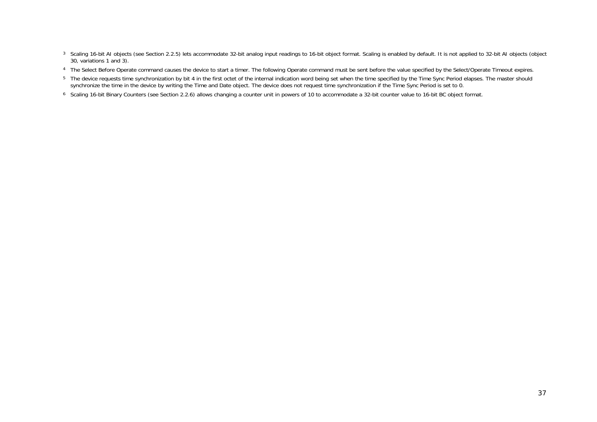- <sup>3</sup> Scaling 16-bit AI objects (see Section 2.2.5) lets accommodate 32-bit analog input readings to 16-bit object format. Scaling is enabled by default. It is not applied to 32-bit AI objects (object 30, variations 1 and 3).
- <sup>4</sup> The Select Before Operate command causes the device to start a timer. The following Operate command must be sent before the value specified by the Select/Operate Timeout expires.
- <sup>5</sup> The device requests time synchronization by bit 4 in the first octet of the internal indication word being set when the time specified by the Time Sync Period elapses. The master should synchronize the time in the device by writing the Time and Date object. The device does not request time synchronization if the Time Sync Period is set to 0.
- 6 Scaling 16-bit Binary Counters (see Section 2.2.6) allows changing a counter unit in powers of 10 to accommodate a 32-bit counter value to 16-bit BC object format.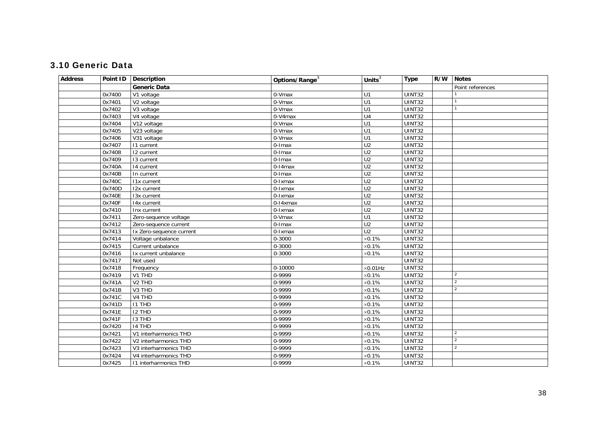### 3.10 Generic Data

<span id="page-37-1"></span><span id="page-37-0"></span>

| <b>Generic Data</b><br>0x7400<br>0-Vmax<br><b>UINT32</b><br>V1 voltage<br>U1<br>UINT32<br>0-Vmax<br>0x7401<br>V2 voltage<br>U1<br><b>UINT32</b><br>0-Vmax<br>0x7402<br>V3 voltage<br>U1<br>0-V4max<br>UINT32<br>0x7403<br>U <sub>4</sub><br>V4 voltage<br>$\overline{UINT32}$<br>0-Vmax<br>U1<br>0x7404<br>V12 voltage | Point references |
|------------------------------------------------------------------------------------------------------------------------------------------------------------------------------------------------------------------------------------------------------------------------------------------------------------------------|------------------|
|                                                                                                                                                                                                                                                                                                                        |                  |
|                                                                                                                                                                                                                                                                                                                        |                  |
|                                                                                                                                                                                                                                                                                                                        |                  |
|                                                                                                                                                                                                                                                                                                                        |                  |
|                                                                                                                                                                                                                                                                                                                        |                  |
|                                                                                                                                                                                                                                                                                                                        |                  |
| 0-Vmax<br>UINT32<br>0x7405<br>U1<br>V23 voltage                                                                                                                                                                                                                                                                        |                  |
| 0-Vmax<br>UINT32<br>0x7406<br>V31 voltage<br>U1                                                                                                                                                                                                                                                                        |                  |
| UINT32<br>U <sub>2</sub><br>0x7407<br>0-Imax<br>11 current                                                                                                                                                                                                                                                             |                  |
| U <sub>2</sub><br>UINT32<br>0x7408<br>12 current<br>0-Imax                                                                                                                                                                                                                                                             |                  |
| UINT32<br>$\overline{U2}$<br>0x7409<br>0-Imax<br>13 current                                                                                                                                                                                                                                                            |                  |
| $0-14$ max<br>U <sub>2</sub><br>UINT32<br>0x740A<br>14 current                                                                                                                                                                                                                                                         |                  |
| U <sub>2</sub><br>UINT32<br>0x740B<br>$\overline{0}$ -Imax<br>In current                                                                                                                                                                                                                                               |                  |
| U <sub>2</sub><br><b>UINT32</b><br>0x740C<br>0-Ixmax<br><b>11x current</b>                                                                                                                                                                                                                                             |                  |
| $\overline{U2}$<br>UINT32<br>0x740D<br>0-Ixmax<br>I2x current                                                                                                                                                                                                                                                          |                  |
| <b>UINT32</b><br>U <sub>2</sub><br>0x740E<br>13x current<br>0-Ixmax                                                                                                                                                                                                                                                    |                  |
| U <sub>2</sub><br>UINT32<br>0x740F<br>0-14xmax<br>14x current                                                                                                                                                                                                                                                          |                  |
| U <sub>2</sub><br>0x7410<br>UINT32<br>Inx current<br>0-Ixmax                                                                                                                                                                                                                                                           |                  |
| $\overline{UINT32}$<br>0-Vmax<br>0x7411<br>U1<br>Zero-sequence voltage                                                                                                                                                                                                                                                 |                  |
| $\overline{U2}$<br>0-Imax<br>UINT32<br>0x7412<br>Zero-sequence current                                                                                                                                                                                                                                                 |                  |
| U <sub>2</sub><br>UINT32<br>0x7413<br>Ix Zero-sequence current<br>0-Ixmax                                                                                                                                                                                                                                              |                  |
| $0 - 3000$<br>$\times 0.1\%$<br>UINT32<br>0x7414<br>Voltage unbalance                                                                                                                                                                                                                                                  |                  |
| UINT32<br>0x7415<br>0-3000<br>$\times 0.1\%$<br>Current unbalance                                                                                                                                                                                                                                                      |                  |
| 0-3000<br>UINT32<br>0x7416<br>Ix current unbalance<br>$\times 0.1\%$                                                                                                                                                                                                                                                   |                  |
| UINT32<br>0x7417<br>Not used                                                                                                                                                                                                                                                                                           |                  |
| 0x7418<br>UINT32<br>0-10000<br>$\times$ 0.01Hz<br>Frequency                                                                                                                                                                                                                                                            |                  |
| $\overline{2}$<br>0-9999<br>0x7419<br>V1 THD<br>$\times 0.1\%$<br><b>UINT32</b>                                                                                                                                                                                                                                        |                  |
| 0x741A<br>V <sub>2</sub> TH <sub>D</sub><br>0-9999<br>$\times 0.1\%$<br>UINT32<br>$\overline{2}$                                                                                                                                                                                                                       |                  |
| $\overline{2}$<br>0x741B<br>0-9999<br>$\times 0.1\%$<br>UINT32<br>V3 THD                                                                                                                                                                                                                                               |                  |
| 0-9999<br>$\times 0.1\%$<br><b>UINT32</b><br>0x741C<br>V4 THD                                                                                                                                                                                                                                                          |                  |
| 0-9999<br>UINT32<br>0x741D<br><b>I1 THD</b><br>$\times 0.1\%$                                                                                                                                                                                                                                                          |                  |
| 0-9999<br>UINT32<br>0x741E<br><b>I2 THD</b><br>$\times$ 0.1%                                                                                                                                                                                                                                                           |                  |
| 0-9999<br><b>UINT32</b><br>0x741F<br>I3 THD<br>$\times 0.1\%$                                                                                                                                                                                                                                                          |                  |
| 0-9999<br>0x7420<br>14 THD<br>$\times 0.1\%$<br>UINT32                                                                                                                                                                                                                                                                 |                  |
| 0-9999<br>$\overline{2}$<br>0x7421<br>UINT32<br>V1 interharmonics THD<br>$\times 0.1\%$                                                                                                                                                                                                                                |                  |
| 0x7422<br>0-9999<br>$\times 0.1\%$<br>UINT32<br>$\overline{2}$<br>V2 interharmonics THD                                                                                                                                                                                                                                |                  |
| 0-9999<br><b>UINT32</b><br>$\overline{2}$<br>0x7423<br>$\times 0.1\%$<br>V3 interharmonics THD                                                                                                                                                                                                                         |                  |
| 0-9999<br>UINT32<br>0x7424<br>$\times 0.1\%$<br>V4 interharmonics THD                                                                                                                                                                                                                                                  |                  |
| 0-9999<br>0x7425<br>11 interharmonics THD<br>$\times 0.1\%$<br>UINT32                                                                                                                                                                                                                                                  |                  |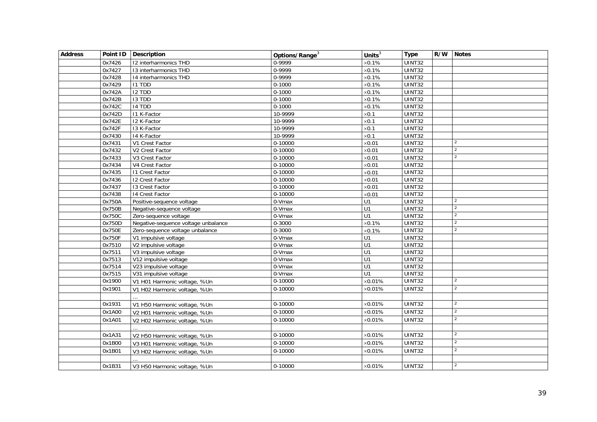| <b>Address</b> |        | Point ID   Description              | Options/Range <sup>3</sup> | Units $3$        | <b>Type</b>         | R/W Notes      |
|----------------|--------|-------------------------------------|----------------------------|------------------|---------------------|----------------|
|                | 0x7426 | 12 interharmonics THD               | 0-9999                     | $\times 0.1\%$   | UINT32              |                |
|                | 0x7427 | 13 interharmonics THD               | 0-9999                     | $\times 0.1\%$   | <b>UINT32</b>       |                |
|                | 0x7428 | 14 interharmonics THD               | 0-9999                     | $\times 0.1\%$   | UINT32              |                |
|                | 0x7429 | <b>I1 TDD</b>                       | $0 - 1000$                 | $\times 0.1\%$   | <b>UINT32</b>       |                |
|                | 0x742A | I2 TDD                              | $0 - 1000$                 | $\times 0.1\%$   | <b>UINT32</b>       |                |
|                | 0x742B | <b>I3 TDD</b>                       | $0 - 1000$                 | $\times 0.1\%$   | UINT32              |                |
|                | 0x742C | 14 TDD                              | $0 - 1000$                 | $\times 0.1\%$   | UINT32              |                |
|                | 0x742D | I1 K-Factor                         | 10-9999                    | $\times 0.1$     | UINT32              |                |
|                | 0x742E | 12 K-Factor                         | 10-9999                    | $\times 0.1$     | <b>UINT32</b>       |                |
|                | 0x742F | 13 K-Factor                         | 10-9999                    | $\times 0.1$     | UINT32              |                |
|                | 0x7430 | 14 K-Factor                         | 10-9999                    | $\times 0.1$     | UINT32              |                |
|                | 0x7431 | V1 Crest Factor                     | 0-10000                    | $\times 0.01$    | UINT32              | $\mathcal{P}$  |
|                | 0x7432 | V2 Crest Factor                     | 0-10000                    | $\times 0.01$    | UINT32              | $\overline{2}$ |
|                | 0x7433 | V3 Crest Factor                     | $0 - 10000$                | $\times$ 0.01    | UINT32              | $\overline{2}$ |
|                | 0x7434 | V4 Crest Factor                     | 0-10000                    | $\times 0.01$    | <b>UINT32</b>       |                |
|                | 0x7435 | 11 Crest Factor                     | $0-10000$                  | $\times 0.01$    | <b>UINT32</b>       |                |
|                | 0x7436 | 12 Crest Factor                     | 0-10000                    | $\times 0.01$    | UINT32              |                |
|                | 0x7437 | 13 Crest Factor                     | 0-10000                    | $\times 0.01$    | <b>UINT32</b>       |                |
|                | 0x7438 | 14 Crest Factor                     | $0-10000$                  | $\times 0.01$    | <b>UINT32</b>       |                |
|                | 0x750A | Positive-sequence voltage           | 0-Vmax                     | U1               | <b>UINT32</b>       | $\overline{2}$ |
|                | 0x750B | Negative-sequence voltage           | 0-Vmax                     | $\overline{U}$   | UINT32              | $\overline{2}$ |
|                | 0x750C | Zero-sequence voltage               | 0-Vmax                     | U1               | UINT32              | $\overline{2}$ |
|                | 0x750D | Negative-sequence voltage unbalance | $0 - 3000$                 | $\times 0.1\%$   | UINT32              | $\overline{2}$ |
|                | 0x750E | Zero-sequence voltage unbalance     | $0 - 3000$                 | $\times 0.1\%$   | UINT32              | 2              |
|                | 0x750F | V1 impulsive voltage                | 0-Vmax                     | U1               | $\overline{UINT32}$ |                |
|                | 0x7510 | V2 impulsive voltage                | 0-Vmax                     | U1               | <b>UINT32</b>       |                |
|                | 0x7511 | V3 impulsive voltage                | 0-Vmax                     | $\overline{U}$ 1 | UINT32              |                |
|                | 0x7513 | V12 impulsive voltage               | 0-Vmax                     | U1               | <b>UINT32</b>       |                |
|                | 0x7514 | V23 impulsive voltage               | 0-Vmax                     | U1               | UINT32              |                |
|                | 0x7515 | V31 impulsive voltage               | 0-Vmax                     | U1               | UINT32              |                |
|                | 0x1900 | V1 H01 Harmonic voltage, %Un        | $0-10000$                  | $\times 0.01\%$  | <b>UINT32</b>       | 2              |
|                | 0x1901 | V1 H02 Harmonic voltage, %Un        | $0-10000$                  | $\times 0.01\%$  | UINT32              | 2              |
|                |        |                                     |                            |                  |                     |                |
|                | 0x1931 | V1 H50 Harmonic voltage, %Un        | 0-10000                    | $\times 0.01\%$  | UINT32              | $\overline{2}$ |
|                | 0x1A00 | V2 H01 Harmonic voltage, %Un        | 0-10000                    | $\times 0.01\%$  | UINT32              | $\overline{2}$ |
|                | 0x1A01 | V2 H02 Harmonic voltage, %Un        | $0-10000$                  | $\times 0.01\%$  | UINT32              | $\overline{2}$ |
|                |        |                                     |                            |                  |                     |                |
|                | 0x1A31 | V2 H50 Harmonic voltage, %Un        | 0-10000                    | $\times 0.01\%$  | UINT32              | $\overline{2}$ |
|                | 0x1B00 | V3 H01 Harmonic voltage, %Un        | 0-10000                    | $\times 0.01\%$  | UINT32              | $\overline{2}$ |
|                | 0x1B01 | V3 H02 Harmonic voltage, %Un        | 0-10000                    | $\times 0.01\%$  | UINT32              | $\overline{2}$ |
|                |        |                                     |                            |                  |                     |                |
|                | 0x1B31 | V3 H50 Harmonic voltage, %Un        | 0-10000                    | $\times 0.01\%$  | UINT32              | 2              |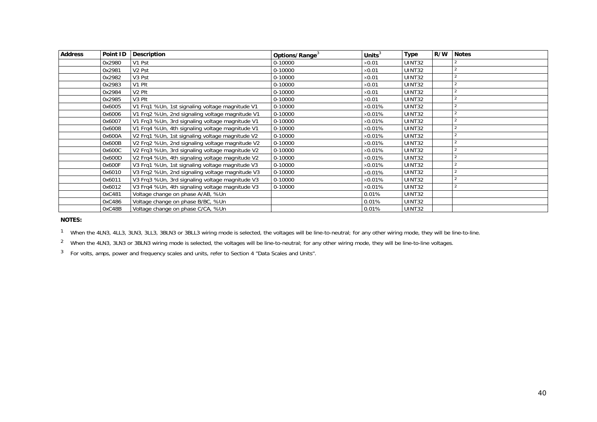| <b>Address</b> | Point ID | Description                                     | Options/Range <sup>3</sup> | Units $3$      | <b>Type</b> | R/W | <b>Notes</b> |
|----------------|----------|-------------------------------------------------|----------------------------|----------------|-------------|-----|--------------|
|                | 0x2980   | V1 Pst                                          | 0-10000                    | $\times 0.01$  | UINT32      |     |              |
|                | 0x2981   | V <sub>2</sub> Pst                              | 0-10000                    | $\times$ 0.01  | UINT32      |     |              |
|                | 0x2982   | V <sub>3</sub> Pst                              | 0-10000                    | $\times$ 0.01  | UINT32      |     |              |
|                | 0x2983   | V1 Plt                                          | 0-10000                    | $\times$ 0.01  | UINT32      |     |              |
|                | 0x2984   | V <sub>2</sub> Plt                              | 0-10000                    | $\times$ 0.01  | UINT32      |     |              |
|                | 0x2985   | V <sub>3</sub> Plt                              | 0-10000                    | $\times$ 0.01  | UINT32      |     |              |
|                | 0x6005   | V1 Frq1 %Un, 1st signaling voltage magnitude V1 | 0-10000                    | $\times$ 0.01% | UINT32      |     |              |
|                | 0x6006   | V1 Frg2 %Un, 2nd signaling voltage magnitude V1 | 0-10000                    | $\times$ 0.01% | UINT32      |     |              |
|                | 0x6007   | V1 Frq3 %Un, 3rd signaling voltage magnitude V1 | 0-10000                    | $\times$ 0.01% | UINT32      |     |              |
|                | 0x6008   | V1 Frq4 %Un, 4th signaling voltage magnitude V1 | 0-10000                    | $\times$ 0.01% | UINT32      |     |              |
|                | 0x600A   | V2 Frq1 %Un, 1st signaling voltage magnitude V2 | 0-10000                    | $\times$ 0.01% | UINT32      |     |              |
|                | 0x600B   | V2 Frq2 %Un, 2nd signaling voltage magnitude V2 | 0-10000                    | $\times$ 0.01% | UINT32      |     |              |
|                | 0x600C   | V2 Frq3 %Un, 3rd signaling voltage magnitude V2 | 0-10000                    | $\times$ 0.01% | UINT32      |     |              |
|                | 0x600D   | V2 Frq4 %Un, 4th signaling voltage magnitude V2 | 0-10000                    | $\times$ 0.01% | UINT32      |     |              |
|                | 0x600F   | V3 Frq1 %Un, 1st signaling voltage magnitude V3 | 0-10000                    | $\times$ 0.01% | UINT32      |     |              |
|                | 0x6010   | V3 Frg2 %Un, 2nd signaling voltage magnitude V3 | 0-10000                    | $\times$ 0.01% | UINT32      |     |              |
|                | 0x6011   | V3 Frq3 %Un, 3rd signaling voltage magnitude V3 | 0-10000                    | $\times$ 0.01% | UINT32      |     |              |
|                | 0x6012   | V3 Frq4 %Un, 4th signaling voltage magnitude V3 | 0-10000                    | $\times$ 0.01% | UINT32      |     |              |
|                | 0xC481   | Voltage change on phase A/AB, %Un               |                            | 0.01%          | UINT32      |     |              |
|                | 0xC486   | Voltage change on phase B/BC, %Un               |                            | 0.01%          | UINT32      |     |              |
|                | 0xC48B   | Voltage change on phase C/CA, %Un               |                            | 0.01%          | UINT32      |     |              |

**NOTES:** 

<sup>1</sup> When the 4LN3, 4LL3, 3LN3, 3LL3, 3BLN3 or 3BLL3 wiring mode is selected, the voltages will be line-to-neutral; for any other wiring mode, they will be line-to-line.

 $2$  When the 4LN3, 3LN3 or 3BLN3 wiring mode is selected, the voltages will be line-to-neutral; for any other wiring mode, they will be line-to-line voltages.

 $3$  For volts, amps, power and frequency scales and units, refer to Section 4 "Data Scales and Units".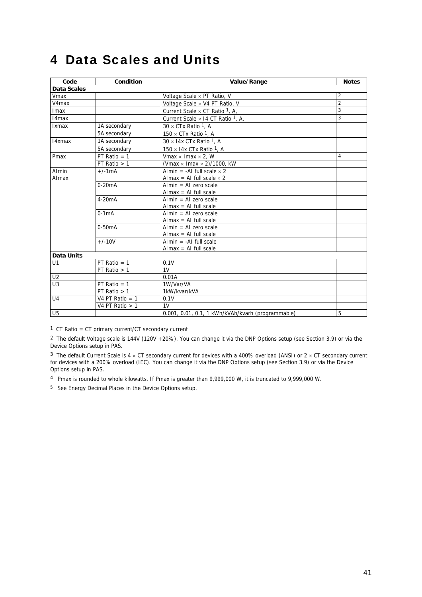# <span id="page-40-0"></span>4 Data Scales and Units

<span id="page-40-1"></span>

| Code               | Condition         | Value/Range                                       | <b>Notes</b>   |
|--------------------|-------------------|---------------------------------------------------|----------------|
| <b>Data Scales</b> |                   |                                                   |                |
| Vmax               |                   | Voltage Scale $\times$ PT Ratio, V                | $\overline{2}$ |
| V4max              |                   | Voltage Scale × V4 PT Ratio, V                    | $\overline{2}$ |
| Imax               |                   | Current Scale $\times$ CT Ratio <sup>1</sup> , A, | 3              |
| 14 <sub>max</sub>  |                   | Current Scale $\times$ 14 CT Ratio 1. A.          | 3              |
| Ixmax              | 1A secondary      | $30 \times CTx$ Ratio 1. A                        |                |
|                    | 5A secondary      | 150 $\times$ CTx Ratio 1. A                       |                |
| 14xmax             | 1A secondary      | $30 \times 14$ x CTx Ratio 1, A                   |                |
|                    | 5A secondary      | 150 $\times$ 14x CTx Ratio <sup>1</sup> , A       |                |
| Pmax               | PT Ratio $= 1$    | Vmax $\times$ Imax $\times$ 2, W                  | $\overline{4}$ |
|                    | PT Ratio $> 1$    | (Vmax $\times$ Imax $\times$ 2)/1000, kW          |                |
| Almin              | $+/-1mA$          | Almin = -Al full scale $\times$ 2                 |                |
| Almax              |                   | Almax = Al full scale $\times$ 2                  |                |
|                    | $0-20mA$          | Almin = Al zero scale                             |                |
|                    |                   | $Almax = Al full scale$                           |                |
|                    | $4-20mA$          | Almin = Al zero scale                             |                |
|                    |                   | $Almax = Al full scale$                           |                |
|                    | $0-1mA$           | Almin = Al zero scale                             |                |
|                    |                   | $Almax = Al full scale$                           |                |
|                    | $0-50mA$          | Almin = Al zero scale                             |                |
|                    |                   | $Almax = Al full scale$                           |                |
|                    | $+/-10V$          | $Almin = -Al full scale$                          |                |
|                    |                   | $Almax = Al full scale$                           |                |
| <b>Data Units</b>  |                   |                                                   |                |
| U1                 | PT Ratio $= 1$    | 0.1V                                              |                |
|                    | PT Ratio $> 1$    | 1 <sub>V</sub>                                    |                |
| U <sub>2</sub>     |                   | 0.01A                                             |                |
| U3                 | PT Ratio $= 1$    | 1W/Var/VA                                         |                |
|                    | PT Ratio $> 1$    | 1kW/kvar/kVA                                      |                |
| U <sub>4</sub>     | V4 PT Ratio $= 1$ | 0.1V                                              |                |
|                    | V4 PT Ratio $> 1$ | 1V                                                |                |
| U <sub>5</sub>     |                   | 0.001, 0.01, 0.1, 1 kWh/kVAh/kvarh (programmable) | 5              |

<span id="page-40-2"></span>1 CT Ratio = CT primary current/CT secondary current

<sup>2</sup> The default Voltage scale is 144V (120V +20%). You can change it via the DNP Options setup (see Section 3.9) or via the Device Options setup in PAS.

<sup>3</sup> The default Current Scale is  $4 \times CT$  secondary current for devices with a 400% overload (ANSI) or  $2 \times CT$  secondary current for devices with a 200% overload (IEC). You can change it via the DNP Options setup (see Section 3.9) or via the Device Options setup in PAS.

4 Pmax is rounded to whole kilowatts. If Pmax is greater than 9,999,000 W, it is truncated to 9,999,000 W.

5 See Energy Decimal Places in the Device Options setup.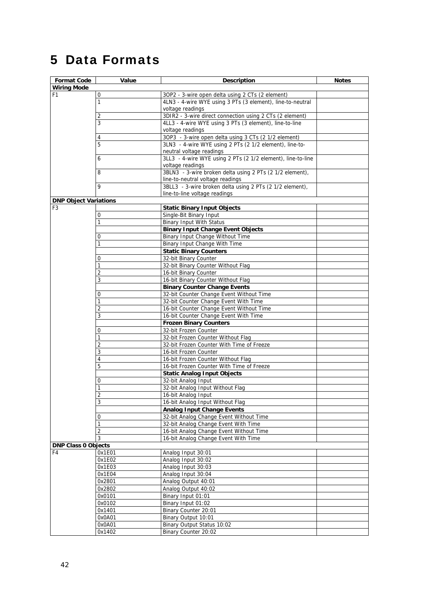# <span id="page-41-0"></span>5 Data Formats

<span id="page-41-3"></span><span id="page-41-2"></span><span id="page-41-1"></span>

| <b>Format Code</b>           | Value          | <b>Description</b>                                                          | <b>Notes</b> |
|------------------------------|----------------|-----------------------------------------------------------------------------|--------------|
| <b>Wiring Mode</b>           |                |                                                                             |              |
| F <sub>1</sub>               | 0              | 3OP2 - 3-wire open delta using 2 CTs (2 element)                            |              |
|                              | $\mathbf{1}$   | 4LN3 - 4-wire WYE using 3 PTs (3 element), line-to-neutral                  |              |
|                              |                | voltage readings                                                            |              |
|                              | 2              | 3DIR2 - 3-wire direct connection using 2 CTs (2 element)                    |              |
|                              | 3              | 4LL3 - 4-wire WYE using 3 PTs (3 element), line-to-line                     |              |
|                              |                | voltage readings                                                            |              |
|                              | 4              | 3OP3 - 3-wire open delta using 3 CTs (2 1/2 element)                        |              |
|                              | 5              | 3LN3 - 4-wire WYE using 2 PTs (2 1/2 element), line-to-                     |              |
|                              |                | neutral voltage readings                                                    |              |
|                              | 6              | 3LL3 - 4-wire WYE using 2 PTs (2 1/2 element), line-to-line                 |              |
|                              |                | voltage readings                                                            |              |
|                              | 8              | 3BLN3 - 3-wire broken delta using 2 PTs (2 1/2 element),                    |              |
|                              |                | line-to-neutral voltage readings                                            |              |
|                              | 9              | 3BLL3 - 3-wire broken delta using 2 PTs (2 1/2 element),                    |              |
|                              |                | line-to-line voltage readings                                               |              |
| <b>DNP Object Variations</b> |                |                                                                             |              |
| F <sub>3</sub>               | $\mathbf 0$    | <b>Static Binary Input Objects</b>                                          |              |
|                              | $\mathbf{1}$   | Single-Bit Binary Input                                                     |              |
|                              |                | <b>Binary Input With Status</b><br><b>Binary Input Change Event Objects</b> |              |
|                              | 0              | Binary Input Change Without Time                                            |              |
|                              | $\mathbf{1}$   | Binary Input Change With Time                                               |              |
|                              |                | <b>Static Binary Counters</b>                                               |              |
|                              | 0              | 32-bit Binary Counter                                                       |              |
|                              | $\mathbf{1}$   | 32-bit Binary Counter Without Flag                                          |              |
|                              | $\sqrt{2}$     | 16-bit Binary Counter                                                       |              |
|                              | 3              | 16-bit Binary Counter Without Flag                                          |              |
|                              |                | <b>Binary Counter Change Events</b>                                         |              |
|                              | 0              | 32-bit Counter Change Event Without Time                                    |              |
|                              | 1              | 32-bit Counter Change Event With Time                                       |              |
|                              | $\overline{2}$ | 16-bit Counter Change Event Without Time                                    |              |
|                              | 3              | 16-bit Counter Change Event With Time                                       |              |
|                              |                | <b>Frozen Binary Counters</b>                                               |              |
|                              | 0              | 32-bit Frozen Counter                                                       |              |
|                              | $\mathbf{1}$   | 32-bit Frozen Counter Without Flag                                          |              |
|                              | $\overline{2}$ | 32-bit Frozen Counter With Time of Freeze                                   |              |
|                              | 3              | 16-bit Frozen Counter                                                       |              |
|                              | $\overline{4}$ | 16-bit Frozen Counter Without Flag                                          |              |
|                              | 5              | 16-bit Frozen Counter With Time of Freeze                                   |              |
|                              |                | <b>Static Analog Input Objects</b>                                          |              |
|                              | 0              | 32-bit Analog Input                                                         |              |
|                              | 1              | 32-bit Analog Input Without Flag                                            |              |
|                              | 2              | 16-bit Analog Input                                                         |              |
|                              | 3              | 16-bit Analog Input Without Flag                                            |              |
|                              |                | <b>Analog Input Change Events</b>                                           |              |
|                              | 0              | 32-bit Analog Change Event Without Time                                     |              |
|                              | $\mathbf{1}$   | 32-bit Analog Change Event With Time                                        |              |
|                              | $\sqrt{2}$     | 16-bit Analog Change Event Without Time                                     |              |
|                              | $\mathbf{3}$   | 16-bit Analog Change Event With Time                                        |              |
| <b>DNP Class 0 Objects</b>   |                |                                                                             |              |
| F4                           | 0x1E01         | Analog Input 30:01                                                          |              |
|                              | 0x1E02         | Analog Input 30:02                                                          |              |
|                              | 0x1E03         | Analog Input 30:03                                                          |              |
|                              | 0x1E04         | Analog Input 30:04                                                          |              |
|                              | 0x2801         | Analog Output 40:01                                                         |              |
|                              | 0x2802         | Analog Output 40:02                                                         |              |
|                              | 0x0101         | Binary Input 01:01                                                          |              |
|                              | 0x0102         | Binary Input 01:02                                                          |              |
|                              | 0x1401         | Binary Counter 20:01                                                        |              |
|                              | 0x0A01         | Binary Output 10:01                                                         |              |
|                              | 0x0A01         | Binary Output Status 10:02                                                  |              |
|                              | 0x1402         | Binary Counter 20:02                                                        |              |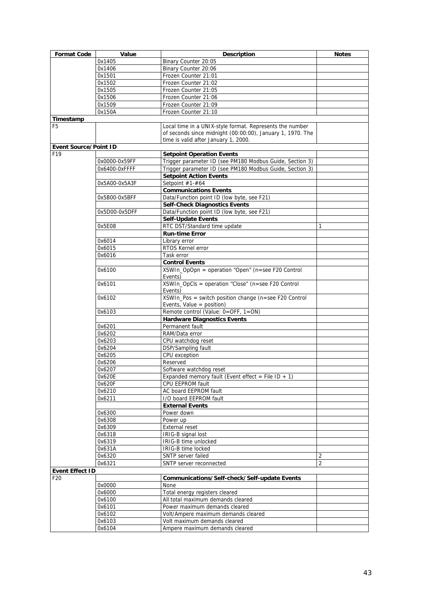<span id="page-42-2"></span><span id="page-42-1"></span><span id="page-42-0"></span>

| <b>Format Code</b>           | Value         | <b>Description</b>                                         | <b>Notes</b>   |
|------------------------------|---------------|------------------------------------------------------------|----------------|
|                              | 0x1405        | Binary Counter 20:05                                       |                |
|                              | 0x1406        | Binary Counter 20:06                                       |                |
|                              |               |                                                            |                |
|                              | 0x1501        | Frozen Counter 21:01                                       |                |
|                              | 0x1502        | Frozen Counter 21:02                                       |                |
|                              | 0x1505        | Frozen Counter 21:05                                       |                |
|                              | 0x1506        | Frozen Counter 21:06                                       |                |
|                              | 0x1509        | Frozen Counter 21:09                                       |                |
|                              | 0x150A        | Frozen Counter 21:10                                       |                |
| Timestamp                    |               |                                                            |                |
| F <sub>5</sub>               |               | Local time in a UNIX-style format. Represents the number   |                |
|                              |               | of seconds since midnight (00:00:00), January 1, 1970. The |                |
|                              |               | time is valid after January 1, 2000.                       |                |
| <b>Event Source/Point ID</b> |               |                                                            |                |
| F <sub>19</sub>              |               | <b>Setpoint Operation Events</b>                           |                |
|                              | 0x0000-0x59FF | Trigger parameter ID (see PM180 Modbus Guide, Section 3)   |                |
|                              | 0x6400-0xFFFF | Trigger parameter ID (see PM180 Modbus Guide, Section 3)   |                |
|                              |               | <b>Setpoint Action Events</b>                              |                |
|                              | 0x5A00-0x5A3F | Setpoint #1-#64                                            |                |
|                              |               | <b>Communications Events</b>                               |                |
|                              | 0x5B00-0x5BFF | Data/Function point ID (low byte, see F21)                 |                |
|                              |               |                                                            |                |
|                              |               | <b>Self-Check Diagnostics Events</b>                       |                |
|                              | 0x5D00-0x5DFF | Data/Function point ID (low byte, see F21)                 |                |
|                              |               | <b>Self-Update Events</b>                                  |                |
|                              | 0x5E08        | RTC DST/Standard time update                               | 1              |
|                              |               | <b>Run-time Error</b>                                      |                |
|                              | 0x6014        | Library error                                              |                |
|                              | 0x6015        | RTOS Kernel error                                          |                |
|                              | 0x6016        | Task error                                                 |                |
|                              |               | <b>Control Events</b>                                      |                |
|                              | 0x6100        | XSWIn_OpOpn = operation "Open" (n=see F20 Control          |                |
|                              |               | Events)                                                    |                |
|                              | 0x6101        | XSWIn_OpCls = operation "Close" (n=see F20 Control         |                |
|                              |               | Events)                                                    |                |
|                              | 0x6102        | XSWIn_Pos = switch position change (n=see F20 Control      |                |
|                              |               | Events, Value = $position$ )                               |                |
|                              | 0x6103        | Remote control (Value: 0=OFF, 1=ON)                        |                |
|                              |               | <b>Hardware Diagnostics Events</b>                         |                |
|                              | 0x6201        | Permanent fault                                            |                |
|                              | 0x6202        | RAM/Data error                                             |                |
|                              | 0x6203        | CPU watchdog reset                                         |                |
|                              |               |                                                            |                |
|                              | 0x6204        | DSP/Sampling fault                                         |                |
|                              | 0x6205        | CPU exception                                              |                |
|                              | 0x6206        | Reserved                                                   |                |
|                              | 0x6207        | Software watchdog reset                                    |                |
|                              | 0x620E        | Expanded memory fault (Event effect = File ID + 1)         |                |
|                              | 0x620F        | CPU EEPROM fault                                           |                |
|                              | 0x6210        | AC board EEPROM fault                                      |                |
|                              | 0x6211        | I/O board EEPROM fault                                     |                |
|                              |               | <b>External Events</b>                                     |                |
|                              | 0x6300        | Power down                                                 |                |
|                              | 0x6308        | Power up                                                   |                |
|                              | 0x6309        | <b>External reset</b>                                      |                |
|                              | 0x6318        | IRIG-B signal lost                                         |                |
|                              | 0x6319        | IRIG-B time unlocked                                       |                |
|                              | 0x631A        | IRIG-B time locked                                         |                |
|                              | 0x6320        | SNTP server failed                                         | 2              |
|                              | 0x6321        | SNTP server reconnected                                    | $\overline{2}$ |
| <b>Event Effect ID</b>       |               |                                                            |                |
| F20                          |               | Communications/Self-check/Self-update Events               |                |
|                              |               |                                                            |                |
|                              | 0x0000        | None                                                       |                |
|                              | 0x6000        | Total energy registers cleared                             |                |
|                              | 0x6100        | All total maximum demands cleared                          |                |
|                              | 0x6101        | Power maximum demands cleared                              |                |
|                              | 0x6102        | Volt/Ampere maximum demands cleared                        |                |
|                              | 0x6103        | Volt maximum demands cleared                               |                |
|                              | 0x6104        | Ampere maximum demands cleared                             |                |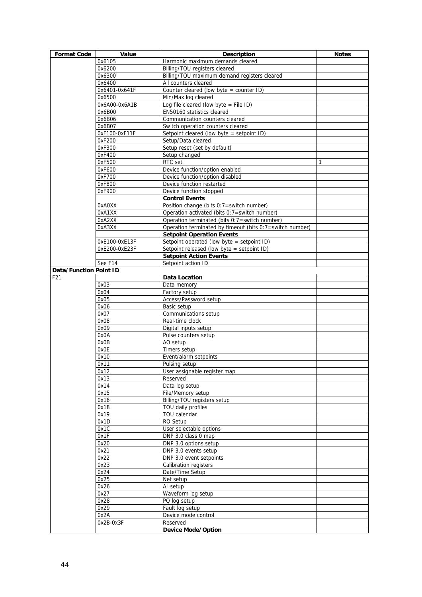<span id="page-43-1"></span><span id="page-43-0"></span>

| <b>Format Code</b>                   | Value                   | <b>Description</b>                                              | <b>Notes</b> |
|--------------------------------------|-------------------------|-----------------------------------------------------------------|--------------|
|                                      | 0x6105                  | Harmonic maximum demands cleared                                |              |
|                                      | 0x6200                  | Billing/TOU registers cleared                                   |              |
|                                      | 0x6300                  | Billing/TOU maximum demand registers cleared                    |              |
|                                      | 0x6400                  | All counters cleared                                            |              |
|                                      | 0x6401-0x641F           | Counter cleared (low byte = counter ID)                         |              |
|                                      | 0x6500                  | Min/Max log cleared                                             |              |
|                                      | 0x6A00-0x6A1B           | Log file cleared (low byte = File ID)                           |              |
|                                      | 0x6B00                  | EN50160 statistics cleared                                      |              |
|                                      | 0x6B06                  | Communication counters cleared                                  |              |
|                                      | 0x6B07<br>0xF100-0xF11F | Switch operation counters cleared                               |              |
|                                      | 0xF200                  | Setpoint cleared (low byte = setpoint ID)<br>Setup/Data cleared |              |
|                                      | 0xF300                  | Setup reset (set by default)                                    |              |
|                                      | 0xF400                  | Setup changed                                                   |              |
|                                      | 0xF500                  | RTC set                                                         | 1            |
|                                      | 0xF600                  | Device function/option enabled                                  |              |
|                                      | 0xF700                  | Device function/option disabled                                 |              |
|                                      | 0xF800                  | Device function restarted                                       |              |
|                                      | 0xF900                  | Device function stopped                                         |              |
|                                      |                         | <b>Control Events</b>                                           |              |
|                                      | 0xA0XX                  | Position change (bits 0:7=switch number)                        |              |
|                                      | 0xA1XX                  | Operation activated (bits 0:7=switch number)                    |              |
|                                      | 0xA2XX                  | Operation terminated (bits 0:7=switch number)                   |              |
|                                      | 0xA3XX                  | Operation terminated by timeout (bits 0:7=switch number)        |              |
|                                      |                         | <b>Setpoint Operation Events</b>                                |              |
|                                      | 0xE100-0xE13F           | Setpoint operated (low byte = setpoint ID)                      |              |
|                                      | 0xE200-0xE23F           | Setpoint released (low byte = setpoint ID)                      |              |
|                                      |                         | <b>Setpoint Action Events</b>                                   |              |
|                                      | See F14                 | Setpoint action ID                                              |              |
| <b>Data/Function Point ID</b><br>F21 |                         | Data Location                                                   |              |
|                                      | 0x03                    | Data memory                                                     |              |
|                                      | 0x04                    | Factory setup                                                   |              |
|                                      | 0x05                    | Access/Password setup                                           |              |
|                                      | 0x06                    | Basic setup                                                     |              |
|                                      | 0x07                    | Communications setup                                            |              |
|                                      | 0x08                    | Real-time clock                                                 |              |
|                                      | 0x09                    | Digital inputs setup                                            |              |
|                                      | 0x0A                    | Pulse counters setup                                            |              |
|                                      | 0x0B                    | AO setup                                                        |              |
|                                      | 0x0E                    | Timers setup                                                    |              |
|                                      | 0x10                    | Event/alarm setpoints                                           |              |
|                                      | 0x11                    | Pulsing setup                                                   |              |
|                                      | 0x12                    | User assignable register map                                    |              |
|                                      | 0x13                    | Reserved                                                        |              |
|                                      | 0x14                    | Data log setup                                                  |              |
|                                      | 0x15                    | File/Memory setup                                               |              |
|                                      | 0x16                    | Billing/TOU registers setup<br>TOU daily profiles               |              |
|                                      | 0x18<br>0x19            | TOU calendar                                                    |              |
|                                      | 0x1D                    | RO Setup                                                        |              |
|                                      | 0x1C                    | User selectable options                                         |              |
|                                      | 0x1F                    | DNP 3.0 class 0 map                                             |              |
|                                      | 0x20                    | DNP 3.0 options setup                                           |              |
|                                      | 0x21                    | DNP 3.0 events setup                                            |              |
|                                      | 0x22                    | DNP 3.0 event setpoints                                         |              |
|                                      | 0x23                    | Calibration registers                                           |              |
|                                      | 0x24                    | Date/Time Setup                                                 |              |
|                                      | 0x25                    | Net setup                                                       |              |
|                                      | 0x26                    | AI setup                                                        |              |
|                                      | 0x27                    | Waveform log setup                                              |              |
|                                      | 0x28                    | PQ log setup                                                    |              |
|                                      | 0x29                    | Fault log setup                                                 |              |
|                                      | 0x2A                    | Device mode control                                             |              |
|                                      | 0x2B-0x3F               | Reserved                                                        |              |
|                                      |                         | <b>Device Mode/Option</b>                                       |              |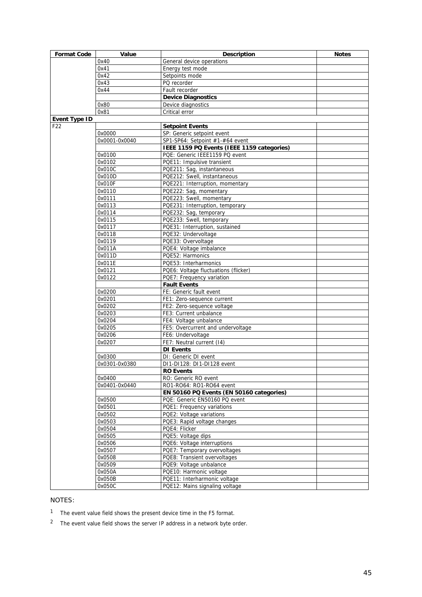<span id="page-44-0"></span>

| <b>Format Code</b>   | Value<br><b>Description</b> |                                                            | <b>Notes</b> |
|----------------------|-----------------------------|------------------------------------------------------------|--------------|
|                      | 0x40                        | General device operations                                  |              |
|                      | 0x41                        | Energy test mode                                           |              |
|                      | 0x42                        | Setpoints mode                                             |              |
|                      | 0x43                        | PQ recorder                                                |              |
|                      | 0x44                        | Fault recorder                                             |              |
|                      |                             | <b>Device Diagnostics</b>                                  |              |
|                      | 0x80                        | Device diagnostics                                         |              |
|                      | 0x81                        | Critical error                                             |              |
| <b>Event Type ID</b> |                             |                                                            |              |
| F <sub>22</sub>      |                             | <b>Setpoint Events</b>                                     |              |
|                      | 0x0000                      | SP: Generic setpoint event                                 |              |
|                      | 0x0001-0x0040               | SP1-SP64: Setpoint #1-#64 event                            |              |
|                      |                             | IEEE 1159 PQ Events (IEEE 1159 categories)                 |              |
|                      | 0x0100<br>0x0102            | PQE: Generic IEEE1159 PQ event                             |              |
|                      | 0x010C                      | PQE11: Impulsive transient                                 |              |
|                      | 0x010D                      | PQE211: Sag, instantaneous<br>PQE212: Swell, instantaneous |              |
|                      | 0x010F                      | PQE221: Interruption, momentary                            |              |
|                      | 0x0110                      | PQE222: Sag, momentary                                     |              |
|                      | 0x0111                      | PQE223: Swell, momentary                                   |              |
|                      | 0x0113                      | PQE231: Interruption, temporary                            |              |
|                      | 0x0114                      | PQE232: Sag, temporary                                     |              |
|                      | 0x0115                      | PQE233: Swell, temporary                                   |              |
|                      | 0x0117                      | PQE31: Interruption, sustained                             |              |
|                      | 0x0118                      | PQE32: Undervoltage                                        |              |
|                      | 0x0119                      | PQE33: Overvoltage                                         |              |
|                      | 0x011A                      | PQE4: Voltage imbalance                                    |              |
|                      | 0x011D                      | PQE52: Harmonics                                           |              |
|                      | 0x011E                      | PQE53: Interharmonics                                      |              |
|                      | 0x0121                      | PQE6: Voltage fluctuations (flicker)                       |              |
|                      | 0x0122                      | PQE7: Frequency variation                                  |              |
|                      |                             | <b>Fault Events</b>                                        |              |
|                      | 0x0200                      | FE: Generic fault event                                    |              |
|                      | 0x0201                      | FE1: Zero-sequence current                                 |              |
|                      | 0x0202                      | FE2: Zero-sequence voltage                                 |              |
|                      | 0x0203                      | FE3: Current unbalance                                     |              |
|                      | 0x0204                      | FE4: Voltage unbalance                                     |              |
|                      | 0x0205                      | FE5: Overcurrent and undervoltage                          |              |
|                      | 0x0206                      | FE6: Undervoltage                                          |              |
|                      | 0x0207                      | FE7: Neutral current (14)                                  |              |
|                      |                             | <b>DI Events</b>                                           |              |
|                      | 0x0300                      | DI: Generic DI event                                       |              |
|                      | 0x0301-0x0380               | DI1-DI128: DI1-DI128 event                                 |              |
|                      |                             | <b>RO Events</b>                                           |              |
|                      | 0x0400                      | RO: Generic RO event                                       |              |
|                      | 0x0401-0x0440               | RO1-RO64: RO1-RO64 event                                   |              |
|                      |                             | EN 50160 PQ Events (EN 50160 categories)                   |              |
|                      | 0x0500                      | PQE: Generic EN50160 PQ event                              |              |
|                      | 0x0501                      | PQE1: Frequency variations                                 |              |
|                      | 0x0502                      | PQE2: Voltage variations                                   |              |
|                      | 0x0503                      | PQE3: Rapid voltage changes                                |              |
|                      | 0x0504                      | PQE4: Flicker                                              |              |
|                      | 0x0505                      | PQE5: Voltage dips                                         |              |
|                      | 0x0506                      | PQE6: Voltage interruptions                                |              |
|                      | 0x0507                      | PQE7: Temporary overvoltages                               |              |
|                      | 0x0508<br>0x0509            | PQE8: Transient overvoltages                               |              |
|                      |                             | PQE9: Voltage unbalance                                    |              |
|                      | 0x050A<br>0x050B            | PQE10: Harmonic voltage<br>PQE11: Interharmonic voltage    |              |
|                      | 0x050C                      | PQE12: Mains signaling voltage                             |              |
|                      |                             |                                                            |              |

### NOTES:

1 The event value field shows the present device time in the F5 format.

2 The event value field shows the server IP address in a network byte order.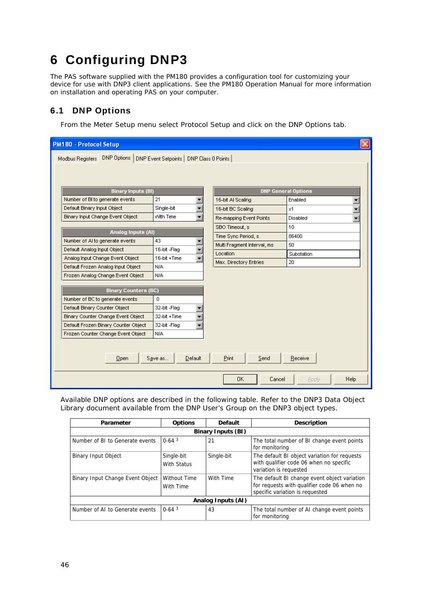# <span id="page-45-0"></span>6 Configuring DNP3

The PAS software supplied with the PM180 provides a configuration tool for customizing your device for use with DNP3 client applications. See the PM180 Operation Manual for more information on installation and operating PAS on your computer.

## 6.1 DNP Options

<span id="page-45-1"></span>From the Meter Setup menu select Protocol Setup and click on the DNP Options tab.

| <b>PM180 - Protocol Setup</b>                                  |                                                           |                             |                            |  |  |  |  |
|----------------------------------------------------------------|-----------------------------------------------------------|-----------------------------|----------------------------|--|--|--|--|
| DNP Options<br>Modbus Registers                                | DNP Event Setpoints   DNP Class 0 Points                  |                             |                            |  |  |  |  |
|                                                                |                                                           |                             |                            |  |  |  |  |
|                                                                |                                                           |                             |                            |  |  |  |  |
| <b>Binary Inputs (BI)</b>                                      |                                                           |                             | <b>DNP General Options</b> |  |  |  |  |
| Number of BI to generate events                                | 21<br>$\blacktriangledown$                                | 16-bit Al Scaling           | Enabled                    |  |  |  |  |
| Default Binary Input Object                                    | Single-bit<br>▼                                           | 16-bit BC Scaling           | $\times$ 1                 |  |  |  |  |
| Binary Input Change Event Object                               | With Time                                                 | Re-mapping Event Points     | Disabled                   |  |  |  |  |
|                                                                |                                                           | SBO Timeout, s              | 10                         |  |  |  |  |
| Analog Inputs (AI)                                             | 43                                                        | Time Sync Period, s         | 86400                      |  |  |  |  |
| Number of AI to generate events<br>Default Analog Input Object | ÷<br>16-bit-Flag                                          | Multi Fragment Interval, ms | 50                         |  |  |  |  |
| Analog Input Change Event Object                               | 16-bit +Time                                              | Location                    | Substation                 |  |  |  |  |
| Default Frozen Analog Input Object                             | $\overline{\phantom{a}}$<br>Max. Directory Entries<br>N/A |                             | 20                         |  |  |  |  |
| Frozen Analog Change Event Object                              | N/A                                                       |                             |                            |  |  |  |  |
|                                                                |                                                           |                             |                            |  |  |  |  |
| <b>Binary Counters (BC)</b>                                    |                                                           |                             |                            |  |  |  |  |
| Number of BC to generate events                                | 0                                                         |                             |                            |  |  |  |  |
| Default Binary Counter Object                                  | 32-bit-Flag                                               |                             |                            |  |  |  |  |
| Binary Counter Change Event Object                             | 32-bit +Time                                              |                             |                            |  |  |  |  |
| Default Frozen Binary Counter Object                           | 32-bit-Flag                                               |                             |                            |  |  |  |  |
| Frozen Counter Change Event Object                             | N/A                                                       |                             |                            |  |  |  |  |
|                                                                |                                                           |                             |                            |  |  |  |  |
| Save as<br>Default<br>Print<br>Send<br>Receive<br>Open         |                                                           |                             |                            |  |  |  |  |
|                                                                |                                                           | 0K<br>Cancel                | Help<br>Apply              |  |  |  |  |

Available DNP options are described in the following table. Refer to the DNP3 Data Object Library document available from the DNP User's Group on the DNP3 object types.

| Parameter                        | <b>Options</b>                   | <b>Default</b> | <b>Description</b>                                                                                                             |  |  |  |  |  |
|----------------------------------|----------------------------------|----------------|--------------------------------------------------------------------------------------------------------------------------------|--|--|--|--|--|
| <b>Binary Inputs (BI)</b>        |                                  |                |                                                                                                                                |  |  |  |  |  |
| Number of BI to Generate events  | $0-643$                          | 21             | The total number of BI change event points<br>for monitoring                                                                   |  |  |  |  |  |
| <b>Binary Input Object</b>       | Single-bit<br>With Status        | Single-bit     | The default BI object variation for requests<br>with qualifier code 06 when no specific<br>variation is requested              |  |  |  |  |  |
| Binary Input Change Event Object | <b>Without Time</b><br>With Time | With Time      | The default BI change event object variation<br>for requests with qualifier code 06 when no<br>specific variation is requested |  |  |  |  |  |
| Analog Inputs (AI)               |                                  |                |                                                                                                                                |  |  |  |  |  |
| Number of AI to Generate events  | $0-643$                          | 43             | The total number of AI change event points<br>for monitoring                                                                   |  |  |  |  |  |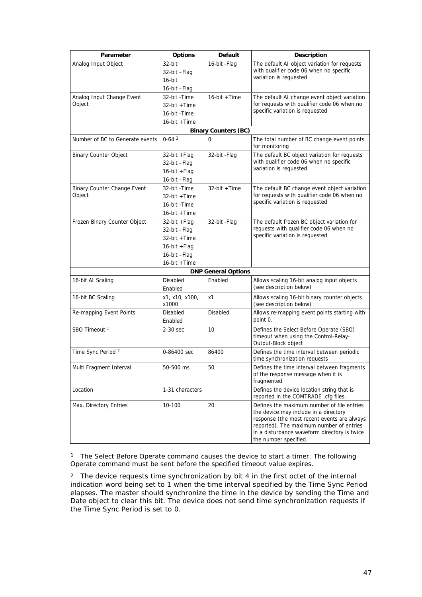| Parameter                       | <b>Options</b>          | <b>Default</b>              | <b>Description</b>                                                                                                                                                                                                                                      |
|---------------------------------|-------------------------|-----------------------------|---------------------------------------------------------------------------------------------------------------------------------------------------------------------------------------------------------------------------------------------------------|
| Analog Input Object             | 32-bit                  | 16-bit - Flag               | The default AI object variation for requests                                                                                                                                                                                                            |
|                                 | 32-bit –Flag            |                             | with qualifier code 06 when no specific                                                                                                                                                                                                                 |
|                                 | 16-bit                  |                             | variation is requested                                                                                                                                                                                                                                  |
|                                 | 16-bit - Flag           |                             |                                                                                                                                                                                                                                                         |
| Analog Input Change Event       | 32-bit -Time            | 16-bit + Time               | The default AI change event object variation                                                                                                                                                                                                            |
| Object                          | 32-bit +Time            |                             | for requests with qualifier code 06 when no                                                                                                                                                                                                             |
|                                 | 16-bit - Time           |                             | specific variation is requested                                                                                                                                                                                                                         |
|                                 | 16-bit +Time            |                             |                                                                                                                                                                                                                                                         |
|                                 |                         | <b>Binary Counters (BC)</b> |                                                                                                                                                                                                                                                         |
| Number of BC to Generate events | $0-643$                 | 0                           | The total number of BC change event points<br>for monitoring                                                                                                                                                                                            |
| <b>Binary Counter Object</b>    | $32$ -bit + Flag        | 32-bit -Flag                | The default BC object variation for requests                                                                                                                                                                                                            |
|                                 | 32-bit-Flag             |                             | with qualifier code 06 when no specific                                                                                                                                                                                                                 |
|                                 | 16-bit + Flag           |                             | variation is requested                                                                                                                                                                                                                                  |
|                                 | 16-bit - Flag           |                             |                                                                                                                                                                                                                                                         |
| Binary Counter Change Event     | 32-bit -Time            | $32$ -bit +Time             | The default BC change event object variation                                                                                                                                                                                                            |
| Object                          | 32-bit +Time            |                             | for requests with qualifier code 06 when no                                                                                                                                                                                                             |
|                                 | 16-bit - Time           |                             | specific variation is requested                                                                                                                                                                                                                         |
|                                 | 16-bit +Time            |                             |                                                                                                                                                                                                                                                         |
| Frozen Binary Counter Object    | 32-bit +Flag            | 32-bit -Flag                | The default frozen BC object variation for                                                                                                                                                                                                              |
|                                 | 32-bit –Flag            |                             | requests with qualifier code 06 when no                                                                                                                                                                                                                 |
|                                 | 32-bit +Time            |                             | specific variation is requested                                                                                                                                                                                                                         |
|                                 | 16-bit + Flag           |                             |                                                                                                                                                                                                                                                         |
|                                 | 16-bit -Flag            |                             |                                                                                                                                                                                                                                                         |
|                                 | 16-bit +Time            |                             |                                                                                                                                                                                                                                                         |
|                                 |                         | <b>DNP General Options</b>  |                                                                                                                                                                                                                                                         |
| 16-bit AI Scaling               | Disabled<br>Enabled     | Enabled                     | Allows scaling 16-bit analog input objects<br>(see description below)                                                                                                                                                                                   |
| 16-bit BC Scaling               | x1, x10, x100,<br>x1000 | х1                          | Allows scaling 16-bit binary counter objects<br>(see description below)                                                                                                                                                                                 |
| Re-mapping Event Points         | Disabled<br>Enabled     | Disabled                    | Allows re-mapping event points starting with<br>point 0.                                                                                                                                                                                                |
| SBO Timeout <sup>1</sup>        | 2-30 sec                | 10                          | Defines the Select Before Operate (SBO)<br>timeout when using the Control-Relay-<br>Output-Block object                                                                                                                                                 |
| Time Sync Period 2              | 0-86400 sec             | 86400                       | Defines the time interval between periodic<br>time synchronization requests                                                                                                                                                                             |
| Multi Fragment Interval         | 50-500 ms               | 50                          | Defines the time interval between fragments<br>of the response message when it is<br>fragmented                                                                                                                                                         |
| Location                        | 1-31 characters         |                             | Defines the device location string that is<br>reported in the COMTRADE .cfg files.                                                                                                                                                                      |
| Max. Directory Entries          | 10-100                  | 20                          | Defines the maximum number of file entries<br>the device may include in a directory<br>response (the most recent events are always<br>reported). The maximum number of entries<br>in a disturbance waveform directory is twice<br>the number specified. |

1 The Select Before Operate command causes the device to start a timer. The following Operate command must be sent before the specified timeout value expires.

2 The device requests time synchronization by bit 4 in the first octet of the internal indication word being set to 1 when the time interval specified by the Time Sync Period elapses. The master should synchronize the time in the device by sending the Time and Date object to clear this bit. The device does not send time synchronization requests if the Time Sync Period is set to 0.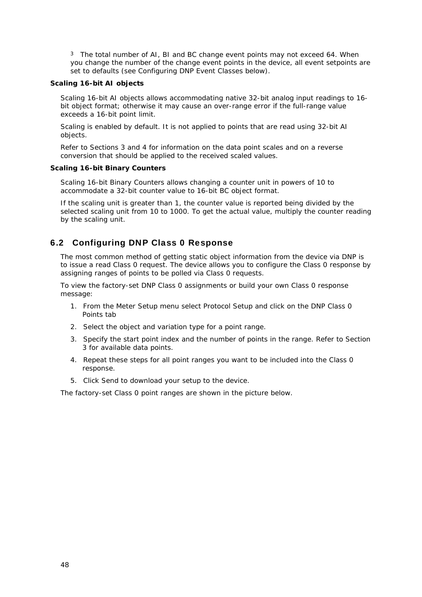<sup>3</sup> The total number of AI, BI and BC change event points may not exceed 64. When you change the number of the change event points in the device, all event setpoints are set to defaults (see Configuring DNP Event Classes below).

#### **Scaling 16-bit AI objects**

Scaling 16-bit AI objects allows accommodating native 32-bit analog input readings to 16 bit object format; otherwise it may cause an over-range error if the full-range value exceeds a 16-bit point limit.

Scaling is enabled by default. It is not applied to points that are read using 32-bit AI objects.

Refer to Sections 3 and 4 for information on the data point scales and on a reverse conversion that should be applied to the received scaled values.

### **Scaling 16-bit Binary Counters**

Scaling 16-bit Binary Counters allows changing a counter unit in powers of 10 to accommodate a 32-bit counter value to 16-bit BC object format.

If the scaling unit is greater than 1, the counter value is reported being divided by the selected scaling unit from 10 to 1000. To get the actual value, multiply the counter reading by the scaling unit.

## 6.2 Configuring DNP Class 0 Response

<span id="page-47-0"></span>The most common method of getting static object information from the device via DNP is to issue a read Class 0 request. The device allows you to configure the Class 0 response by assigning ranges of points to be polled via Class 0 requests.

To view the factory-set DNP Class 0 assignments or build your own Class 0 response message:

- 1. From the Meter Setup menu select Protocol Setup and click on the DNP Class 0 Points tab
- 2. Select the object and variation type for a point range.
- 3. Specify the start point index and the number of points in the range. Refer to Section 3 for available data points.
- 4. Repeat these steps for all point ranges you want to be included into the Class 0 response.
- 5. Click Send to download your setup to the device.

The factory-set Class 0 point ranges are shown in the picture below.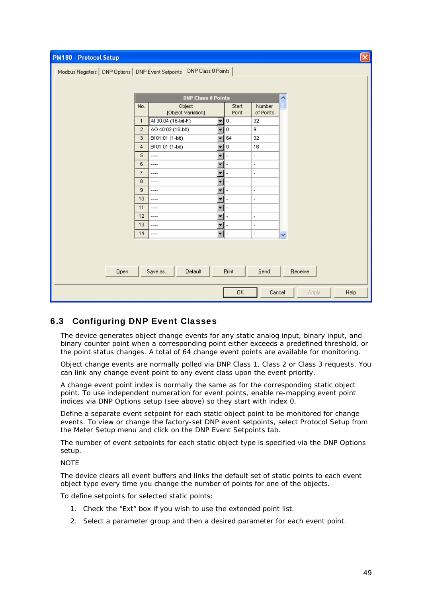| PM180 - Protocol Setup                                                    |                |                                            |         |                          |                              | $\vert \mathsf{x} \vert$ |
|---------------------------------------------------------------------------|----------------|--------------------------------------------|---------|--------------------------|------------------------------|--------------------------|
| Modbus Registers   DNP Options   DNP Event Setpoints   DNP Class 0 Points |                |                                            |         |                          |                              |                          |
|                                                                           |                |                                            |         |                          |                              |                          |
|                                                                           |                | <b>DNP Class 0 Points</b>                  |         |                          |                              |                          |
|                                                                           | No.            | Object                                     | Start   | Number                   | $\frac{\lambda}{\mathbb{E}}$ |                          |
|                                                                           |                | [Object:Variation]                         | Point   | of Points                |                              |                          |
|                                                                           | $\mathbf{1}$   | AI 30:04 (16-bit-F)<br>▼                   | 0       | 32                       |                              |                          |
|                                                                           | $\overline{2}$ | AO 40:02 (16-bit)<br>$\blacktriangledown$  | $\,0\,$ | 9                        |                              |                          |
|                                                                           | 3              | BI 01:01 (1-bit)<br>÷                      | 64      | 32                       |                              |                          |
|                                                                           | $\overline{4}$ | BI 01:01 (1-bit)<br>¥                      | 0       | 16                       |                              |                          |
|                                                                           | 5              | ÷<br>----                                  | ÷       | $\overline{\phantom{a}}$ |                              |                          |
|                                                                           | 6              | $\overline{\phantom{0}}$<br>$\overline{a}$ | ÷,      | $\overline{\phantom{a}}$ |                              |                          |
|                                                                           | $\overline{7}$ | $\overline{\phantom{0}}$<br>----           | ÷,      | $\overline{\phantom{a}}$ |                              |                          |
|                                                                           | 8              | $\overline{\phantom{a}}$<br>$\overline{a}$ |         | $\overline{a}$           |                              |                          |
|                                                                           | $\overline{9}$ | ÷<br>----                                  | ٠       | $\overline{\phantom{a}}$ |                              |                          |
|                                                                           | 10             | ¥<br>$\overline{\phantom{a}}$              |         | $\overline{\phantom{a}}$ |                              |                          |
|                                                                           | 11             | ÷<br>----                                  | ٠       | $\overline{\phantom{a}}$ |                              |                          |
|                                                                           | 12             | ÷<br>$\overline{\phantom{a}}$              |         | $\overline{\phantom{a}}$ |                              |                          |
|                                                                           | 13             | ----<br>▼                                  | ÷       | $\overline{\phantom{a}}$ |                              |                          |
|                                                                           | 14             | $\overline{\phantom{a}}$<br>----           | ÷,      | $\overline{\phantom{a}}$ | Ÿ                            |                          |
|                                                                           |                |                                            |         |                          |                              |                          |
|                                                                           |                |                                            |         |                          |                              |                          |
|                                                                           |                |                                            |         |                          |                              |                          |
| Qpen                                                                      |                | $D$ efault<br>Save as                      | Pint    | Send                     |                              | Receive                  |
|                                                                           |                |                                            | 0K      | Cancel                   |                              | Help<br><b>Apply</b>     |

## 6.3 Configuring DNP Event Classes

<span id="page-48-0"></span>The device generates object change events for any static analog input, binary input, and binary counter point when a corresponding point either exceeds a predefined threshold, or the point status changes. A total of 64 change event points are available for monitoring.

Object change events are normally polled via DNP Class 1, Class 2 or Class 3 requests. You can link any change event point to any event class upon the event priority.

A change event point index is normally the same as for the corresponding static object point. To use independent numeration for event points, enable re-mapping event point indices via DNP Options setup (see above) so they start with index 0.

Define a separate event setpoint for each static object point to be monitored for change events. To view or change the factory-set DNP event setpoints, select Protocol Setup from the Meter Setup menu and click on the DNP Event Setpoints tab.

The number of event setpoints for each static object type is specified via the DNP Options setup.

#### **NOTE**

The device clears all event buffers and links the default set of static points to each event object type every time you change the number of points for one of the objects.

To define setpoints for selected static points:

- 1. Check the "Ext" box if you wish to use the extended point list.
- 2. Select a parameter group and then a desired parameter for each event point.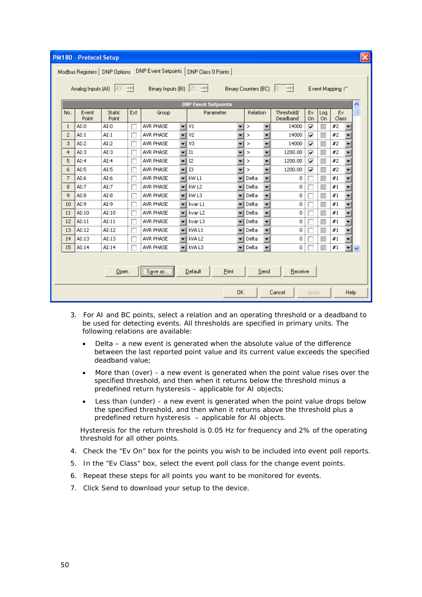| <b>PM180 - Protocol Setup</b>                                                                                                                 |                                      |                |                 |     |                  |                          |           | $\mathsf{x} $            |                                   |                        |          |           |             |                      |  |
|-----------------------------------------------------------------------------------------------------------------------------------------------|--------------------------------------|----------------|-----------------|-----|------------------|--------------------------|-----------|--------------------------|-----------------------------------|------------------------|----------|-----------|-------------|----------------------|--|
| DNP Event Setpoints  <br>DNP Class 0 Points<br>Modbus Registers   DNP Options                                                                 |                                      |                |                 |     |                  |                          |           |                          |                                   |                        |          |           |             |                      |  |
|                                                                                                                                               |                                      |                |                 |     |                  |                          |           |                          |                                   |                        |          |           |             |                      |  |
| Analog Inputs (AI) $\left 43 \right $<br>Binary Inputs (BI) 21<br>÷<br>Binary Counters (BC)<br>Io.<br>$\frac{1}{\sqrt{2}}$<br>Event Mapping ( |                                      |                |                 |     |                  |                          |           |                          |                                   |                        |          |           |             |                      |  |
| <b>DNP Event Setpoints</b>                                                                                                                    |                                      |                |                 |     |                  |                          |           |                          | ∧                                 |                        |          |           |             |                      |  |
|                                                                                                                                               | No.                                  | Event<br>Point | Static<br>Point | Ext | Group            |                          | Parameter |                          | Relation                          | Threshold/<br>Deadband | Ev<br>On | Log<br>On | Ev<br>Class |                      |  |
|                                                                                                                                               | $\mathbf{1}$                         | AI:0           | AI:0            |     | AVR PHASE        | $\overline{\phantom{0}}$ | V1        | ÷                        | $\overline{\phantom{a}}$<br>⋗     | 14000                  | ⊽        |           | #2          |                      |  |
|                                                                                                                                               | $\mathbf{2}$                         | AI:1           | AI:1            |     | AVR PHASE        | ¥                        | V2        | ▼                        | $\overline{\phantom{a}}$<br>⋗     | 14000                  | ⊽        |           | #2          |                      |  |
|                                                                                                                                               | 3                                    | AI:2           | AI:2            |     | AVR PHASE        | $\overline{\phantom{a}}$ | V3        | ÷                        | $\overline{\mathbf{v}}$<br>⋗      | 14000                  | ⊽        |           | #2          |                      |  |
|                                                                                                                                               | 4                                    | AI:3           | AI:3            |     | AVR PHASE        | $\overline{\phantom{0}}$ | I1        | ▼                        | $\overline{\mathbf{v}}$<br>⋗      | 1200.00                | ⊽        |           | #2          |                      |  |
|                                                                                                                                               | 5                                    | AI:4           | AI:4            |     | AVR PHASE        | $\overline{\phantom{a}}$ | I2        | $\overline{\phantom{a}}$ | Y<br>⋗                            | 1200.00                | ⊽        |           | #2          |                      |  |
|                                                                                                                                               | 6                                    | AI:5           | AI:5            |     | AVR PHASE        | $\overline{\phantom{a}}$ | <b>I3</b> | ▼                        | $\overline{\phantom{a}}$<br>⋗     | 1200.00                | ⊽        |           | #2          |                      |  |
|                                                                                                                                               | $\overline{7}$                       | AI:6           | AI:6            |     | <b>AVR PHASE</b> | ¥                        | kw L1     | $\overline{\phantom{a}}$ | Y<br>Delta                        | 0                      |          |           | #1          |                      |  |
|                                                                                                                                               | 8                                    | AI:7           | AI:7            |     | AVR PHASE        | $\overline{\phantom{a}}$ | kw L2     | ٠                        | $\overline{\phantom{0}}$<br>Delta | 0                      |          |           | #1          |                      |  |
|                                                                                                                                               | 9                                    | AI:8           | AI:8            |     | AVR PHASE        | ¥                        | kw L3     | ٠                        | Y<br>Delta                        | 0                      |          |           | #1          |                      |  |
|                                                                                                                                               | 10                                   | AI:9           | AI:9            |     | AVR PHASE        | $\overline{\phantom{a}}$ | kvar L1   | ٠                        | $\overline{\phantom{a}}$<br>Delta | 0                      |          | П         | #1          |                      |  |
|                                                                                                                                               | 11                                   | AI:10          | AI:10           |     | <b>AVR PHASE</b> | $\overline{\phantom{a}}$ | kvar L2   |                          | $\overline{\phantom{a}}$<br>Delta | 0                      |          |           | #1          |                      |  |
|                                                                                                                                               | 12                                   | AI:11          | AI:11           |     | AVR PHASE        | $\overline{\phantom{a}}$ | kvar L3   |                          | $\overline{\mathbf{v}}$<br>Delta  | 0                      |          |           | #1          |                      |  |
|                                                                                                                                               | 13                                   | AI:12          | AI:12           |     | AVR PHASE        | $\overline{\phantom{a}}$ | kva L1    | ۰                        | $\overline{\phantom{0}}$<br>Delta | 0                      |          |           | #1          |                      |  |
|                                                                                                                                               | 14                                   | AI:13          | AI:13           |     | AVR PHASE        | $\overline{\phantom{a}}$ | kva L2    | ٠                        | $\overline{\mathbf{v}}$<br>Delta  | 0                      |          |           | #1          |                      |  |
|                                                                                                                                               | 15                                   | AI:14          | AI:14           |     | AVR PHASE        | $\overline{\phantom{a}}$ | kva L3    | ▼                        | $\overline{\phantom{a}}$<br>Delta | 0                      |          |           | #1          | $\blacktriangledown$ |  |
|                                                                                                                                               |                                      |                |                 |     |                  |                          |           |                          |                                   |                        |          |           |             |                      |  |
| <br>Save as<br>Print<br>Default<br>Send<br>Receive<br>Open                                                                                    |                                      |                |                 |     |                  |                          |           |                          |                                   |                        |          |           |             |                      |  |
|                                                                                                                                               | <b>OK</b><br>Cancel<br>Help<br>Apply |                |                 |     |                  |                          |           |                          |                                   |                        |          |           |             |                      |  |

- 3. For AI and BC points, select a relation and an operating threshold or a deadband to be used for detecting events. All thresholds are specified in primary units. The following relations are available:
	- Delta a new event is generated when the absolute value of the difference between the last reported point value and its current value exceeds the specified deadband value;
	- More than (over) a new event is generated when the point value rises over the specified threshold, and then when it returns below the threshold minus a predefined return hysteresis – applicable for AI objects;
	- Less than (under) a new event is generated when the point value drops below the specified threshold, and then when it returns above the threshold plus a predefined return hysteresis – applicable for AI objects.

Hysteresis for the return threshold is 0.05 Hz for frequency and 2% of the operating threshold for all other points.

- 4. Check the "Ev On" box for the points you wish to be included into event poll reports.
- 5. In the "Ev Class" box, select the event poll class for the change event points.
- 6. Repeat these steps for all points you want to be monitored for events.
- 7. Click Send to download your setup to the device.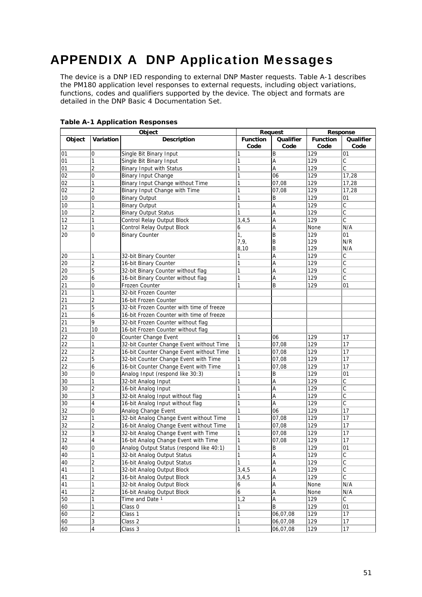# <span id="page-50-0"></span>APPENDIX A DNP Application Messages

The device is a DNP IED responding to external DNP Master requests. Table A-1 describes the PM180 application level responses to external requests, including object variations, functions, codes and qualifiers supported by the device. The object and formats are detailed in the DNP Basic 4 Documentation Set.

|        |                         | Object                                    |                         | Request           | Response                |                                  |  |  |
|--------|-------------------------|-------------------------------------------|-------------------------|-------------------|-------------------------|----------------------------------|--|--|
| Object | Variation               | <b>Description</b>                        | <b>Function</b><br>Code | Qualifier<br>Code | <b>Function</b><br>Code | Qualifier<br>Code                |  |  |
| 01     | 0                       | Single Bit Binary Input                   | 1                       | B                 | 129                     | 01                               |  |  |
| 01     | 1                       | Single Bit Binary Input                   | 1                       | Α                 | 129                     | C                                |  |  |
| 01     | $\overline{2}$          | Binary Input with Status                  | 1                       | A                 | 129                     | $\overline{\mathsf{c}}$          |  |  |
| 02     | 0                       | Binary Input Change                       | 1                       | 06                | 129                     | 17,28                            |  |  |
| 02     | 1                       | Binary Input Change without Time          | 1                       | 07,08             | 129                     | 17,28                            |  |  |
| 02     | 2                       | Binary Input Change with Time             | 1                       | 07,08             | 129                     | 17,28                            |  |  |
| 10     | $\mathbf 0$             | <b>Binary Output</b>                      | 1                       | Β                 | 129                     | 01                               |  |  |
| 10     | 1                       | <b>Binary Output</b>                      | 1                       | Α                 | 129                     | $\overline{\text{c}}$            |  |  |
| 10     | $\overline{c}$          | <b>Binary Output Status</b>               | 1                       | A                 | 129                     | $\overline{\mathsf{C}}$          |  |  |
| 12     | 1                       | Control Relay Output Block                | 3,4,5                   | Α                 | 129                     | $\mathsf{C}$                     |  |  |
| 12     | 1                       | Control Relay Output Block                | 6                       | Α                 | None                    | N/A                              |  |  |
| 20     | $\mathbf 0$             | <b>Binary Counter</b>                     | 1,                      | B                 | 129                     | 01                               |  |  |
|        |                         |                                           | 7, 9,                   | Β                 | 129                     | N/R                              |  |  |
|        |                         |                                           | 8,10                    | B                 | 129                     | N/A                              |  |  |
| 20     | 1                       | 32-bit Binary Counter                     | 1                       | A                 | 129                     | $\overline{\text{c}}$            |  |  |
| 20     | $\overline{c}$          | 16-bit Binary Counter                     | 1                       | Α                 | 129                     | C                                |  |  |
| 20     | 5                       | 32-bit Binary Counter without flag        | 1                       | Α                 | 129                     | C                                |  |  |
| 20     | 6                       | 16-bit Binary Counter without flag        | 1                       | Α                 | 129                     | $\overline{\overline{\text{c}}}$ |  |  |
| 21     | $\overline{0}$          | Frozen Counter                            | 1                       | B                 | 129                     | 01                               |  |  |
| 21     | 1                       | 32-bit Frozen Counter                     |                         |                   |                         |                                  |  |  |
| 21     | $\overline{c}$          | 16-bit Frozen Counter                     |                         |                   |                         |                                  |  |  |
| 21     | 5                       | 32-bit Frozen Counter with time of freeze |                         |                   |                         |                                  |  |  |
| 21     | 6                       | 16-bit Frozen Counter with time of freeze |                         |                   |                         |                                  |  |  |
| 21     | 9                       | 32-bit Frozen Counter without flag        |                         |                   |                         |                                  |  |  |
| 21     | 10                      | 16-bit Frozen Counter without flag        |                         |                   |                         |                                  |  |  |
| 22     | $\mathbf 0$             | Counter Change Event                      | 1                       | 06                | 129                     | 17                               |  |  |
| 22     | 1                       | 32-bit Counter Change Event without Time  | 1                       | 07,08             | 129                     | 17                               |  |  |
| 22     | $\overline{2}$          | 16-bit Counter Change Event without Time  | 1                       | 07,08             | 129                     | 17                               |  |  |
| 22     | 5                       | 32-bit Counter Change Event with Time     | 1                       | 07,08             | 129                     | $\overline{17}$                  |  |  |
| 22     | 6                       | 16-bit Counter Change Event with Time     | 1                       | 07,08             | 129                     | 17                               |  |  |
| 30     | 0                       | Analog Input (respond like 30:3)          | 1                       | B                 | 129                     | 01                               |  |  |
| 30     | 1                       | 32-bit Analog Input                       | 1                       | Α                 | 129                     | С                                |  |  |
| 30     | $\overline{2}$          | 16-bit Analog Input                       | 1                       | Α                 | 129                     | $\overline{\mathsf{c}}$          |  |  |
| 30     | 3                       | 32-bit Analog Input without flag          | 1                       | Α                 | 129                     | C                                |  |  |
| 30     | 4                       | 16-bit Analog Input without flag          | 1                       | Α                 | 129                     | C                                |  |  |
| 32     | 0                       | Analog Change Event                       | 1                       | 06                | 129                     | 17                               |  |  |
| 32     | 1                       | 32-bit Analog Change Event without Time   | 1                       | 07,08             | 129                     | 17                               |  |  |
| 32     | $\overline{c}$          | 16-bit Analog Change Event without Time   | 1                       | 07,08             | 129                     | 17                               |  |  |
| 32     | 3                       | 32-bit Analog Change Event with Time      | 1                       | 07,08             | 129                     | 17                               |  |  |
| 32     | 4                       | 16-bit Analog Change Event with Time      | 1                       | 07,08             | 129                     | 17                               |  |  |
| 40     | $\mathbf 0$             | Analog Output Status (respond like 40:1)  | $\overline{1}$          | B                 | 129                     | $\overline{01}$                  |  |  |
| 40     | 1                       | 32-bit Analog Output Status               | 1                       | A                 | 129                     | $\overline{\mathsf{c}}$          |  |  |
| 40     | 2                       | 16-bit Analog Output Status               | 1                       | А                 | 129                     |                                  |  |  |
| 41     | 1                       | 32-bit Analog Output Block                | 3, 4, 5                 | A                 | 129                     | $rac{C}{C}$                      |  |  |
| 41     | $\overline{\mathbf{c}}$ | 16-bit Analog Output Block                | 3, 4, 5                 | A                 | 129                     | $\overline{\mathrm{c}}$          |  |  |
| 41     | 1                       | 32-bit Analog Output Block                | 6                       | A                 | None                    | N/A                              |  |  |
| 41     | 2                       | 16-bit Analog Output Block                | 6                       | Α                 | None                    | N/A                              |  |  |
| 50     | 1                       | Time and Date 1                           | 1,2                     | A                 | 129                     | $\overline{\mathsf{C}}$          |  |  |
| 60     | 1                       | Class 0                                   | 1                       | B                 | 129                     | 01                               |  |  |
| 60     | $\overline{\mathbf{c}}$ | Class 1                                   | 1                       | 06,07,08          | 129                     | 17                               |  |  |
| 60     | 3                       | Class 2                                   | 1                       | 06,07,08          | 129                     | $17$                             |  |  |
| 60     | 4                       | Class 3                                   | 1                       | 06,07,08          | 129                     | 17                               |  |  |

**Table A-1 Application Responses**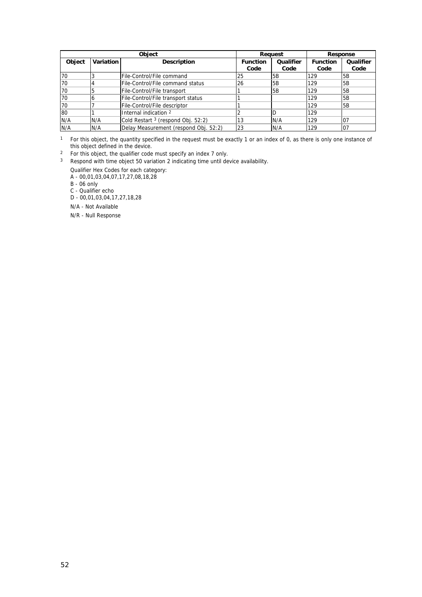|        |           | <b>Object</b>                                 |                 | Reauest   | Response        |           |  |  |
|--------|-----------|-----------------------------------------------|-----------------|-----------|-----------------|-----------|--|--|
| Object | Variation | <b>Description</b>                            | <b>Function</b> | Qualifier | <b>Function</b> | Qualifier |  |  |
|        |           |                                               | Code            | Code      | Code            | Code      |  |  |
| 70     |           | File-Control/File command                     | 25              | 5B        | 129             | <b>5B</b> |  |  |
| 70     |           | File-Control/File command status              | 126             | 5B        | 129             | 5B        |  |  |
| 70     |           | File-Control/File transport                   |                 | 5B        | 129             | 5B        |  |  |
| 70     | b         | File-Control/File transport status            |                 |           | 129             | 5B        |  |  |
| 70     |           | File-Control/File descriptor                  |                 |           | 129             | 5B        |  |  |
| 80     |           | Internal indication 2                         |                 |           | 129             |           |  |  |
| N/A    | N/A       | Cold Restart <sup>3</sup> (respond Obj. 52:2) | 13              | N/A       | 129             | I07       |  |  |
| N/A    | N/A       | Delay Measurement (respond Obj. 52:2)         | 23              | N/A       | 129             | 07        |  |  |

<sup>1</sup> For this object, the quantity specified in the request must be exactly 1 or an index of 0, as there is only one instance of this object defined in the device.

<sup>2</sup> For this object, the qualifier code must specify an index 7 only.

<sup>3</sup> Respond with time object 50 variation 2 indicating time until device availability.

Qualifier Hex Codes for each category:

A - 00,01,03,04,07,17,27,08,18,28

B - 06 only

C - Qualifier echo

D - 00,01,03,04,17,27,18,28

N/A - Not Available

N/R - Null Response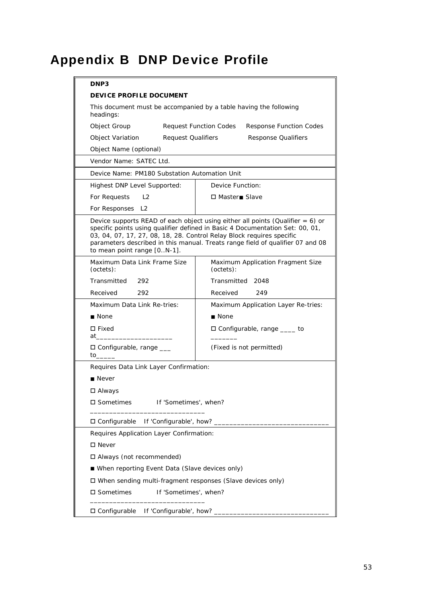# <span id="page-52-0"></span>Appendix B DNP Device Profile

| DNP3                                                                           |                                                                                                                                                                                                                                                                                                                               |  |  |  |  |  |  |  |
|--------------------------------------------------------------------------------|-------------------------------------------------------------------------------------------------------------------------------------------------------------------------------------------------------------------------------------------------------------------------------------------------------------------------------|--|--|--|--|--|--|--|
| DEVICE PROFILE DOCUMENT                                                        |                                                                                                                                                                                                                                                                                                                               |  |  |  |  |  |  |  |
| This document must be accompanied by a table having the following<br>headings: |                                                                                                                                                                                                                                                                                                                               |  |  |  |  |  |  |  |
| Object Group                                                                   | <b>Request Function Codes</b><br><b>Response Function Codes</b>                                                                                                                                                                                                                                                               |  |  |  |  |  |  |  |
| Object Variation                                                               | <b>Request Qualifiers</b><br><b>Response Qualifiers</b>                                                                                                                                                                                                                                                                       |  |  |  |  |  |  |  |
| Object Name (optional)                                                         |                                                                                                                                                                                                                                                                                                                               |  |  |  |  |  |  |  |
| Vendor Name: SATEC Ltd.                                                        |                                                                                                                                                                                                                                                                                                                               |  |  |  |  |  |  |  |
| Device Name: PM180 Substation Automation Unit                                  |                                                                                                                                                                                                                                                                                                                               |  |  |  |  |  |  |  |
| Highest DNP Level Supported:                                                   | Device Function:                                                                                                                                                                                                                                                                                                              |  |  |  |  |  |  |  |
| For Requests<br>$\lfloor 2 \rfloor$                                            | □ Master■ Slave                                                                                                                                                                                                                                                                                                               |  |  |  |  |  |  |  |
| For Responses L2                                                               |                                                                                                                                                                                                                                                                                                                               |  |  |  |  |  |  |  |
| to mean point range [0N-1].                                                    | Device supports READ of each object using either all points (Qualifier $= 6$ ) or<br>specific points using qualifier defined in Basic 4 Documentation Set: 00, 01,<br>03, 04, 07, 17, 27, 08, 18, 28. Control Relay Block requires specific<br>parameters described in this manual. Treats range field of qualifier 07 and 08 |  |  |  |  |  |  |  |
| Maximum Data Link Frame Size<br>(octets):                                      | Maximum Application Fragment Size<br>(octets):                                                                                                                                                                                                                                                                                |  |  |  |  |  |  |  |
| Transmitted<br>292                                                             | Transmitted 2048                                                                                                                                                                                                                                                                                                              |  |  |  |  |  |  |  |
| Received<br>292                                                                | Received<br>249                                                                                                                                                                                                                                                                                                               |  |  |  |  |  |  |  |
| Maximum Data Link Re-tries:                                                    | Maximum Application Layer Re-tries:                                                                                                                                                                                                                                                                                           |  |  |  |  |  |  |  |
| ■ None                                                                         | ■ None                                                                                                                                                                                                                                                                                                                        |  |  |  |  |  |  |  |
| $\square$ Fixed<br>at a                                                        | $\Box$ Configurable, range $\_\_\_\_$ to                                                                                                                                                                                                                                                                                      |  |  |  |  |  |  |  |
| $\Box$ Configurable, range $\_\_$<br>to                                        | (Fixed is not permitted)                                                                                                                                                                                                                                                                                                      |  |  |  |  |  |  |  |
| Requires Data Link Layer Confirmation:                                         |                                                                                                                                                                                                                                                                                                                               |  |  |  |  |  |  |  |
| ■ Never                                                                        |                                                                                                                                                                                                                                                                                                                               |  |  |  |  |  |  |  |
| □ Always                                                                       |                                                                                                                                                                                                                                                                                                                               |  |  |  |  |  |  |  |
| □ Sometimes                                                                    | If 'Sometimes', when?                                                                                                                                                                                                                                                                                                         |  |  |  |  |  |  |  |
| If 'Configurable', how? _______<br>□ Configurable                              |                                                                                                                                                                                                                                                                                                                               |  |  |  |  |  |  |  |
|                                                                                | Requires Application Layer Confirmation:                                                                                                                                                                                                                                                                                      |  |  |  |  |  |  |  |
| $\square$ Never                                                                |                                                                                                                                                                                                                                                                                                                               |  |  |  |  |  |  |  |
| □ Always (not recommended)                                                     |                                                                                                                                                                                                                                                                                                                               |  |  |  |  |  |  |  |
|                                                                                | ■ When reporting Event Data (Slave devices only)                                                                                                                                                                                                                                                                              |  |  |  |  |  |  |  |
| □ When sending multi-fragment responses (Slave devices only)                   |                                                                                                                                                                                                                                                                                                                               |  |  |  |  |  |  |  |
| □ Sometimes<br>If 'Sometimes', when?                                           |                                                                                                                                                                                                                                                                                                                               |  |  |  |  |  |  |  |
|                                                                                | □ Configurable If 'Configurable', how? ______                                                                                                                                                                                                                                                                                 |  |  |  |  |  |  |  |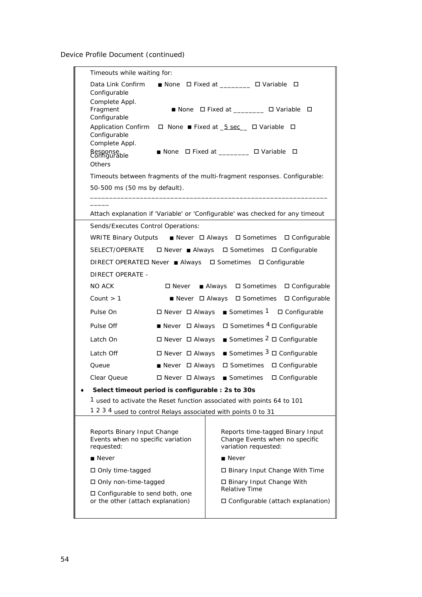Device Profile Document (continued)